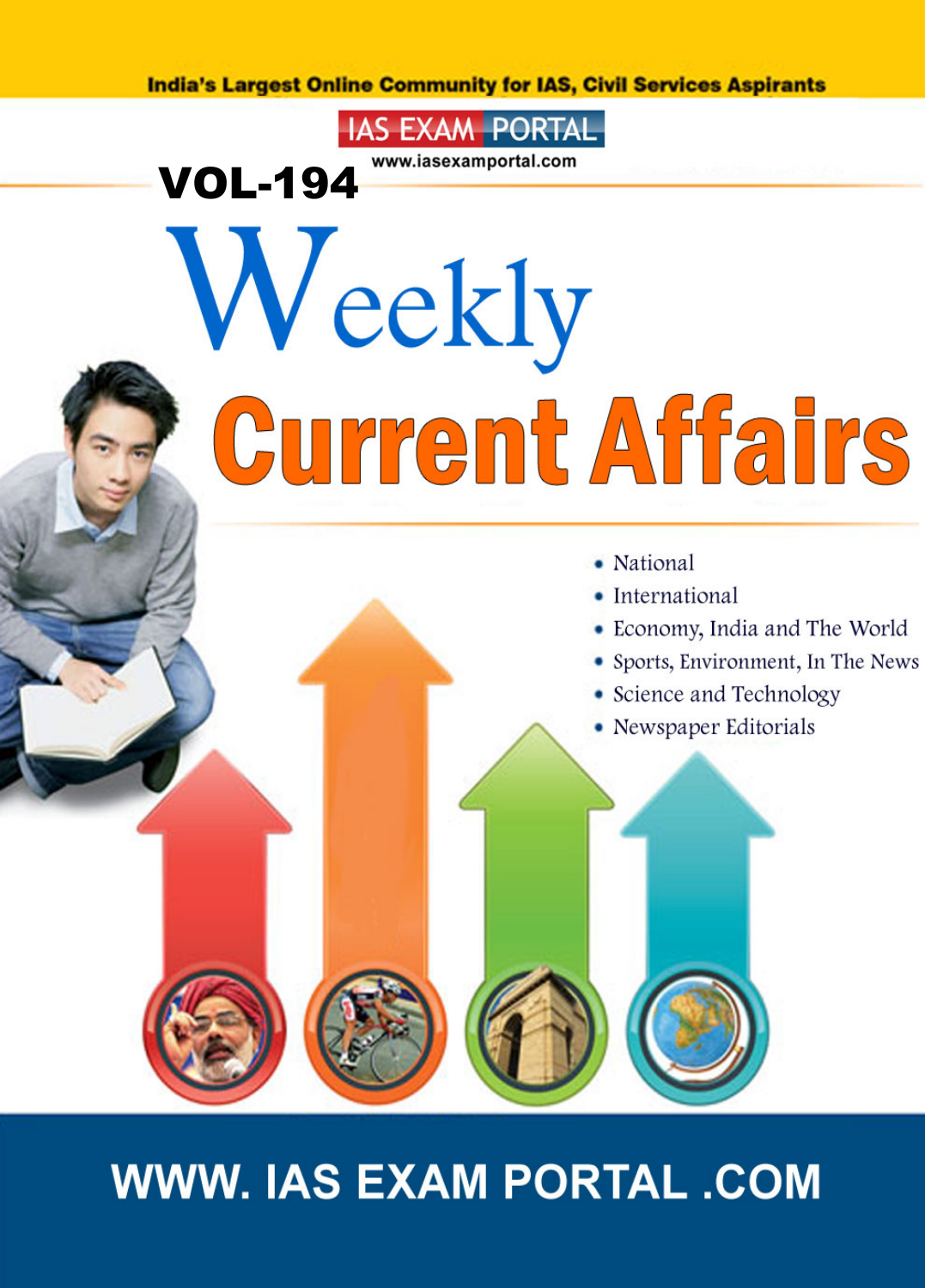**India's Largest Online Community for IAS, Civil Services Aspirants** 

www.iasexamportal.com

**IAS EXAM PORTAL** 

VOL-194

# Weekly Current Affairs

- National
- International
- Economy, India and The World
- Sports, Environment, In The News
- Science and Technology
- Newspaper Editorials

# **WWW. IAS EXAM PORTAL .COM**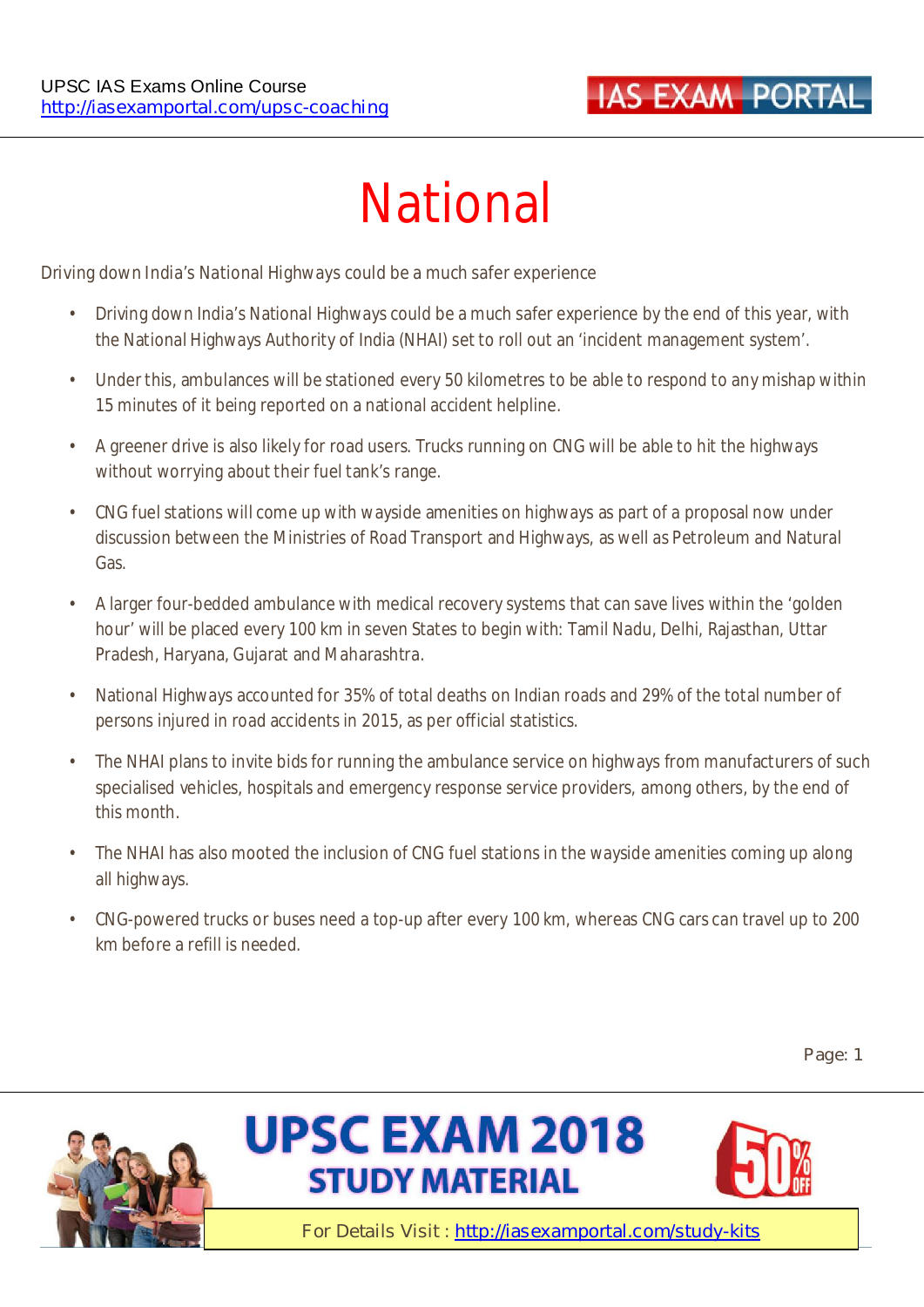# **IAS EXAM PORTA**

# **National**

#### **Driving down India's National Highways could be a much safer experience**

- Driving down India's National Highways could be a much safer experience by the end of this year, with the National Highways Authority of India (NHAI) set to roll out an 'incident management system'.
- Under this, ambulances will be stationed every 50 kilometres to be able to respond to any mishap within 15 minutes of it being reported on a national accident helpline.
- A greener drive is also likely for road users. Trucks running on CNG will be able to hit the highways without worrying about their fuel tank's range.
- CNG fuel stations will come up with wayside amenities on highways as part of a proposal now under discussion between the Ministries of Road Transport and Highways, as well as Petroleum and Natural Gas.
- A larger four-bedded ambulance with medical recovery systems that can save lives within the 'golden hour' will be placed every 100 km in seven States to begin with: Tamil Nadu, Delhi, Rajasthan, Uttar Pradesh, Haryana, Gujarat and Maharashtra.
- National Highways accounted for 35% of total deaths on Indian roads and 29% of the total number of persons injured in road accidents in 2015, as per official statistics.
- The NHAI plans to invite bids for running the ambulance service on highways from manufacturers of such specialised vehicles, hospitals and emergency response service providers, among others, by the end of this month.
- The NHAI has also mooted the inclusion of CNG fuel stations in the wayside amenities coming up along all highways.
- CNG-powered trucks or buses need a top-up after every 100 km, whereas CNG cars can travel up to 200 km before a refill is needed.

**Page: 1** 





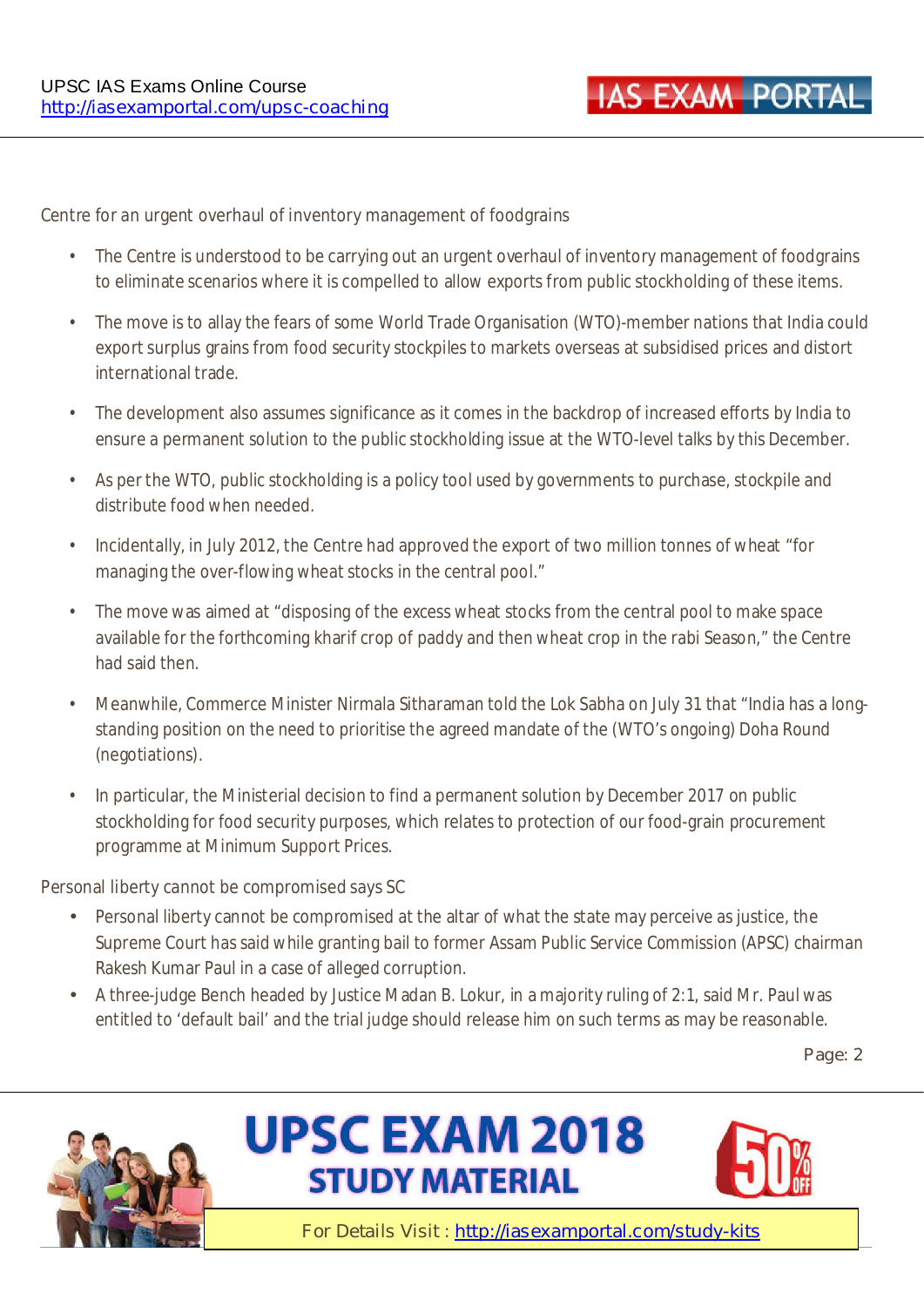#### **Centre for an urgent overhaul of inventory management of foodgrains**

- The Centre is understood to be carrying out an urgent overhaul of inventory management of foodgrains to eliminate scenarios where it is compelled to allow exports from public stockholding of these items.
- The move is to allay the fears of some World Trade Organisation (WTO)-member nations that India could export surplus grains from food security stockpiles to markets overseas at subsidised prices and distort international trade.
- The development also assumes significance as it comes in the backdrop of increased efforts by India to ensure a permanent solution to the public stockholding issue at the WTO-level talks by this December.
- As per the WTO, public stockholding is a policy tool used by governments to purchase, stockpile and distribute food when needed.
- Incidentally, in July 2012, the Centre had approved the export of two million tonnes of wheat "for managing the over-flowing wheat stocks in the central pool."
- The move was aimed at "disposing of the excess wheat stocks from the central pool to make space available for the forthcoming kharif crop of paddy and then wheat crop in the rabi Season," the Centre had said then.
- Meanwhile, Commerce Minister Nirmala Sitharaman told the Lok Sabha on July 31 that "India has a longstanding position on the need to prioritise the agreed mandate of the (WTO's ongoing) Doha Round (negotiations).
- In particular, the Ministerial decision to find a permanent solution by December 2017 on public stockholding for food security purposes, which relates to protection of our food-grain procurement programme at Minimum Support Prices.

#### **Personal liberty cannot be compromised says SC**

- Personal liberty cannot be compromised at the altar of what the state may perceive as justice, the Supreme Court has said while granting bail to former Assam Public Service Commission (APSC) chairman Rakesh Kumar Paul in a case of alleged corruption.
- A three-judge Bench headed by Justice Madan B. Lokur, in a majority ruling of 2:1, said Mr. Paul was entitled to 'default bail' and the trial judge should release him on such terms as may be reasonable.

**Page: 2** 



# **UPSC EXAM 2018 STUDY MATERIAL**

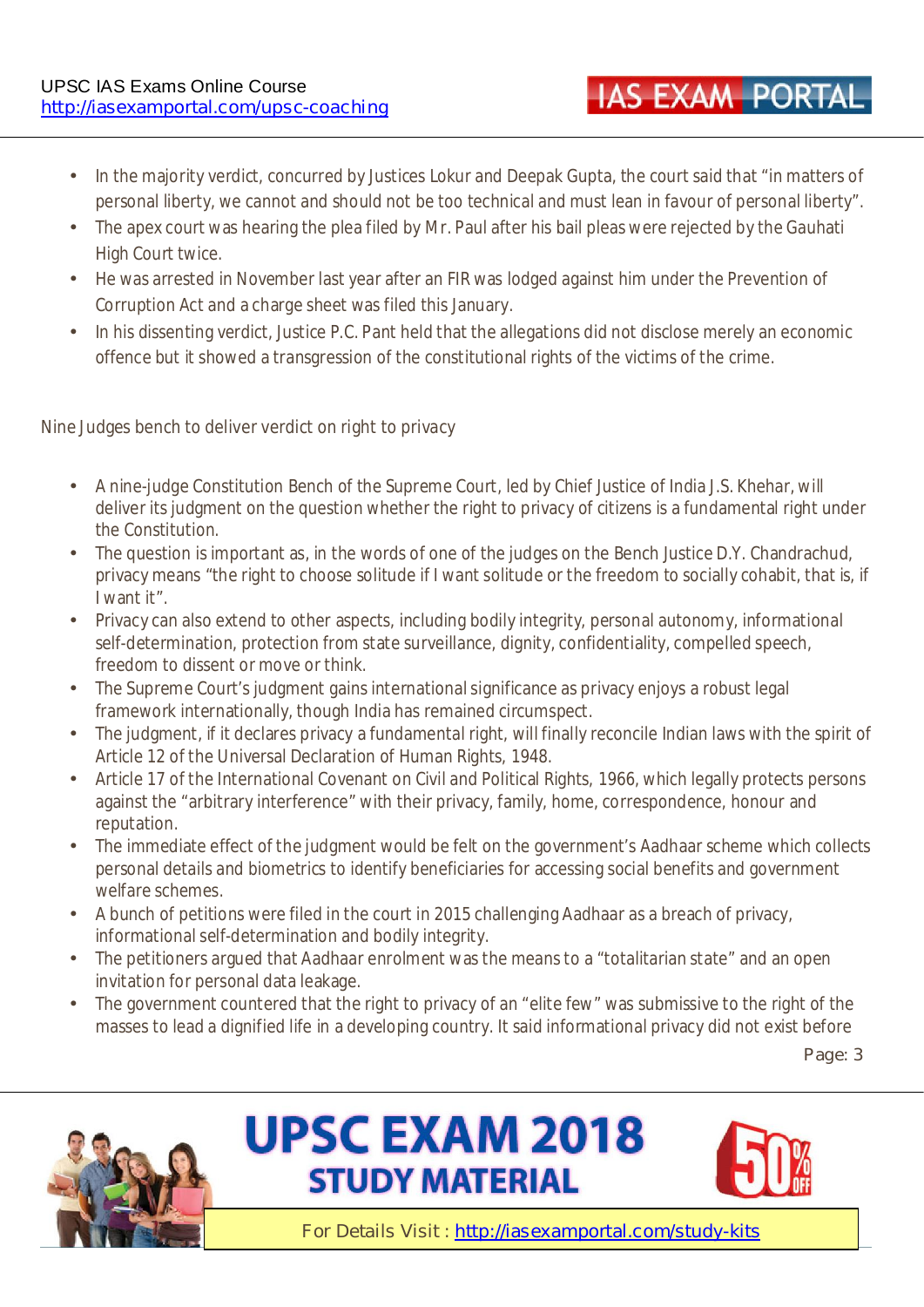- In the majority verdict, concurred by Justices Lokur and Deepak Gupta, the court said that "in matters of personal liberty, we cannot and should not be too technical and must lean in favour of personal liberty".
- The apex court was hearing the plea filed by Mr. Paul after his bail pleas were rejected by the Gauhati High Court twice.
- He was arrested in November last year after an FIR was lodged against him under the Prevention of Corruption Act and a charge sheet was filed this January.
- In his dissenting verdict, Justice P.C. Pant held that the allegations did not disclose merely an economic offence but it showed a transgression of the constitutional rights of the victims of the crime.

#### **Nine Judges bench to deliver verdict on right to privacy**

- A nine-judge Constitution Bench of the Supreme Court, led by Chief Justice of India J.S. Khehar, will deliver its judgment on the question whether the right to privacy of citizens is a fundamental right under the Constitution.
- The question is important as, in the words of one of the judges on the Bench Justice D.Y. Chandrachud, privacy means "the right to choose solitude if I want solitude or the freedom to socially cohabit, that is, if I want it".
- Privacy can also extend to other aspects, including bodily integrity, personal autonomy, informational self-determination, protection from state surveillance, dignity, confidentiality, compelled speech, freedom to dissent or move or think.
- The Supreme Court's judgment gains international significance as privacy enjoys a robust legal framework internationally, though India has remained circumspect.
- The judgment, if it declares privacy a fundamental right, will finally reconcile Indian laws with the spirit of Article 12 of the Universal Declaration of Human Rights, 1948.
- Article 17 of the International Covenant on Civil and Political Rights, 1966, which legally protects persons against the "arbitrary interference" with their privacy, family, home, correspondence, honour and reputation.
- The immediate effect of the judgment would be felt on the government's Aadhaar scheme which collects personal details and biometrics to identify beneficiaries for accessing social benefits and government welfare schemes.
- A bunch of petitions were filed in the court in 2015 challenging Aadhaar as a breach of privacy, informational self-determination and bodily integrity.
- The petitioners argued that Aadhaar enrolment was the means to a "totalitarian state" and an open invitation for personal data leakage.
- The government countered that the right to privacy of an "elite few" was submissive to the right of the masses to lead a dignified life in a developing country. It said informational privacy did not exist before

**Page: 3** 







**IAS EXAM PORTAL**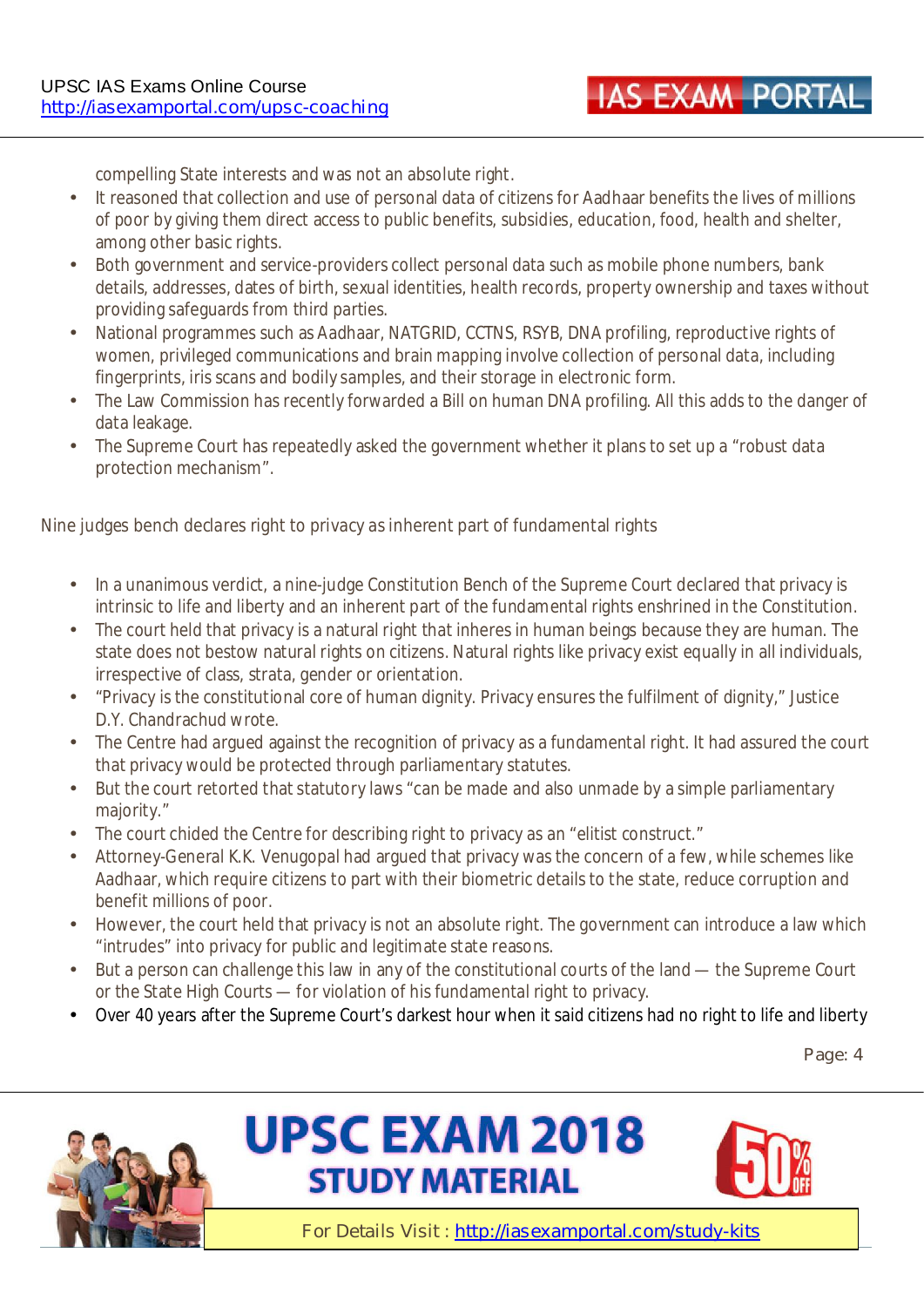compelling State interests and was not an absolute right.

- It reasoned that collection and use of personal data of citizens for Aadhaar benefits the lives of millions of poor by giving them direct access to public benefits, subsidies, education, food, health and shelter, among other basic rights.
- Both government and service-providers collect personal data such as mobile phone numbers, bank details, addresses, dates of birth, sexual identities, health records, property ownership and taxes without providing safeguards from third parties.
- National programmes such as Aadhaar, NATGRID, CCTNS, RSYB, DNA profiling, reproductive rights of women, privileged communications and brain mapping involve collection of personal data, including fingerprints, iris scans and bodily samples, and their storage in electronic form.
- The Law Commission has recently forwarded a Bill on human DNA profiling. All this adds to the danger of data leakage.
- The Supreme Court has repeatedly asked the government whether it plans to set up a "robust data" protection mechanism".

#### **Nine judges bench declares right to privacy as inherent part of fundamental rights**

- In a unanimous verdict, a nine-judge Constitution Bench of the Supreme Court declared that privacy is intrinsic to life and liberty and an inherent part of the fundamental rights enshrined in the Constitution.
- The court held that privacy is a natural right that inheres in human beings because they are human. The state does not bestow natural rights on citizens. Natural rights like privacy exist equally in all individuals, irrespective of class, strata, gender or orientation.
- "Privacy is the constitutional core of human dignity. Privacy ensures the fulfilment of dignity," Justice D.Y. Chandrachud wrote.
- The Centre had argued against the recognition of privacy as a fundamental right. It had assured the court that privacy would be protected through parliamentary statutes.
- But the court retorted that statutory laws "can be made and also unmade by a simple parliamentary majority."
- The court chided the Centre for describing right to privacy as an "elitist construct."
- Attorney-General K.K. Venugopal had argued that privacy was the concern of a few, while schemes like Aadhaar, which require citizens to part with their biometric details to the state, reduce corruption and benefit millions of poor.
- However, the court held that privacy is not an absolute right. The government can introduce a law which "intrudes" into privacy for public and legitimate state reasons.
- But a person can challenge this law in any of the constitutional courts of the land the Supreme Court or the State High Courts — for violation of his fundamental right to privacy.
- Over 40 years after the Supreme Court's darkest hour when it said citizens had no right to life and liberty

**Page: 4** 





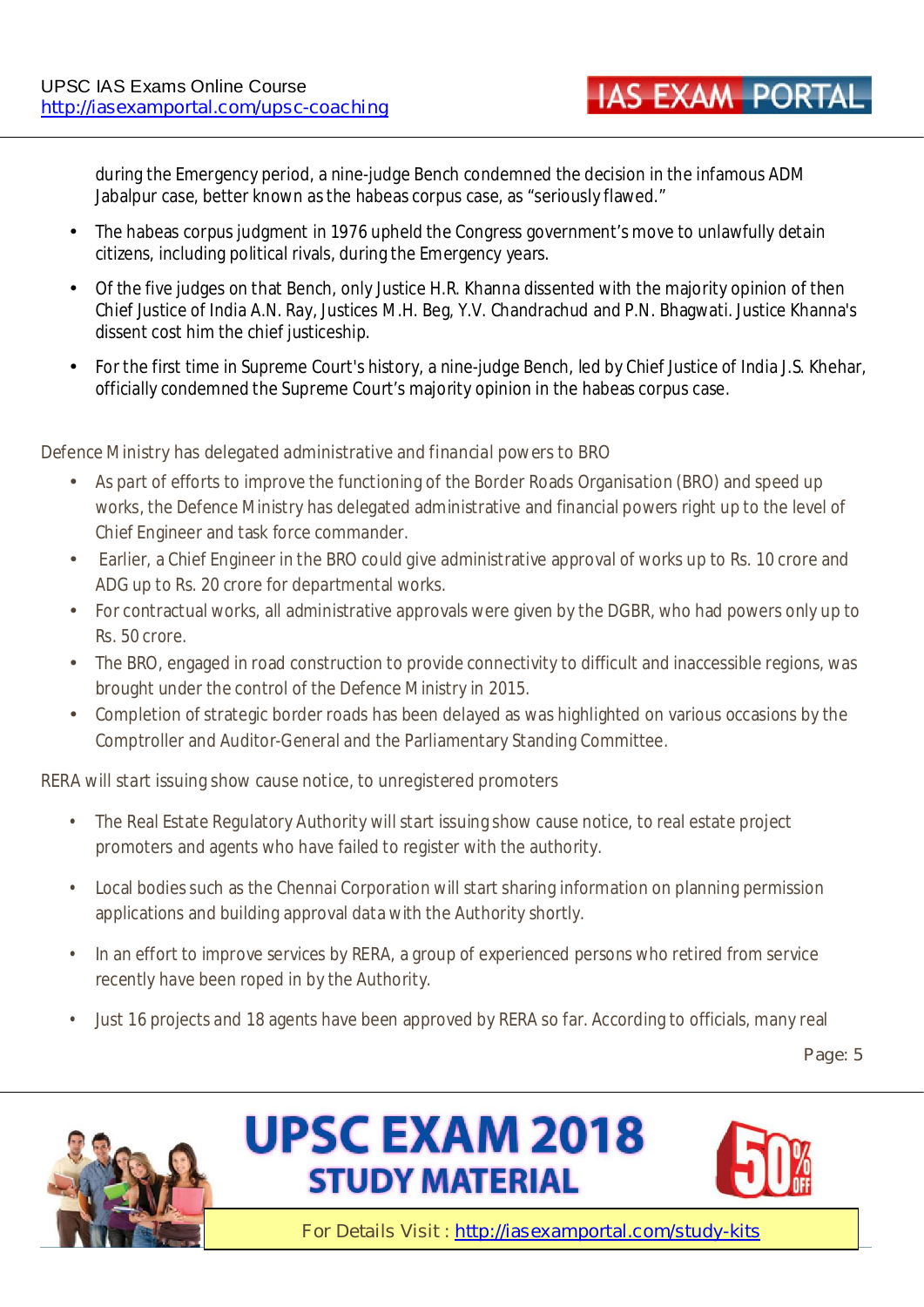during the Emergency period, a nine-judge Bench condemned the decision in the infamous ADM Jabalpur case, better known as the habeas corpus case, as "seriously flawed."

- The habeas corpus judgment in 1976 upheld the Congress government's move to unlawfully detain citizens, including political rivals, during the Emergency years.
- Of the five judges on that Bench, only Justice H.R. Khanna dissented with the majority opinion of then Chief Justice of India A.N. Ray, Justices M.H. Beg, Y.V. Chandrachud and P.N. Bhagwati. Justice Khanna's dissent cost him the chief justiceship.
- For the first time in Supreme Court's history, a nine-judge Bench, led by Chief Justice of India J.S. Khehar, officially condemned the Supreme Court's majority opinion in the habeas corpus case.

#### **Defence Ministry has delegated administrative and financial powers to BRO**

- As part of efforts to improve the functioning of the Border Roads Organisation (BRO) and speed up works, the Defence Ministry has delegated administrative and financial powers right up to the level of Chief Engineer and task force commander.
- Earlier, a Chief Engineer in the BRO could give administrative approval of works up to Rs. 10 crore and ADG up to Rs. 20 crore for departmental works.
- For contractual works, all administrative approvals were given by the DGBR, who had powers only up to Rs. 50 crore.
- The BRO, engaged in road construction to provide connectivity to difficult and inaccessible regions, was brought under the control of the Defence Ministry in 2015.
- Completion of strategic border roads has been delayed as was highlighted on various occasions by the Comptroller and Auditor-General and the Parliamentary Standing Committee.

#### **RERA will start issuing show cause notice, to unregistered promoters**

- The Real Estate Regulatory Authority will start issuing show cause notice, to real estate project promoters and agents who have failed to register with the authority.
- Local bodies such as the Chennai Corporation will start sharing information on planning permission applications and building approval data with the Authority shortly.
- In an effort to improve services by RERA, a group of experienced persons who retired from service recently have been roped in by the Authority.
- Just 16 projects and 18 agents have been approved by RERA so far. According to officials, many real

**Page: 5** 





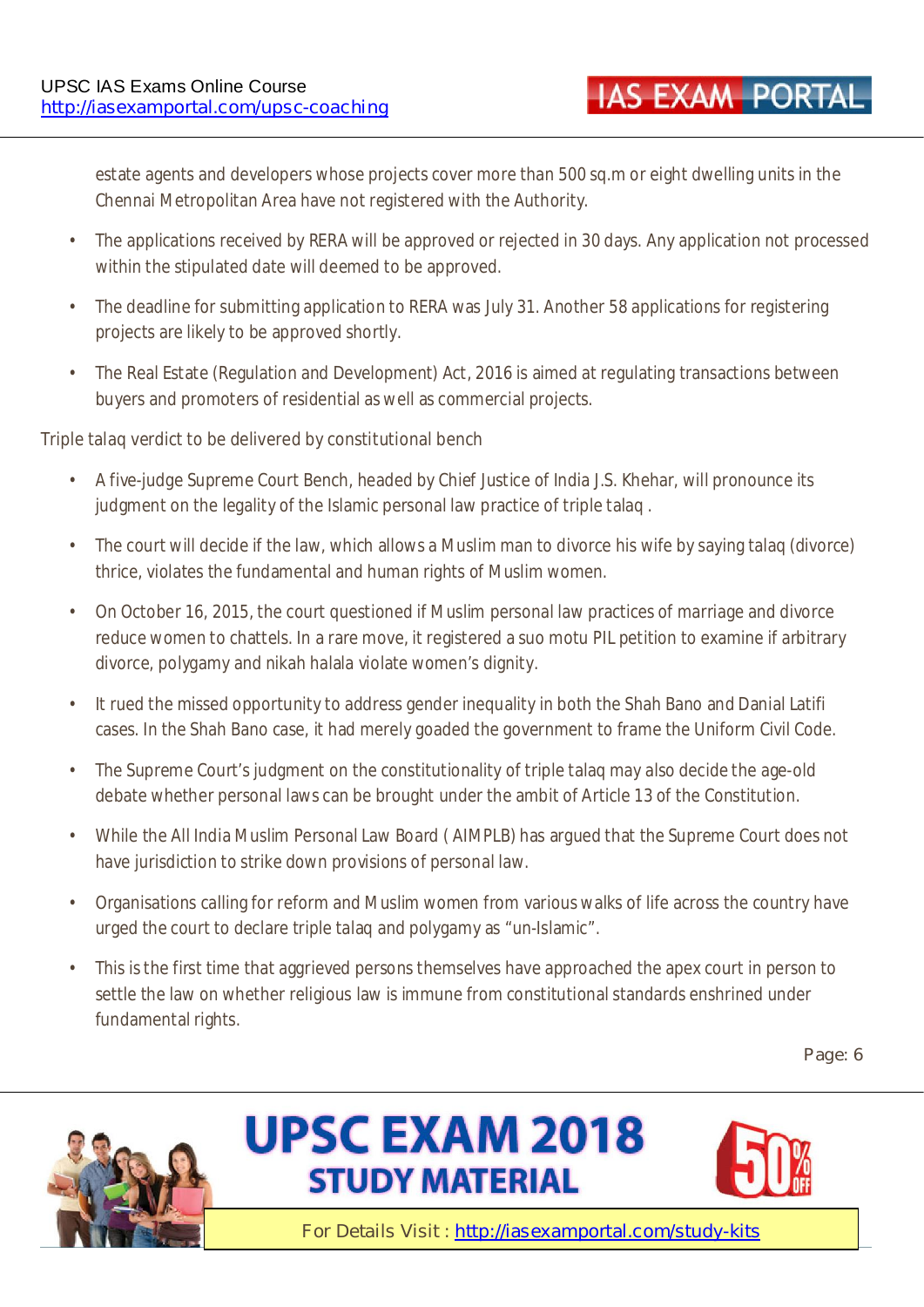estate agents and developers whose projects cover more than 500 sq.m or eight dwelling units in the Chennai Metropolitan Area have not registered with the Authority.

- The applications received by RERA will be approved or rejected in 30 days. Any application not processed within the stipulated date will deemed to be approved.
- The deadline for submitting application to RERA was July 31. Another 58 applications for registering projects are likely to be approved shortly.
- The Real Estate (Regulation and Development) Act, 2016 is aimed at regulating transactions between buyers and promoters of residential as well as commercial projects.

#### **Triple talaq verdict to be delivered by constitutional bench**

- A five-judge Supreme Court Bench, headed by Chief Justice of India J.S. Khehar, will pronounce its judgment on the legality of the Islamic personal law practice of triple talaq .
- The court will decide if the law, which allows a Muslim man to divorce his wife by saying talaq (divorce) thrice, violates the fundamental and human rights of Muslim women.
- On October 16, 2015, the court questioned if Muslim personal law practices of marriage and divorce reduce women to chattels. In a rare move, it registered a suo motu PIL petition to examine if arbitrary divorce, polygamy and nikah halala violate women's dignity.
- It rued the missed opportunity to address gender inequality in both the Shah Bano and Danial Latifi cases. In the Shah Bano case, it had merely goaded the government to frame the Uniform Civil Code.
- The Supreme Court's judgment on the constitutionality of triple talaq may also decide the age-old debate whether personal laws can be brought under the ambit of Article 13 of the Constitution.
- While the All India Muslim Personal Law Board ( AIMPLB) has argued that the Supreme Court does not have jurisdiction to strike down provisions of personal law.
- Organisations calling for reform and Muslim women from various walks of life across the country have urged the court to declare triple talaq and polygamy as "un-Islamic".
- This is the first time that aggrieved persons themselves have approached the apex court in person to settle the law on whether religious law is immune from constitutional standards enshrined under fundamental rights.

**Page: 6** 





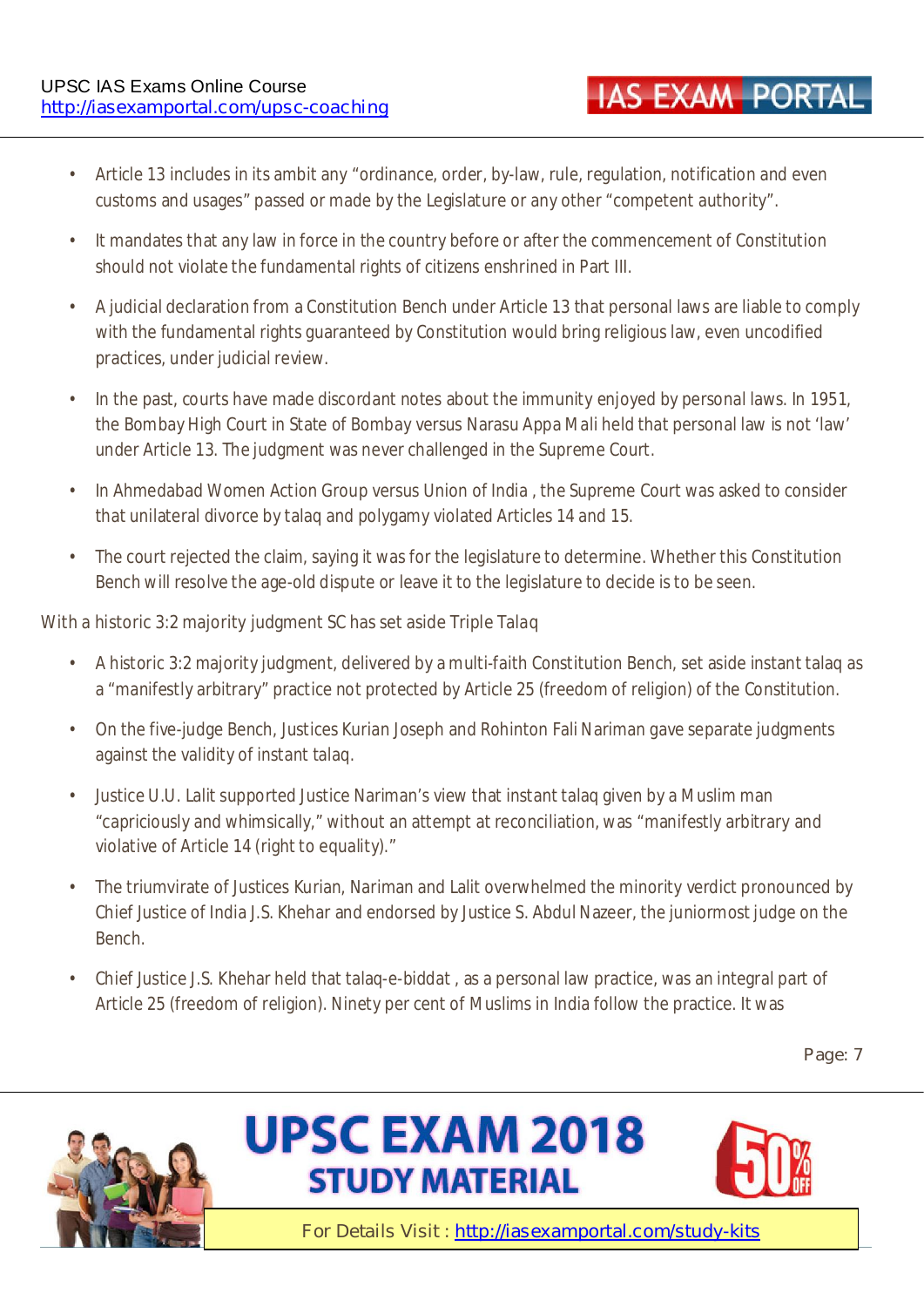• Article 13 includes in its ambit any "ordinance, order, by-law, rule, regulation, notification and even customs and usages" passed or made by the Legislature or any other "competent authority".

**IAS EXAM PORTAL** 

- It mandates that any law in force in the country before or after the commencement of Constitution should not violate the fundamental rights of citizens enshrined in Part III.
- A judicial declaration from a Constitution Bench under Article 13 that personal laws are liable to comply with the fundamental rights guaranteed by Constitution would bring religious law, even uncodified practices, under judicial review.
- In the past, courts have made discordant notes about the immunity enjoyed by personal laws. In 1951, the Bombay High Court in State of Bombay versus Narasu Appa Mali held that personal law is not 'law' under Article 13. The judgment was never challenged in the Supreme Court.
- In Ahmedabad Women Action Group versus Union of India , the Supreme Court was asked to consider that unilateral divorce by talaq and polygamy violated Articles 14 and 15.
- The court rejected the claim, saying it was for the legislature to determine. Whether this Constitution Bench will resolve the age-old dispute or leave it to the legislature to decide is to be seen.

#### **With a historic 3:2 majority judgment SC has set aside Triple Talaq**

- A historic 3:2 majority judgment, delivered by a multi-faith Constitution Bench, set aside instant talaq as a "manifestly arbitrary" practice not protected by Article 25 (freedom of religion) of the Constitution.
- On the five-judge Bench, Justices Kurian Joseph and Rohinton Fali Nariman gave separate judgments against the validity of instant talaq.
- Justice U.U. Lalit supported Justice Nariman's view that instant talaq given by a Muslim man "capriciously and whimsically," without an attempt at reconciliation, was "manifestly arbitrary and violative of Article 14 (right to equality)."
- The triumvirate of Justices Kurian, Nariman and Lalit overwhelmed the minority verdict pronounced by Chief Justice of India J.S. Khehar and endorsed by Justice S. Abdul Nazeer, the juniormost judge on the Bench.
- Chief Justice J.S. Khehar held that talaq-e-biddat , as a personal law practice, was an integral part of Article 25 (freedom of religion). Ninety per cent of Muslims in India follow the practice. It was

**Page: 7** 





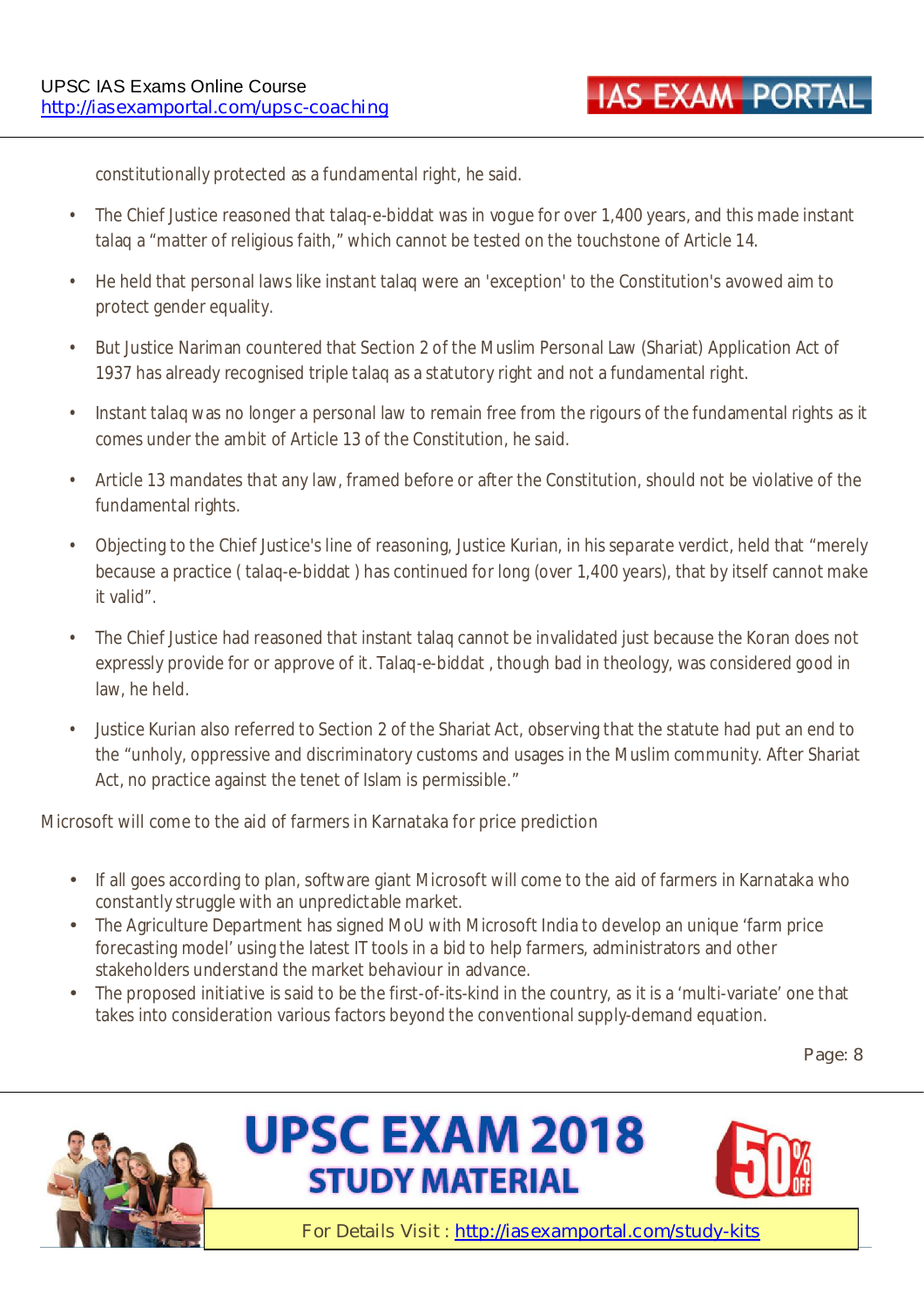constitutionally protected as a fundamental right, he said.

- The Chief Justice reasoned that talaq-e-biddat was in vogue for over 1,400 years, and this made instant talaq a "matter of religious faith," which cannot be tested on the touchstone of Article 14.
- He held that personal laws like instant talaq were an 'exception' to the Constitution's avowed aim to protect gender equality.
- But Justice Nariman countered that Section 2 of the Muslim Personal Law (Shariat) Application Act of 1937 has already recognised triple talaq as a statutory right and not a fundamental right.
- Instant talaq was no longer a personal law to remain free from the rigours of the fundamental rights as it comes under the ambit of Article 13 of the Constitution, he said.
- Article 13 mandates that any law, framed before or after the Constitution, should not be violative of the fundamental rights.
- Objecting to the Chief Justice's line of reasoning, Justice Kurian, in his separate verdict, held that "merely because a practice ( talaq-e-biddat ) has continued for long (over 1,400 years), that by itself cannot make it valid".
- The Chief Justice had reasoned that instant talaq cannot be invalidated just because the Koran does not expressly provide for or approve of it. Talaq-e-biddat , though bad in theology, was considered good in law, he held.
- Justice Kurian also referred to Section 2 of the Shariat Act, observing that the statute had put an end to the "unholy, oppressive and discriminatory customs and usages in the Muslim community. After Shariat Act, no practice against the tenet of Islam is permissible."

#### **Microsoft will come to the aid of farmers in Karnataka for price prediction**

- If all goes according to plan, software giant Microsoft will come to the aid of farmers in Karnataka who constantly struggle with an unpredictable market.
- The Agriculture Department has signed MoU with Microsoft India to develop an unique 'farm price forecasting model' using the latest IT tools in a bid to help farmers, administrators and other stakeholders understand the market behaviour in advance.
- The proposed initiative is said to be the first-of-its-kind in the country, as it is a 'multi-variate' one that takes into consideration various factors beyond the conventional supply-demand equation.

#### **Page: 8**





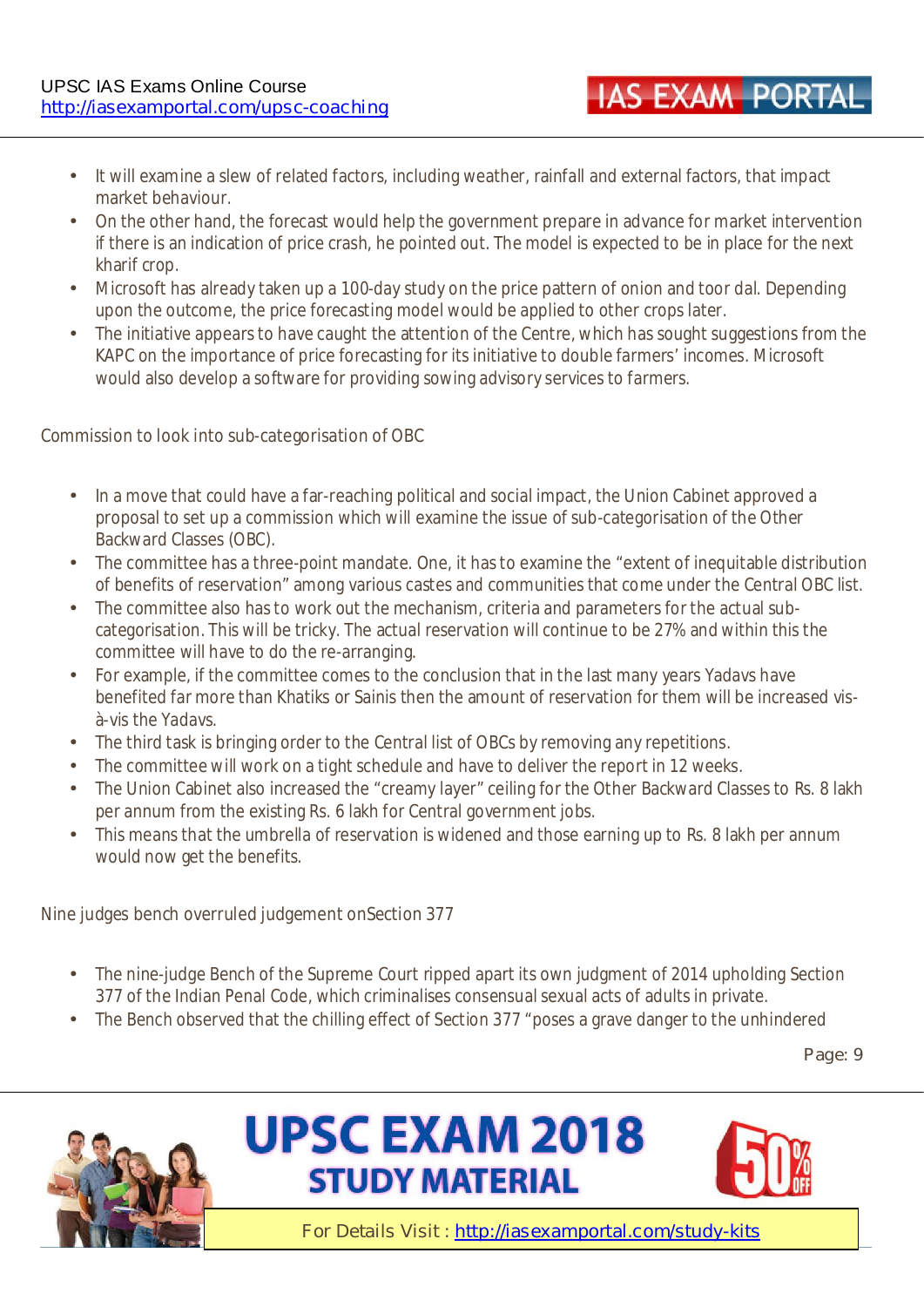- It will examine a slew of related factors, including weather, rainfall and external factors, that impact market behaviour.
- On the other hand, the forecast would help the government prepare in advance for market intervention if there is an indication of price crash, he pointed out. The model is expected to be in place for the next kharif crop.
- Microsoft has already taken up a 100-day study on the price pattern of onion and toor dal. Depending upon the outcome, the price forecasting model would be applied to other crops later.
- The initiative appears to have caught the attention of the Centre, which has sought suggestions from the KAPC on the importance of price forecasting for its initiative to double farmers' incomes. Microsoft would also develop a software for providing sowing advisory services to farmers.

#### **Commission to look into sub-categorisation of OBC**

- In a move that could have a far-reaching political and social impact, the Union Cabinet approved a proposal to set up a commission which will examine the issue of sub-categorisation of the Other Backward Classes (OBC).
- The committee has a three-point mandate. One, it has to examine the "extent of inequitable distribution of benefits of reservation" among various castes and communities that come under the Central OBC list.
- The committee also has to work out the mechanism, criteria and parameters for the actual subcategorisation. This will be tricky. The actual reservation will continue to be 27% and within this the committee will have to do the re-arranging.
- For example, if the committee comes to the conclusion that in the last many years Yadavs have benefited far more than Khatiks or Sainis then the amount of reservation for them will be increased visà-vis the Yadavs.
- The third task is bringing order to the Central list of OBCs by removing any repetitions.
- The committee will work on a tight schedule and have to deliver the report in 12 weeks.
- The Union Cabinet also increased the "creamy layer" ceiling for the Other Backward Classes to Rs. 8 lakh per annum from the existing Rs. 6 lakh for Central government jobs.
- This means that the umbrella of reservation is widened and those earning up to Rs. 8 lakh per annum would now get the benefits.

#### **Nine judges bench overruled judgement onSection 377**

- The nine-judge Bench of the Supreme Court ripped apart its own judgment of 2014 upholding Section 377 of the Indian Penal Code, which criminalises consensual sexual acts of adults in private.
- The Bench observed that the chilling effect of Section 377 "poses a grave danger to the unhindered

**Page: 9** 







**IAS EXAM PORTA**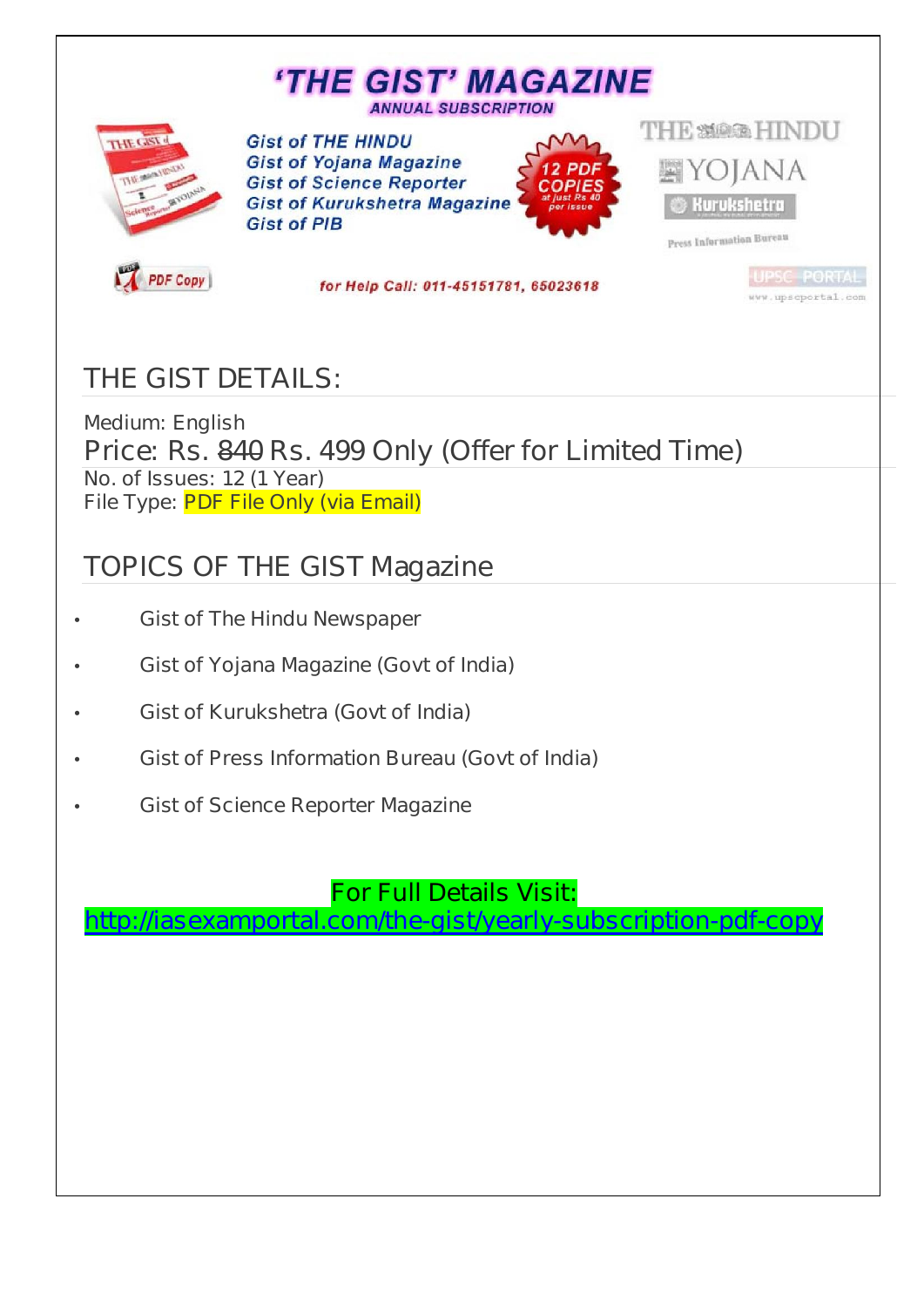# **'THE GIST' MAGAZINE**

**ANNUAL SUBSCRIPTION** 



**Gist of THE HINDU Gist of Yojana Magazine Gist of Science Reporter Gist of Kurukshetra Magazine Gist of PIB** 



**THE SMAGE HINDII** YOJANA **Kurukshetra** 

www.upscportal.com

Press Information Bureau

**PDF Copy** 

for Help Call: 011-45151781, 65023618

### **THE GIST DETAILS:**

**Medium: English Price: Rs. 840 Rs. 499 Only (Offer for Limited Time) No. of Issues: 12 (1 Year) File Type: PDF File Only (via Email)** 

### **TOPICS OF THE GIST Magazine**

- **Gist of The Hindu Newspaper**
- **Gist of Yojana Magazine (Govt of India)**
- **Gist of Kurukshetra (Govt of India)**
- **Gist of Press Information Bureau (Govt of India)**
- **Gist of Science Reporter Magazine**

#### **For Full Details Visit:**

**http://iasexamportal.com/the-gist/yearly-subscription-pdf-copy**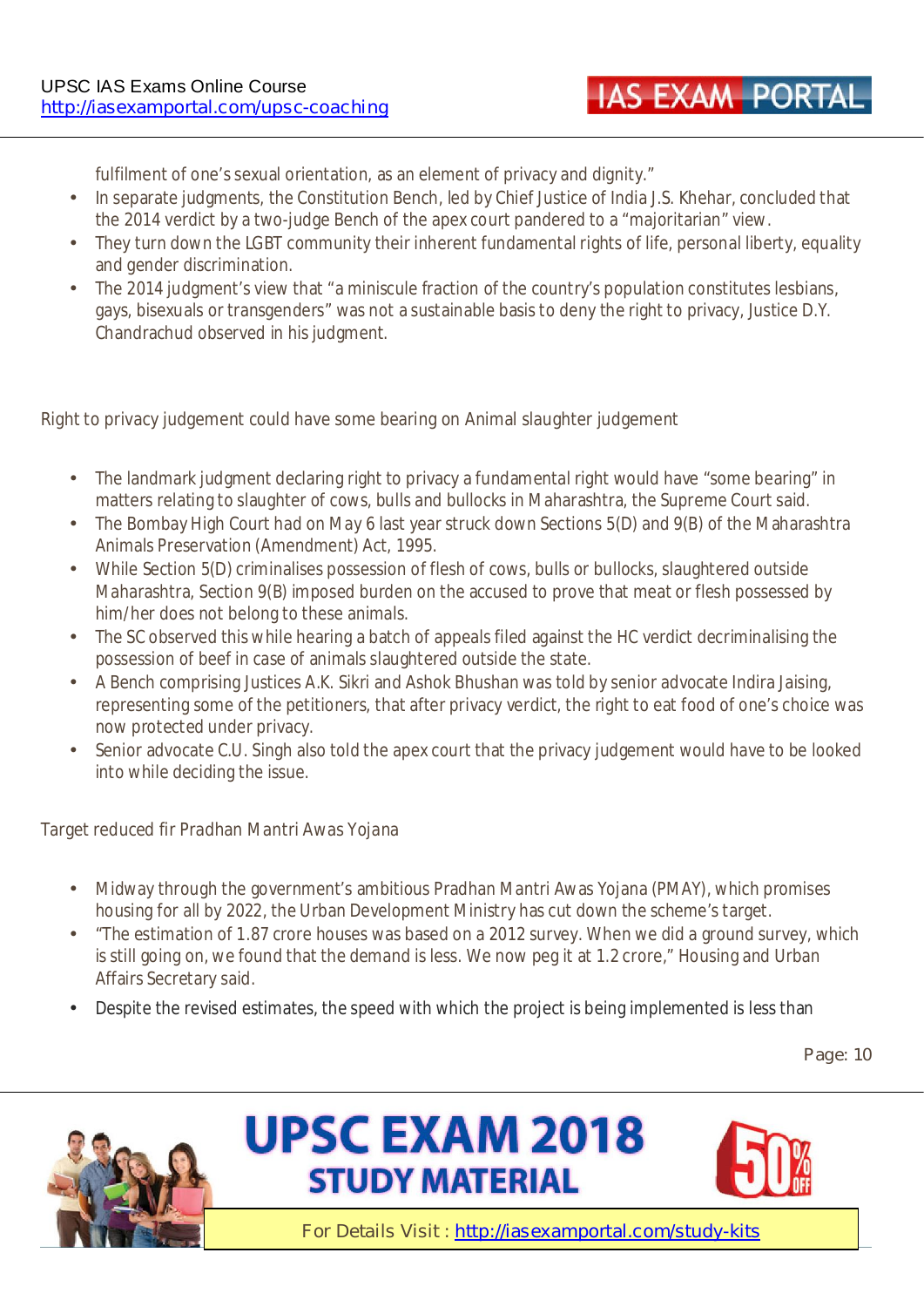**IAS EXAM PORTA** 

fulfilment of one's sexual orientation, as an element of privacy and dignity."

- In separate judgments, the Constitution Bench, led by Chief Justice of India J.S. Khehar, concluded that the 2014 verdict by a two-judge Bench of the apex court pandered to a "majoritarian" view.
- They turn down the LGBT community their inherent fundamental rights of life, personal liberty, equality and gender discrimination.
- The 2014 judgment's view that "a miniscule fraction of the country's population constitutes lesbians, gays, bisexuals or transgenders" was not a sustainable basis to deny the right to privacy, Justice D.Y. Chandrachud observed in his judgment.

#### **Right to privacy judgement could have some bearing on Animal slaughter judgement**

- The landmark judgment declaring right to privacy a fundamental right would have "some bearing" in matters relating to slaughter of cows, bulls and bullocks in Maharashtra, the Supreme Court said.
- The Bombay High Court had on May 6 last year struck down Sections 5(D) and 9(B) of the Maharashtra Animals Preservation (Amendment) Act, 1995.
- While Section 5(D) criminalises possession of flesh of cows, bulls or bullocks, slaughtered outside Maharashtra, Section 9(B) imposed burden on the accused to prove that meat or flesh possessed by him/her does not belong to these animals.
- The SC observed this while hearing a batch of appeals filed against the HC verdict decriminalising the possession of beef in case of animals slaughtered outside the state.
- A Bench comprising Justices A.K. Sikri and Ashok Bhushan was told by senior advocate Indira Jaising, representing some of the petitioners, that after privacy verdict, the right to eat food of one's choice was now protected under privacy.
- Senior advocate C.U. Singh also told the apex court that the privacy judgement would have to be looked into while deciding the issue.

#### **Target reduced fir Pradhan Mantri Awas Yojana**

- Midway through the government's ambitious Pradhan Mantri Awas Yojana (PMAY), which promises housing for all by 2022, the Urban Development Ministry has cut down the scheme's target.
- "The estimation of 1.87 crore houses was based on a 2012 survey. When we did a ground survey, which is still going on, we found that the demand is less. We now peg it at 1.2 crore," Housing and Urban Affairs Secretary said.
- Despite the revised estimates, the speed with which the project is being implemented is less than

**Page: 10** 





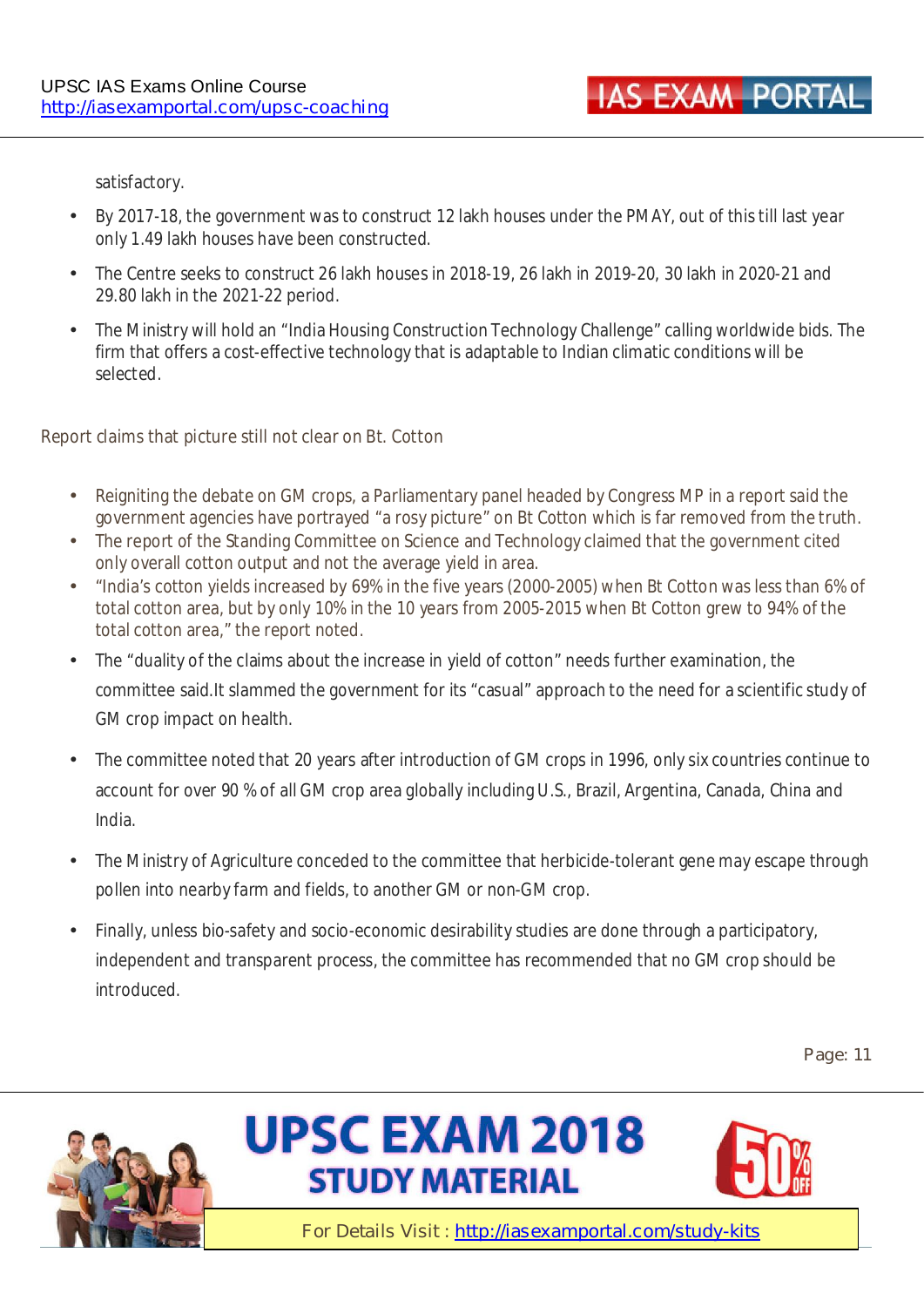**IAS EXAM PORTA** 

satisfactory.

- By 2017-18, the government was to construct 12 lakh houses under the PMAY, out of this till last year only 1.49 lakh houses have been constructed.
- The Centre seeks to construct 26 lakh houses in 2018-19, 26 lakh in 2019-20, 30 lakh in 2020-21 and 29.80 lakh in the 2021-22 period.
- The Ministry will hold an "India Housing Construction Technology Challenge" calling worldwide bids. The firm that offers a cost-effective technology that is adaptable to Indian climatic conditions will be selected.

#### **Report claims that picture still not clear on Bt. Cotton**

- Reigniting the debate on GM crops, a Parliamentary panel headed by Congress MP in a report said the government agencies have portrayed "a rosy picture" on Bt Cotton which is far removed from the truth.
- The report of the Standing Committee on Science and Technology claimed that the government cited only overall cotton output and not the average yield in area.
- "India's cotton yields increased by 69% in the five years (2000-2005) when Bt Cotton was less than 6% of total cotton area, but by only 10% in the 10 years from 2005-2015 when Bt Cotton grew to 94% of the total cotton area," the report noted.
- The "duality of the claims about the increase in yield of cotton" needs further examination, the committee said.It slammed the government for its "casual" approach to the need for a scientific study of GM crop impact on health.
- The committee noted that 20 years after introduction of GM crops in 1996, only six countries continue to account for over 90 % of all GM crop area globally including U.S., Brazil, Argentina, Canada, China and India.
- The Ministry of Agriculture conceded to the committee that herbicide-tolerant gene may escape through pollen into nearby farm and fields, to another GM or non-GM crop.
- Finally, unless bio-safety and socio-economic desirability studies are done through a participatory, independent and transparent process, the committee has recommended that no GM crop should be introduced.

**Page: 11** 





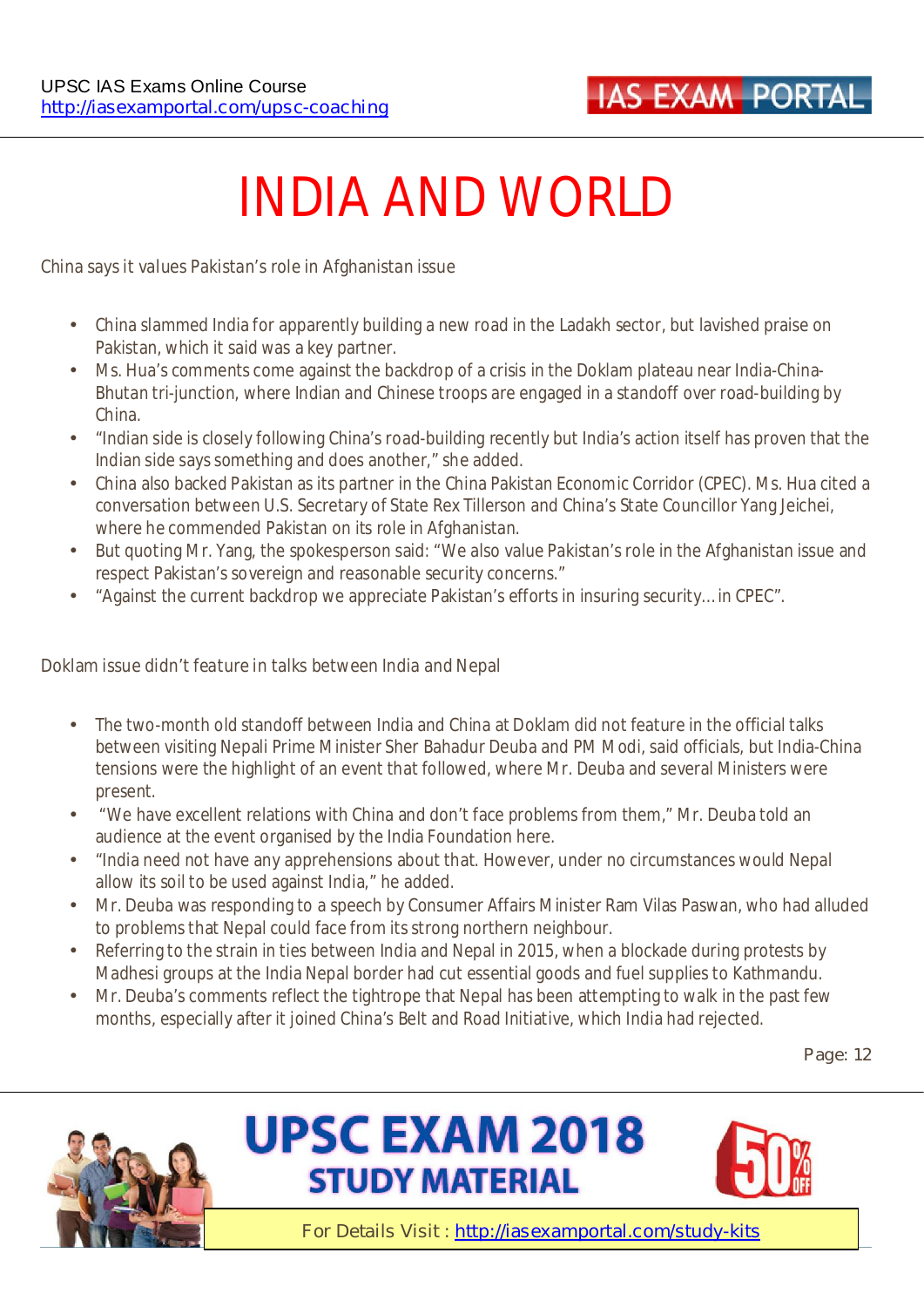

# **INDIA AND WORLD**

#### **China says it values Pakistan's role in Afghanistan issue**

- China slammed India for apparently building a new road in the Ladakh sector, but lavished praise on Pakistan, which it said was a key partner.
- Ms. Hua's comments come against the backdrop of a crisis in the Doklam plateau near India-China-Bhutan tri-junction, where Indian and Chinese troops are engaged in a standoff over road-building by China.
- "Indian side is closely following China's road-building recently but India's action itself has proven that the Indian side says something and does another," she added.
- China also backed Pakistan as its partner in the China Pakistan Economic Corridor (CPEC). Ms. Hua cited a conversation between U.S. Secretary of State Rex Tillerson and China's State Councillor Yang Jeichei, where he commended Pakistan on its role in Afghanistan.
- But quoting Mr. Yang, the spokesperson said: "We also value Pakistan's role in the Afghanistan issue and respect Pakistan's sovereign and reasonable security concerns."
- "Against the current backdrop we appreciate Pakistan's efforts in insuring security… in CPEC".

#### **Doklam issue didn't feature in talks between India and Nepal**

- The two-month old standoff between India and China at Doklam did not feature in the official talks between visiting Nepali Prime Minister Sher Bahadur Deuba and PM Modi, said officials, but India-China tensions were the highlight of an event that followed, where Mr. Deuba and several Ministers were present.
- "We have excellent relations with China and don't face problems from them," Mr. Deuba told an audience at the event organised by the India Foundation here.
- "India need not have any apprehensions about that. However, under no circumstances would Nepal allow its soil to be used against India," he added.
- Mr. Deuba was responding to a speech by Consumer Affairs Minister Ram Vilas Paswan, who had alluded to problems that Nepal could face from its strong northern neighbour.
- Referring to the strain in ties between India and Nepal in 2015, when a blockade during protests by Madhesi groups at the India Nepal border had cut essential goods and fuel supplies to Kathmandu.
- Mr. Deuba's comments reflect the tightrope that Nepal has been attempting to walk in the past few months, especially after it joined China's Belt and Road Initiative, which India had rejected.

**Page: 12** 





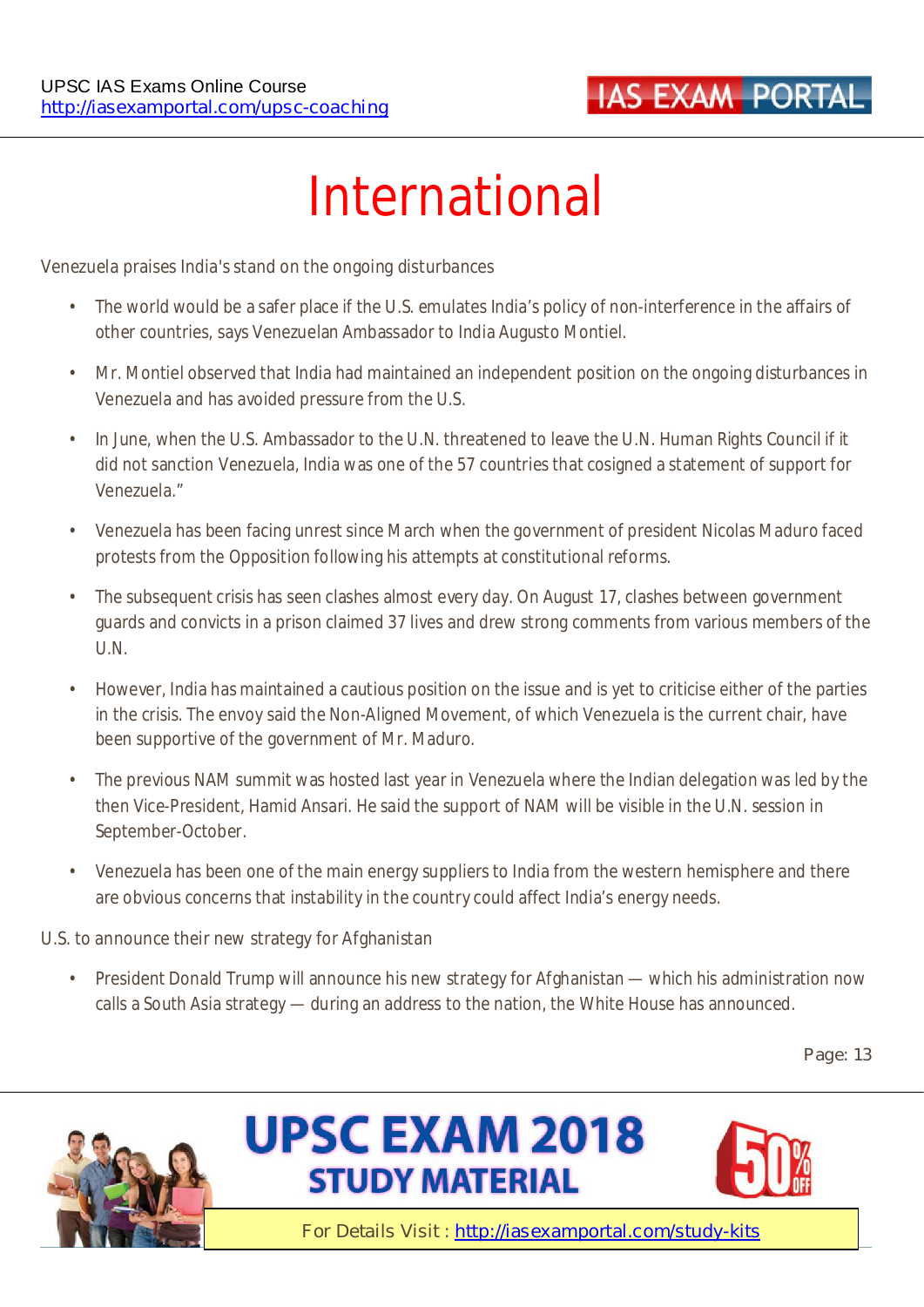

# **International**

#### **Venezuela praises India's stand on the ongoing disturbances**

- The world would be a safer place if the U.S. emulates India's policy of non-interference in the affairs of other countries, says Venezuelan Ambassador to India Augusto Montiel.
- Mr. Montiel observed that India had maintained an independent position on the ongoing disturbances in Venezuela and has avoided pressure from the U.S.
- In June, when the U.S. Ambassador to the U.N. threatened to leave the U.N. Human Rights Council if it did not sanction Venezuela, India was one of the 57 countries that cosigned a statement of support for Venezuela."
- Venezuela has been facing unrest since March when the government of president Nicolas Maduro faced protests from the Opposition following his attempts at constitutional reforms.
- The subsequent crisis has seen clashes almost every day. On August 17, clashes between government guards and convicts in a prison claimed 37 lives and drew strong comments from various members of the U.N.
- However, India has maintained a cautious position on the issue and is yet to criticise either of the parties in the crisis. The envoy said the Non-Aligned Movement, of which Venezuela is the current chair, have been supportive of the government of Mr. Maduro.
- The previous NAM summit was hosted last year in Venezuela where the Indian delegation was led by the then Vice-President, Hamid Ansari. He said the support of NAM will be visible in the U.N. session in September-October.
- Venezuela has been one of the main energy suppliers to India from the western hemisphere and there are obvious concerns that instability in the country could affect India's energy needs.

#### **U.S. to announce their new strategy for Afghanistan**

President Donald Trump will announce his new strategy for Afghanistan — which his administration now calls a South Asia strategy — during an address to the nation, the White House has announced.

**Page: 13** 





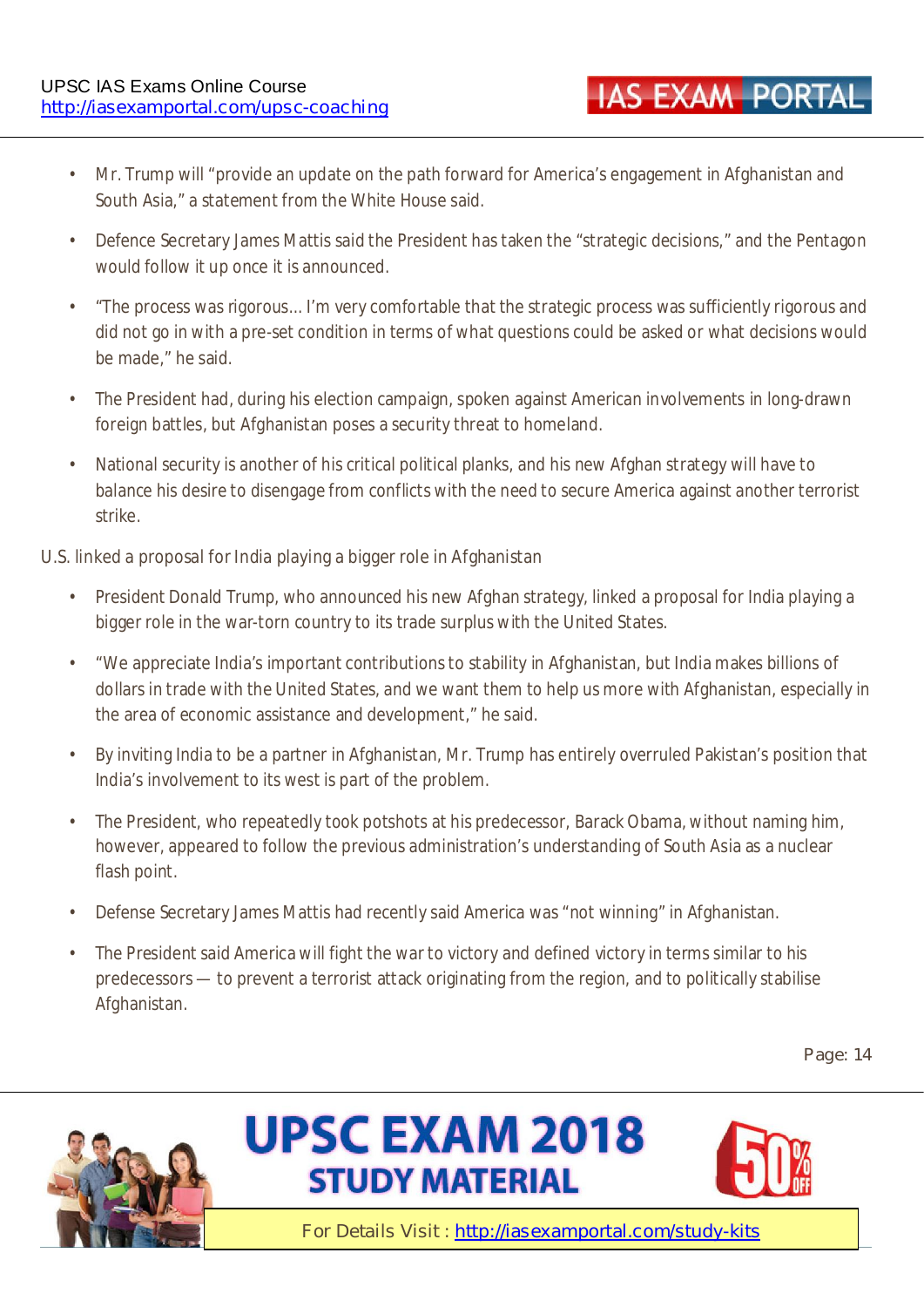- Mr. Trump will "provide an update on the path forward for America's engagement in Afghanistan and South Asia," a statement from the White House said.
- Defence Secretary James Mattis said the President has taken the "strategic decisions," and the Pentagon would follow it up once it is announced.
- "The process was rigorous... I'm very comfortable that the strategic process was sufficiently rigorous and did not go in with a pre-set condition in terms of what questions could be asked or what decisions would be made," he said.
- The President had, during his election campaign, spoken against American involvements in long-drawn foreign battles, but Afghanistan poses a security threat to homeland.
- National security is another of his critical political planks, and his new Afghan strategy will have to balance his desire to disengage from conflicts with the need to secure America against another terrorist strike.

#### **U.S. linked a proposal for India playing a bigger role in Afghanistan**

- President Donald Trump, who announced his new Afghan strategy, linked a proposal for India playing a bigger role in the war-torn country to its trade surplus with the United States.
- "We appreciate India's important contributions to stability in Afghanistan, but India makes billions of dollars in trade with the United States, and we want them to help us more with Afghanistan, especially in the area of economic assistance and development," he said.
- By inviting India to be a partner in Afghanistan, Mr. Trump has entirely overruled Pakistan's position that India's involvement to its west is part of the problem.
- The President, who repeatedly took potshots at his predecessor, Barack Obama, without naming him, however, appeared to follow the previous administration's understanding of South Asia as a nuclear flash point.
- Defense Secretary James Mattis had recently said America was "not winning" in Afghanistan.
- The President said America will fight the war to victory and defined victory in terms similar to his predecessors — to prevent a terrorist attack originating from the region, and to politically stabilise Afghanistan.

**Page: 14** 







**IAS EXAM PORTA**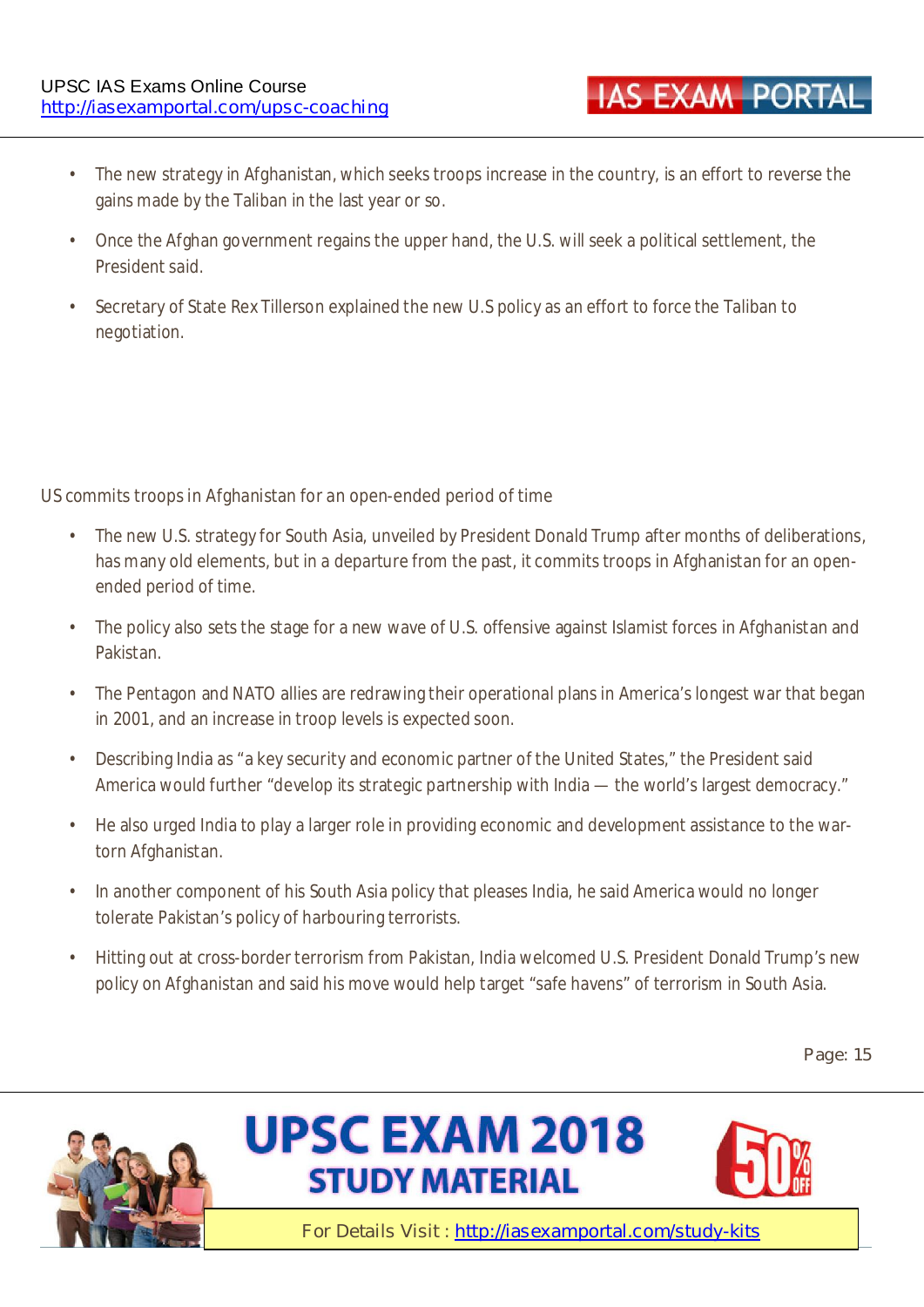- The new strategy in Afghanistan, which seeks troops increase in the country, is an effort to reverse the gains made by the Taliban in the last year or so.
- Once the Afghan government regains the upper hand, the U.S. will seek a political settlement, the President said.
- Secretary of State Rex Tillerson explained the new U.S policy as an effort to force the Taliban to negotiation.

#### **US commits troops in Afghanistan for an open-ended period of time**

- The new U.S. strategy for South Asia, unveiled by President Donald Trump after months of deliberations, has many old elements, but in a departure from the past, it commits troops in Afghanistan for an openended period of time.
- The policy also sets the stage for a new wave of U.S. offensive against Islamist forces in Afghanistan and Pakistan.
- The Pentagon and NATO allies are redrawing their operational plans in America's longest war that began in 2001, and an increase in troop levels is expected soon.
- Describing India as "a key security and economic partner of the United States," the President said America would further "develop its strategic partnership with India — the world's largest democracy."
- He also urged India to play a larger role in providing economic and development assistance to the wartorn Afghanistan.
- In another component of his South Asia policy that pleases India, he said America would no longer tolerate Pakistan's policy of harbouring terrorists.
- Hitting out at cross-border terrorism from Pakistan, India welcomed U.S. President Donald Trump's new policy on Afghanistan and said his move would help target "safe havens" of terrorism in South Asia.

#### **Page: 15**







**IAS EXAM PORTA**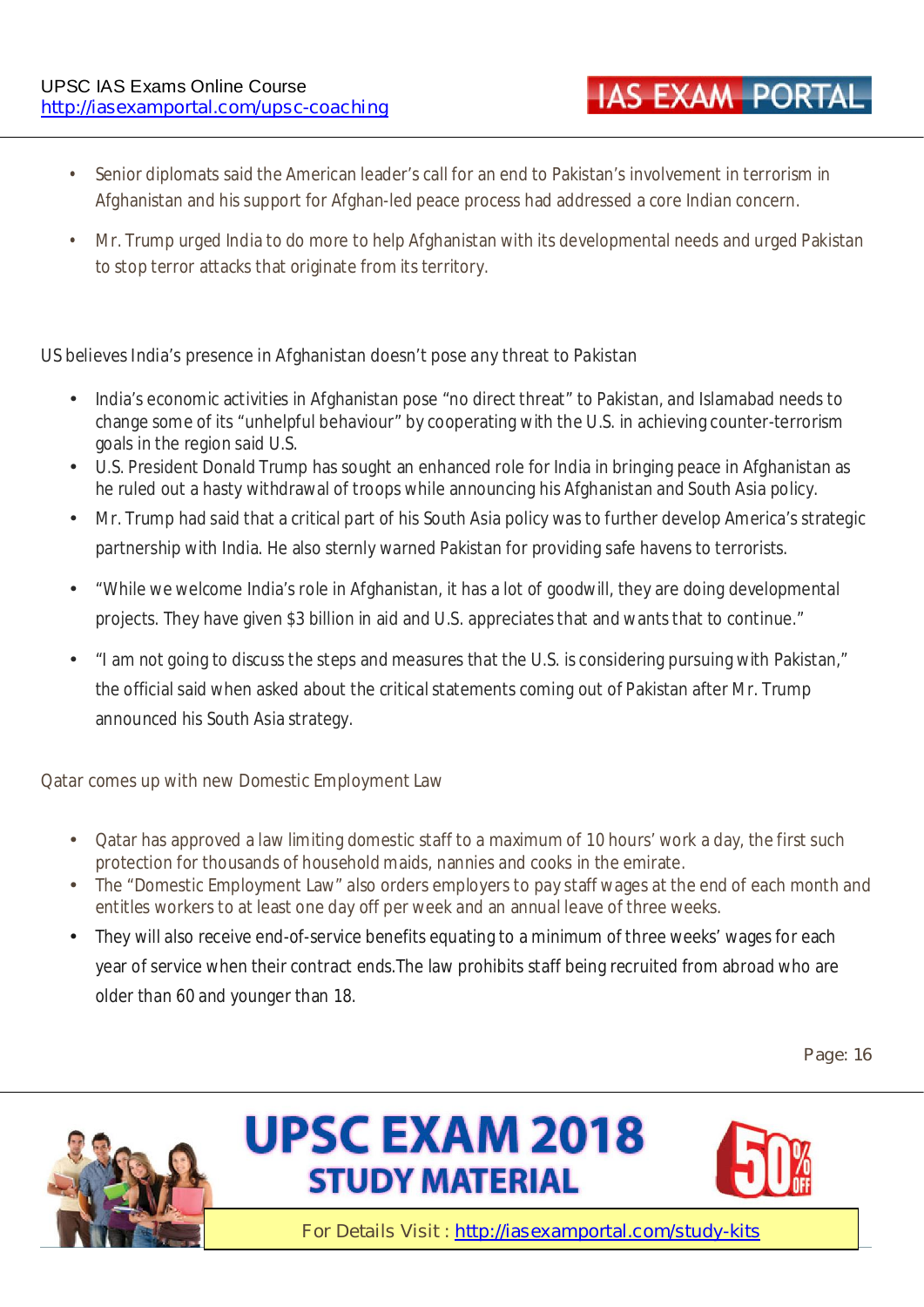- Senior diplomats said the American leader's call for an end to Pakistan's involvement in terrorism in Afghanistan and his support for Afghan-led peace process had addressed a core Indian concern.
- Mr. Trump urged India to do more to help Afghanistan with its developmental needs and urged Pakistan to stop terror attacks that originate from its territory.

#### **US believes India's presence in Afghanistan doesn't pose any threat to Pakistan**

- India's economic activities in Afghanistan pose "no direct threat" to Pakistan, and Islamabad needs to change some of its "unhelpful behaviour" by cooperating with the U.S. in achieving counter-terrorism goals in the region said U.S.
- U.S. President Donald Trump has sought an enhanced role for India in bringing peace in Afghanistan as he ruled out a hasty withdrawal of troops while announcing his Afghanistan and South Asia policy.
- Mr. Trump had said that a critical part of his South Asia policy was to further develop America's strategic partnership with India. He also sternly warned Pakistan for providing safe havens to terrorists.
- "While we welcome India's role in Afghanistan, it has a lot of goodwill, they are doing developmental projects. They have given \$3 billion in aid and U.S. appreciates that and wants that to continue."
- "I am not going to discuss the steps and measures that the U.S. is considering pursuing with Pakistan," the official said when asked about the critical statements coming out of Pakistan after Mr. Trump announced his South Asia strategy.

#### **Qatar comes up with new Domestic Employment Law**

- Qatar has approved a law limiting domestic staff to a maximum of 10 hours' work a day, the first such protection for thousands of household maids, nannies and cooks in the emirate.
- The "Domestic Employment Law" also orders employers to pay staff wages at the end of each month and entitles workers to at least one day off per week and an annual leave of three weeks.
- They will also receive end-of-service benefits equating to a minimum of three weeks' wages for each year of service when their contract ends.The law prohibits staff being recruited from abroad who are older than 60 and younger than 18.

**Page: 16** 







**IAS EXAM PORTA**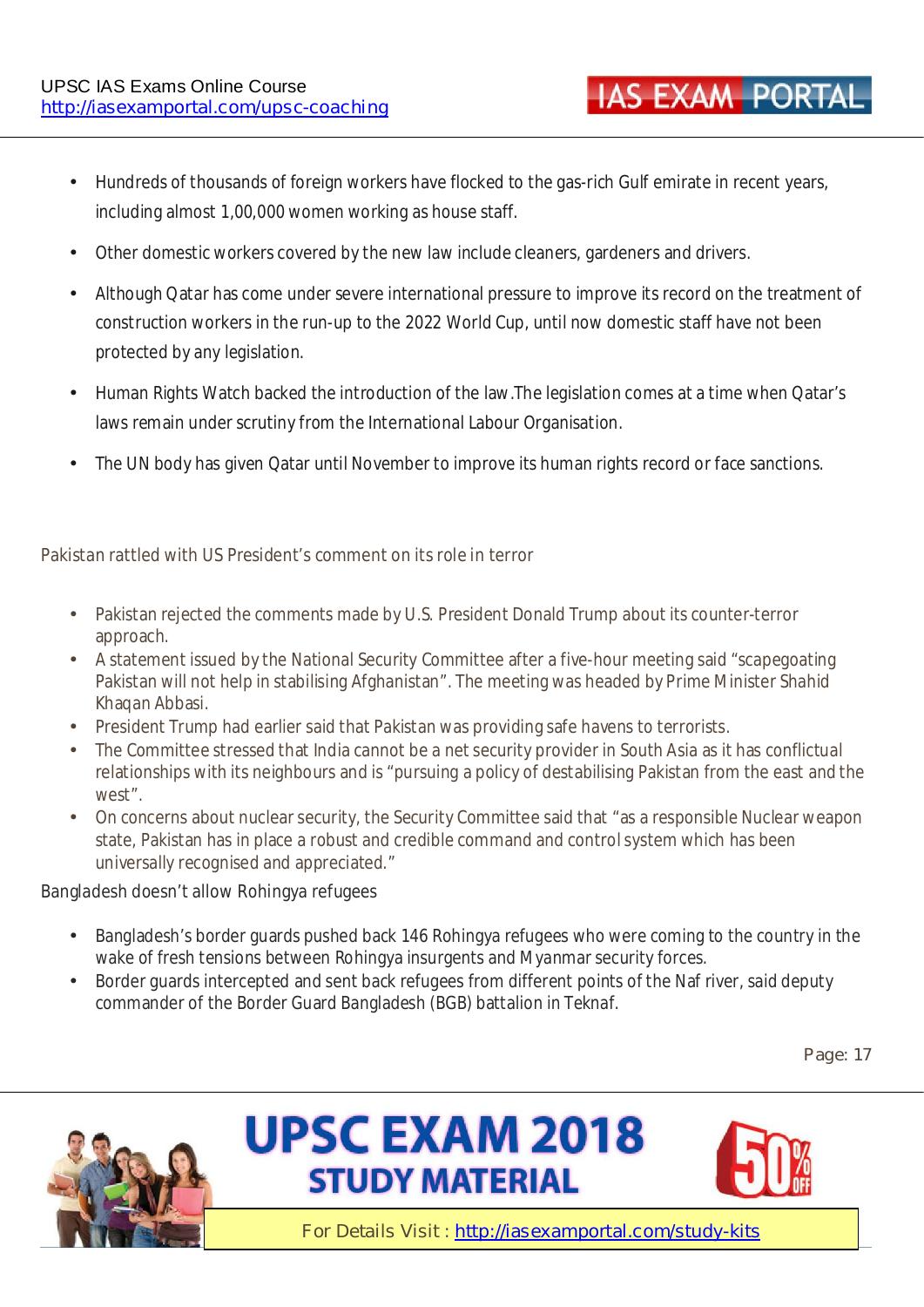- Hundreds of thousands of foreign workers have flocked to the gas-rich Gulf emirate in recent years, including almost 1,00,000 women working as house staff.
- Other domestic workers covered by the new law include cleaners, gardeners and drivers.
- Although Qatar has come under severe international pressure to improve its record on the treatment of construction workers in the run-up to the 2022 World Cup, until now domestic staff have not been protected by any legislation.
- Human Rights Watch backed the introduction of the law.The legislation comes at a time when Qatar's laws remain under scrutiny from the International Labour Organisation.
- The UN body has given Qatar until November to improve its human rights record or face sanctions.

#### **Pakistan rattled with US President's comment on its role in terror**

- Pakistan rejected the comments made by U.S. President Donald Trump about its counter-terror approach.
- A statement issued by the National Security Committee after a five-hour meeting said "scapegoating Pakistan will not help in stabilising Afghanistan". The meeting was headed by Prime Minister Shahid Khaqan Abbasi.
- President Trump had earlier said that Pakistan was providing safe havens to terrorists.
- The Committee stressed that India cannot be a net security provider in South Asia as it has conflictual relationships with its neighbours and is "pursuing a policy of destabilising Pakistan from the east and the west".
- On concerns about nuclear security, the Security Committee said that "as a responsible Nuclear weapon state, Pakistan has in place a robust and credible command and control system which has been universally recognised and appreciated."

#### **Bangladesh doesn't allow Rohingya refugees**

- Bangladesh's border guards pushed back 146 Rohingya refugees who were coming to the country in the wake of fresh tensions between Rohingya insurgents and Myanmar security forces.
- Border guards intercepted and sent back refugees from different points of the Naf river, said deputy commander of the Border Guard Bangladesh (BGB) battalion in Teknaf.

**Page: 17** 







**IAS EXAM PORTA**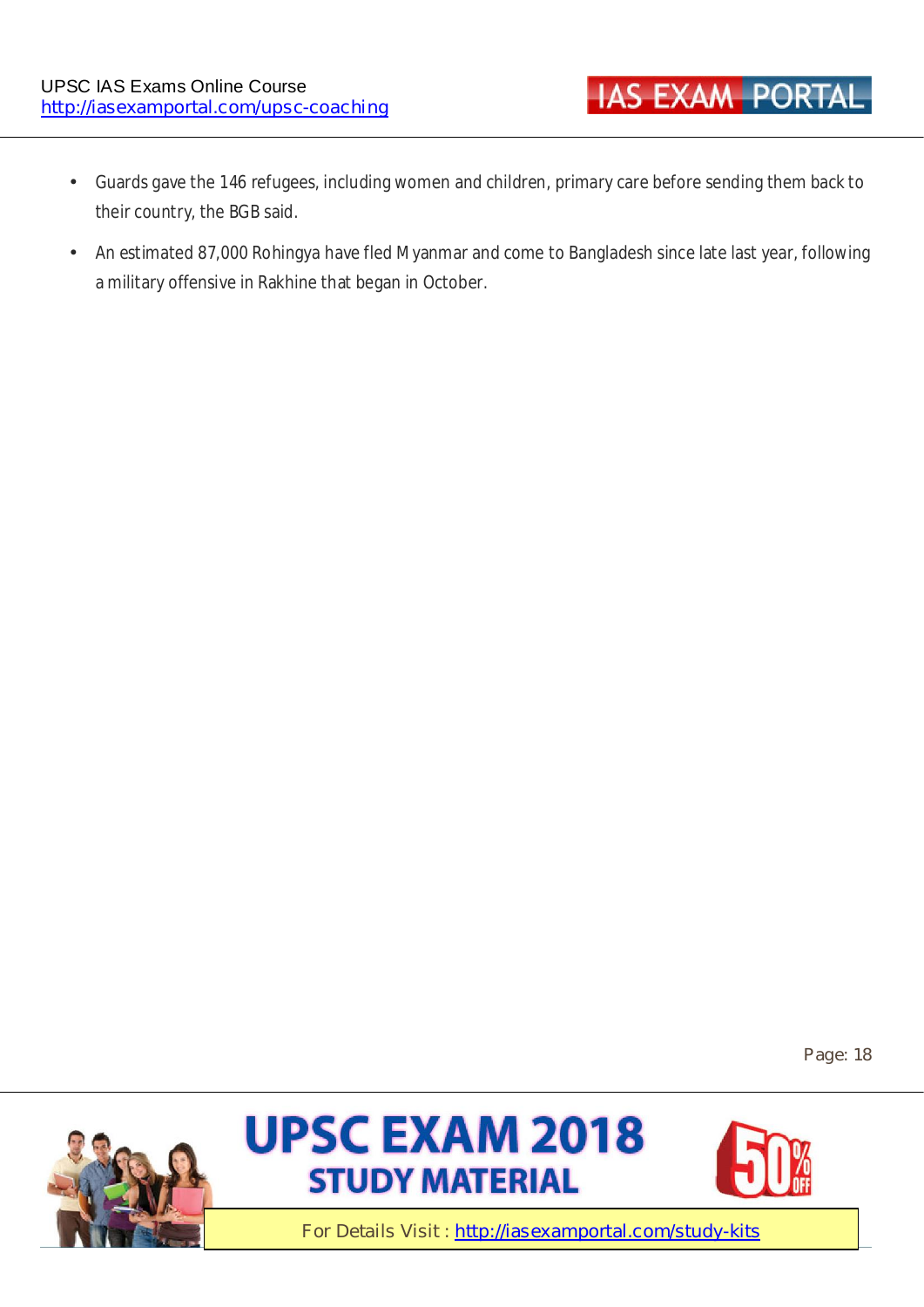- Guards gave the 146 refugees, including women and children, primary care before sending them back to their country, the BGB said.
- An estimated 87,000 Rohingya have fled Myanmar and come to Bangladesh since late last year, following a military offensive in Rakhine that began in October.

**Page: 18** 







**IAS EXAM PORTAL**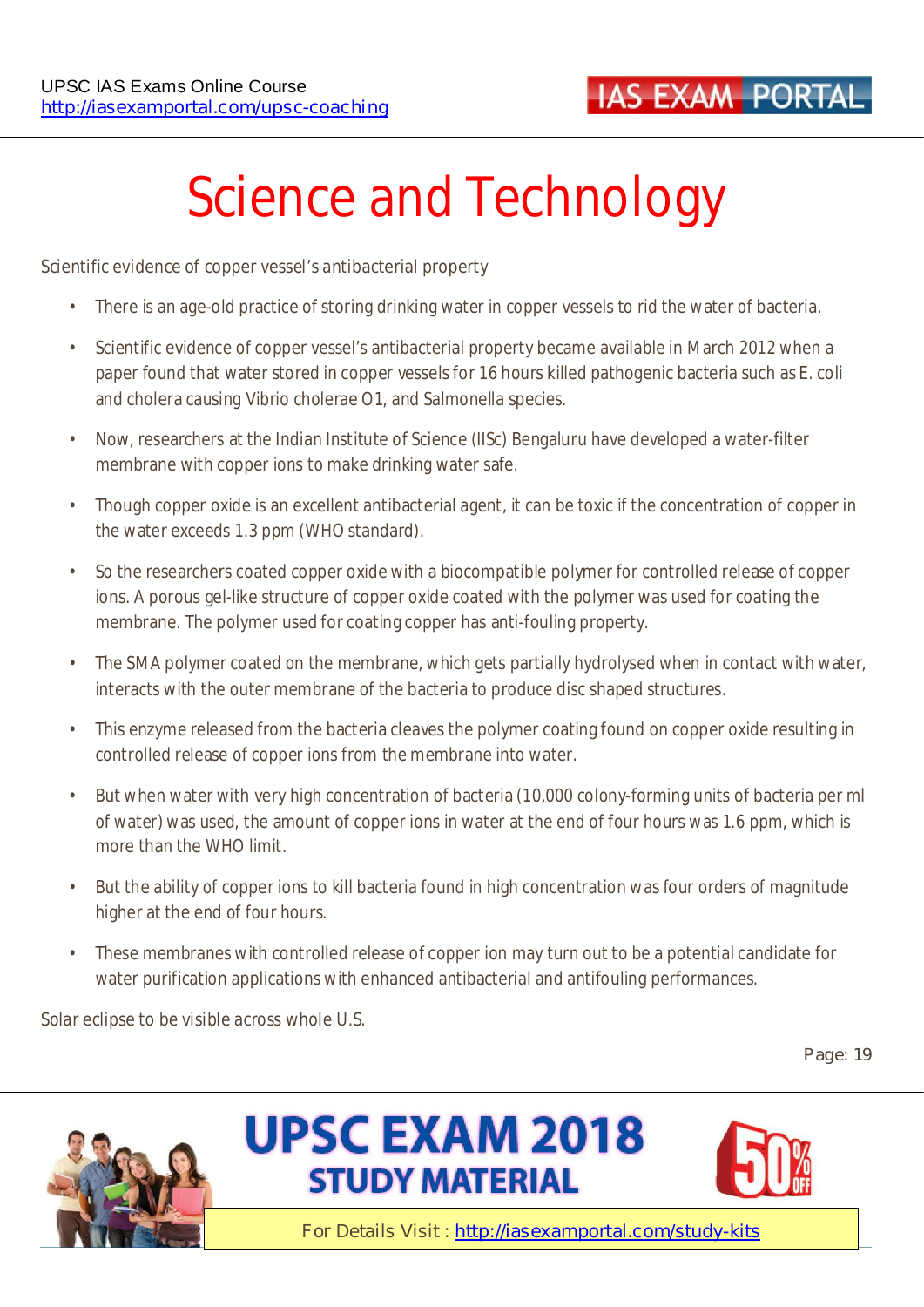# **Science and Technology**

#### **Scientific evidence of copper vessel's antibacterial property**

- There is an age-old practice of storing drinking water in copper vessels to rid the water of bacteria.
- Scientific evidence of copper vessel's antibacterial property became available in March 2012 when a paper found that water stored in copper vessels for 16 hours killed pathogenic bacteria such as E. coli and cholera causing Vibrio cholerae O1, and Salmonella species.
- Now, researchers at the Indian Institute of Science (IISc) Bengaluru have developed a water-filter membrane with copper ions to make drinking water safe.
- Though copper oxide is an excellent antibacterial agent, it can be toxic if the concentration of copper in the water exceeds 1.3 ppm (WHO standard).
- So the researchers coated copper oxide with a biocompatible polymer for controlled release of copper ions. A porous gel-like structure of copper oxide coated with the polymer was used for coating the membrane. The polymer used for coating copper has anti-fouling property.
- The SMA polymer coated on the membrane, which gets partially hydrolysed when in contact with water, interacts with the outer membrane of the bacteria to produce disc shaped structures.
- This enzyme released from the bacteria cleaves the polymer coating found on copper oxide resulting in controlled release of copper ions from the membrane into water.
- But when water with very high concentration of bacteria (10,000 colony-forming units of bacteria per ml of water) was used, the amount of copper ions in water at the end of four hours was 1.6 ppm, which is more than the WHO limit.
- But the ability of copper ions to kill bacteria found in high concentration was four orders of magnitude higher at the end of four hours.
- These membranes with controlled release of copper ion may turn out to be a potential candidate for water purification applications with enhanced antibacterial and antifouling performances.

**Solar eclipse to be visible across whole U.S.** 

**Page: 19** 





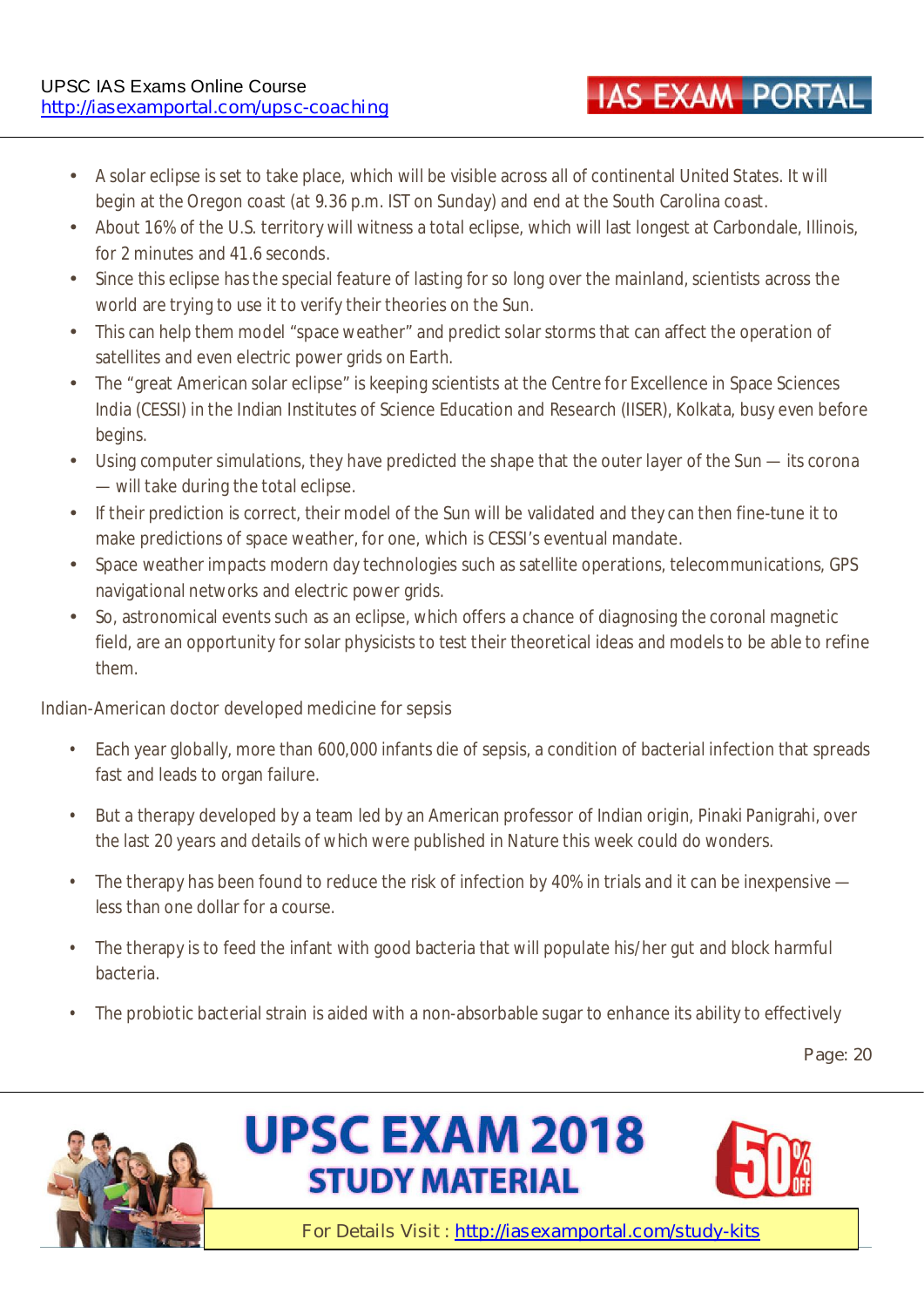- A solar eclipse is set to take place, which will be visible across all of continental United States. It will begin at the Oregon coast (at 9.36 p.m. IST on Sunday) and end at the South Carolina coast.
- About 16% of the U.S. territory will witness a total eclipse, which will last longest at Carbondale, Illinois, for 2 minutes and 41.6 seconds.
- Since this eclipse has the special feature of lasting for so long over the mainland, scientists across the world are trying to use it to verify their theories on the Sun.
- This can help them model "space weather" and predict solar storms that can affect the operation of satellites and even electric power grids on Earth.
- The "great American solar eclipse" is keeping scientists at the Centre for Excellence in Space Sciences India (CESSI) in the Indian Institutes of Science Education and Research (IISER), Kolkata, busy even before begins.
- Using computer simulations, they have predicted the shape that the outer layer of the Sun its corona — will take during the total eclipse.
- If their prediction is correct, their model of the Sun will be validated and they can then fine-tune it to make predictions of space weather, for one, which is CESSI's eventual mandate.
- Space weather impacts modern day technologies such as satellite operations, telecommunications, GPS navigational networks and electric power grids.
- So, astronomical events such as an eclipse, which offers a chance of diagnosing the coronal magnetic field, are an opportunity for solar physicists to test their theoretical ideas and models to be able to refine them.

#### **Indian-American doctor developed medicine for sepsis**

- Each year globally, more than 600,000 infants die of sepsis, a condition of bacterial infection that spreads fast and leads to organ failure.
- But a therapy developed by a team led by an American professor of Indian origin, Pinaki Panigrahi, over the last 20 years and details of which were published in Nature this week could do wonders.
- The therapy has been found to reduce the risk of infection by 40% in trials and it can be inexpensive less than one dollar for a course.
- The therapy is to feed the infant with good bacteria that will populate his/her gut and block harmful bacteria.
- The probiotic bacterial strain is aided with a non-absorbable sugar to enhance its ability to effectively

**Page: 20** 







**IAS EXAM PORTAL**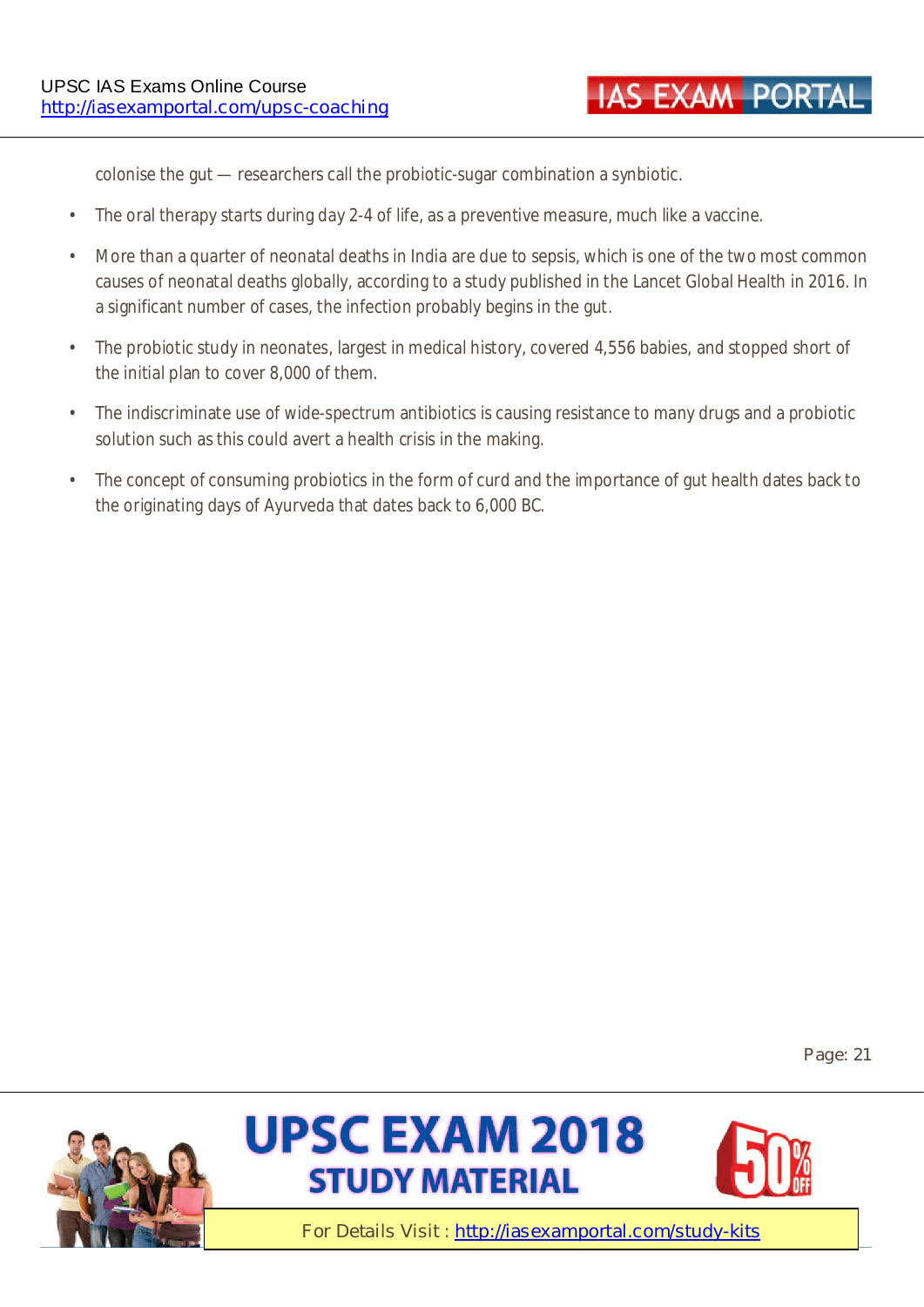colonise the gut — researchers call the probiotic-sugar combination a synbiotic.

- The oral therapy starts during day 2-4 of life, as a preventive measure, much like a vaccine.
- More than a quarter of neonatal deaths in India are due to sepsis, which is one of the two most common causes of neonatal deaths globally, according to a study published in the Lancet Global Health in 2016. In a significant number of cases, the infection probably begins in the gut.
- The probiotic study in neonates, largest in medical history, covered 4,556 babies, and stopped short of the initial plan to cover 8,000 of them.
- The indiscriminate use of wide-spectrum antibiotics is causing resistance to many drugs and a probiotic solution such as this could avert a health crisis in the making.
- The concept of consuming probiotics in the form of curd and the importance of gut health dates back to the originating days of Ayurveda that dates back to 6,000 BC.

**Page: 21** 





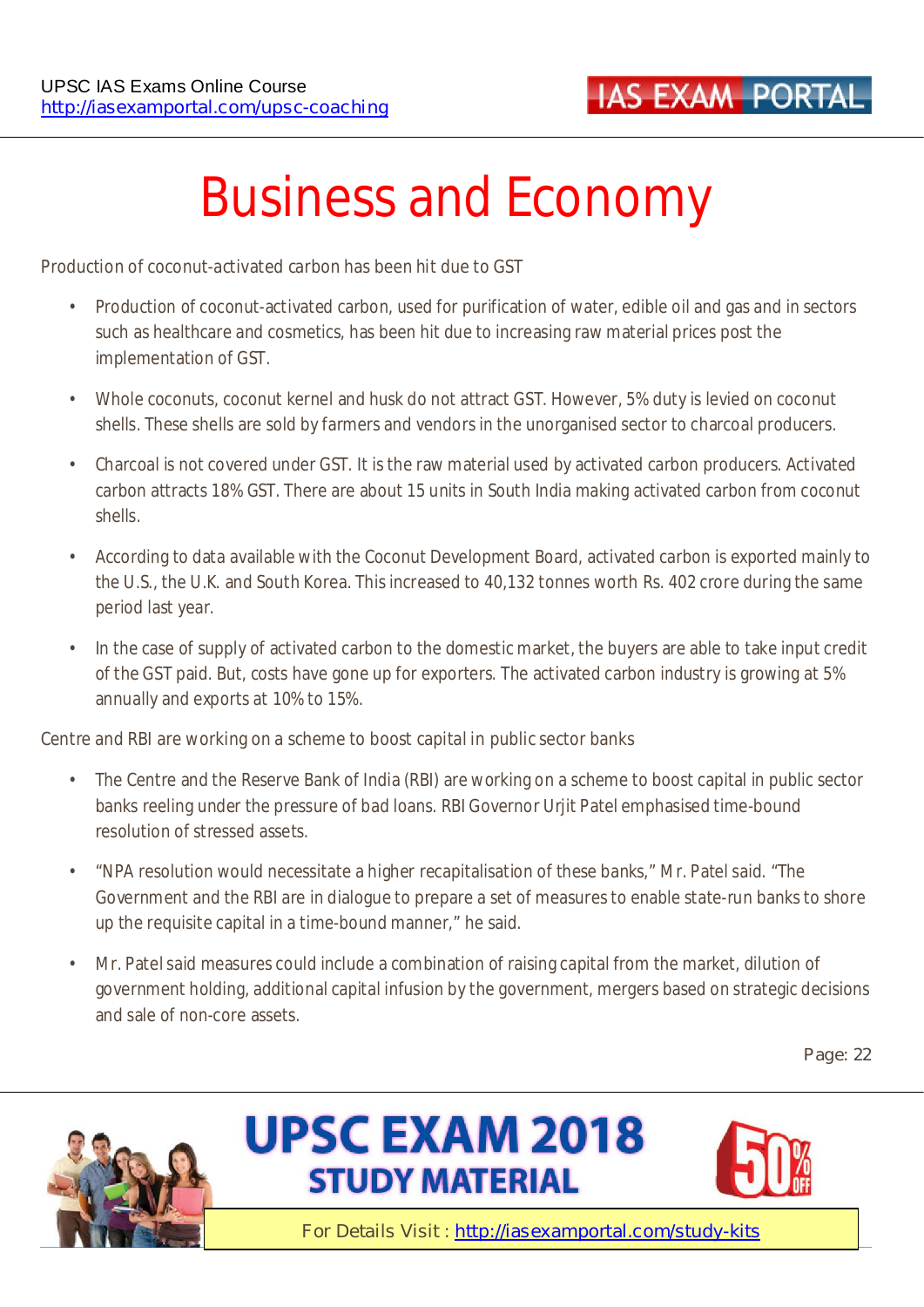

# **Business and Economy**

#### **Production of coconut-activated carbon has been hit due to GST**

- Production of coconut-activated carbon, used for purification of water, edible oil and gas and in sectors such as healthcare and cosmetics, has been hit due to increasing raw material prices post the implementation of GST.
- Whole coconuts, coconut kernel and husk do not attract GST. However, 5% duty is levied on coconut shells. These shells are sold by farmers and vendors in the unorganised sector to charcoal producers.
- Charcoal is not covered under GST. It is the raw material used by activated carbon producers. Activated carbon attracts 18% GST. There are about 15 units in South India making activated carbon from coconut shells.
- According to data available with the Coconut Development Board, activated carbon is exported mainly to the U.S., the U.K. and South Korea. This increased to 40,132 tonnes worth Rs. 402 crore during the same period last year.
- In the case of supply of activated carbon to the domestic market, the buyers are able to take input credit of the GST paid. But, costs have gone up for exporters. The activated carbon industry is growing at 5% annually and exports at 10% to 15%.

#### **Centre and RBI are working on a scheme to boost capital in public sector banks**

- The Centre and the Reserve Bank of India (RBI) are working on a scheme to boost capital in public sector banks reeling under the pressure of bad loans. RBI Governor Urjit Patel emphasised time-bound resolution of stressed assets.
- "NPA resolution would necessitate a higher recapitalisation of these banks," Mr. Patel said. "The Government and the RBI are in dialogue to prepare a set of measures to enable state-run banks to shore up the requisite capital in a time-bound manner," he said.
- Mr. Patel said measures could include a combination of raising capital from the market, dilution of government holding, additional capital infusion by the government, mergers based on strategic decisions and sale of non-core assets.

**Page: 22** 





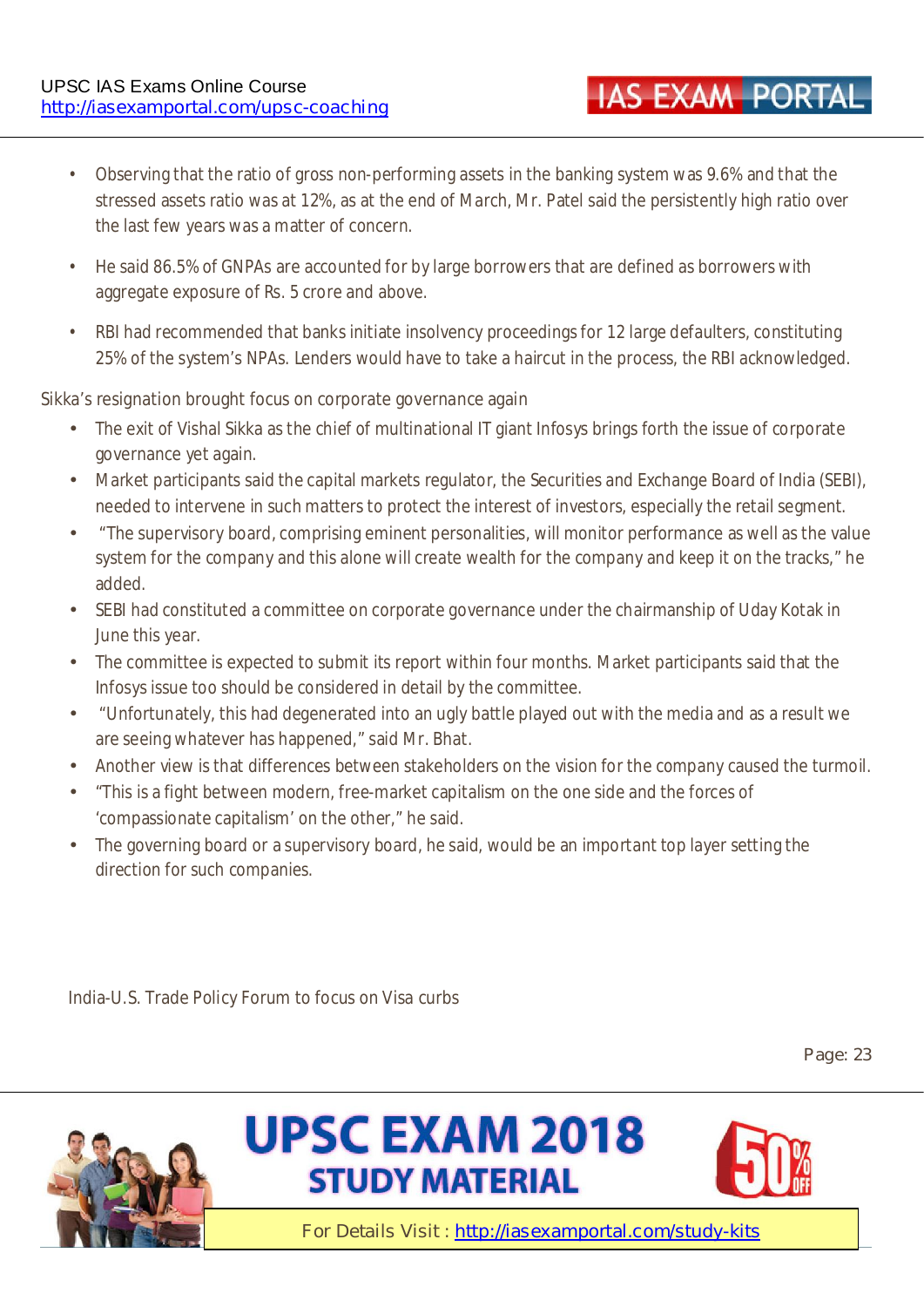• Observing that the ratio of gross non-performing assets in the banking system was 9.6% and that the stressed assets ratio was at 12%, as at the end of March, Mr. Patel said the persistently high ratio over the last few years was a matter of concern.

**IAS EXAM PORTAL** 

- He said 86.5% of GNPAs are accounted for by large borrowers that are defined as borrowers with aggregate exposure of Rs. 5 crore and above.
- RBI had recommended that banks initiate insolvency proceedings for 12 large defaulters, constituting 25% of the system's NPAs. Lenders would have to take a haircut in the process, the RBI acknowledged.

#### **Sikka's resignation brought focus on corporate governance again**

- The exit of Vishal Sikka as the chief of multinational IT giant Infosys brings forth the issue of corporate governance yet again.
- Market participants said the capital markets regulator, the Securities and Exchange Board of India (SEBI), needed to intervene in such matters to protect the interest of investors, especially the retail segment.
- "The supervisory board, comprising eminent personalities, will monitor performance as well as the value system for the company and this alone will create wealth for the company and keep it on the tracks," he added.
- SEBI had constituted a committee on corporate governance under the chairmanship of Uday Kotak in June this year.
- The committee is expected to submit its report within four months. Market participants said that the Infosys issue too should be considered in detail by the committee.
- "Unfortunately, this had degenerated into an ugly battle played out with the media and as a result we are seeing whatever has happened," said Mr. Bhat.
- Another view is that differences between stakeholders on the vision for the company caused the turmoil.
- "This is a fight between modern, free-market capitalism on the one side and the forces of 'compassionate capitalism' on the other," he said.
- The governing board or a supervisory board, he said, would be an important top layer setting the direction for such companies.

**India-U.S. Trade Policy Forum to focus on Visa curbs** 

**Page: 23** 

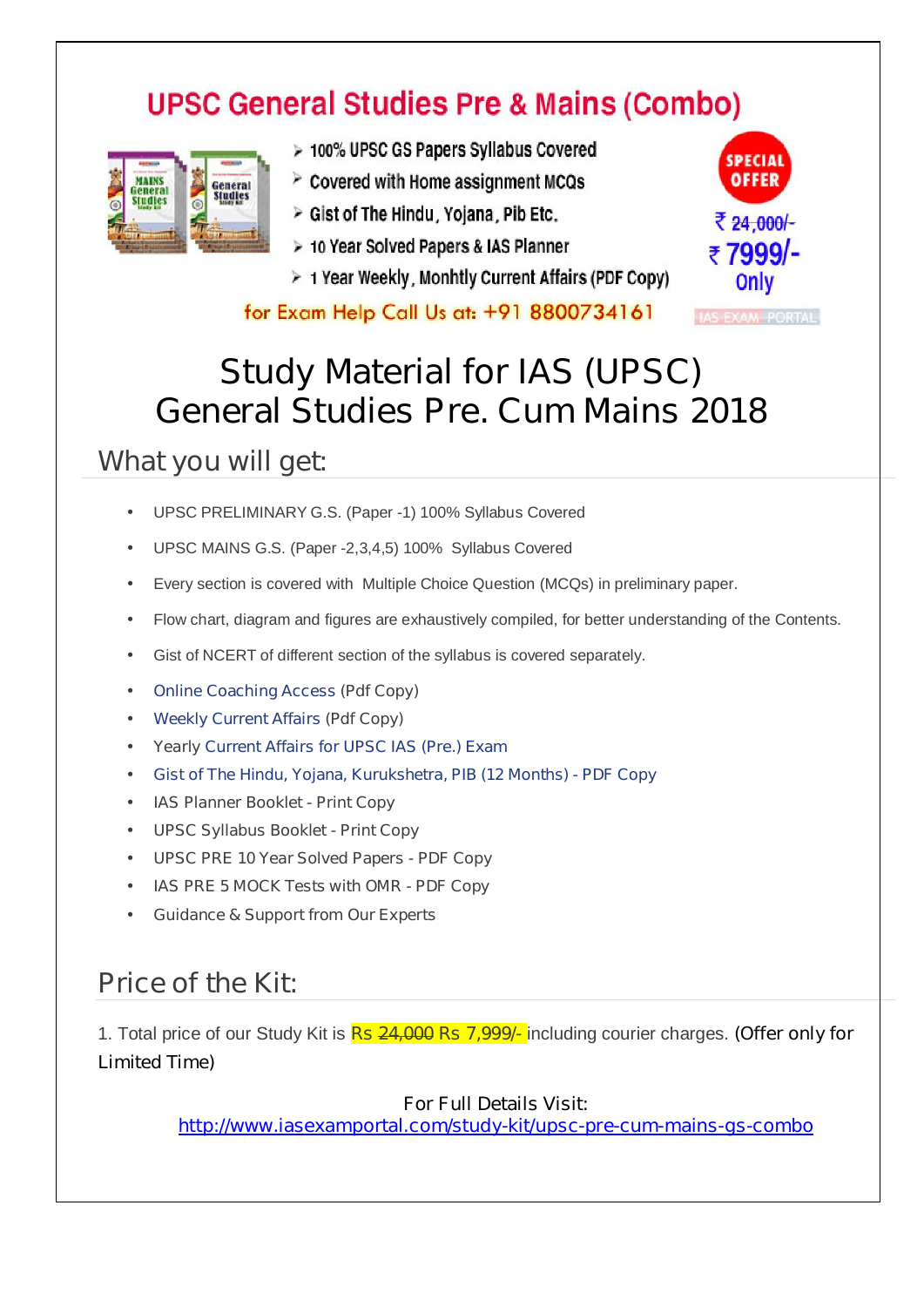# **UPSC General Studies Pre & Mains (Combo)**



- > 100% UPSC GS Papers Syllabus Covered
- $\geq$  Covered with Home assignment MCQs
- > Gist of The Hindu, Yojana, Pib Etc.
- > 10 Year Solved Papers & IAS Planner
- $\geq 1$  Year Weekly, Monhtly Current Affairs (PDF Copy)

for Exam Help Call Us at: +91 8800734161



**IAS EXAM PORTAL** 

# **Study Material for IAS (UPSC) General Studies Pre. Cum Mains 2018**

#### **What you will get:**

- UPSC PRELIMINARY G.S. (Paper -1) 100% Syllabus Covered
- UPSC MAINS G.S. (Paper -2,3,4,5) 100% Syllabus Covered
- Every section is covered with Multiple Choice Question (MCQs) in preliminary paper.
- Flow chart, diagram and figures are exhaustively compiled, for better understanding of the Contents.
- Gist of NCERT of different section of the syllabus is covered separately.
- **Online Coaching Access (Pdf Copy)**
- **Weekly Current Affairs (Pdf Copy)**
- **Yearly Current Affairs for UPSC IAS (Pre.) Exam**
- **Gist of The Hindu, Yojana, Kurukshetra, PIB (12 Months) PDF Copy**
- **IAS Planner Booklet Print Copy**
- **UPSC Syllabus Booklet Print Copy**
- **UPSC PRE 10 Year Solved Papers PDF Copy**
- **IAS PRE 5 MOCK Tests with OMR PDF Copy**
- **Guidance & Support from Our Experts**

### **Price of the Kit:**

1. Total price of our Study Kit is **Rs 24,000 Rs 7,999/-** including courier charges. **(Offer only for Limited Time)**

#### **For Full Details Visit:**

**http://www.iasexamportal.com/study-kit/upsc-pre-cum-mains-gs-combo**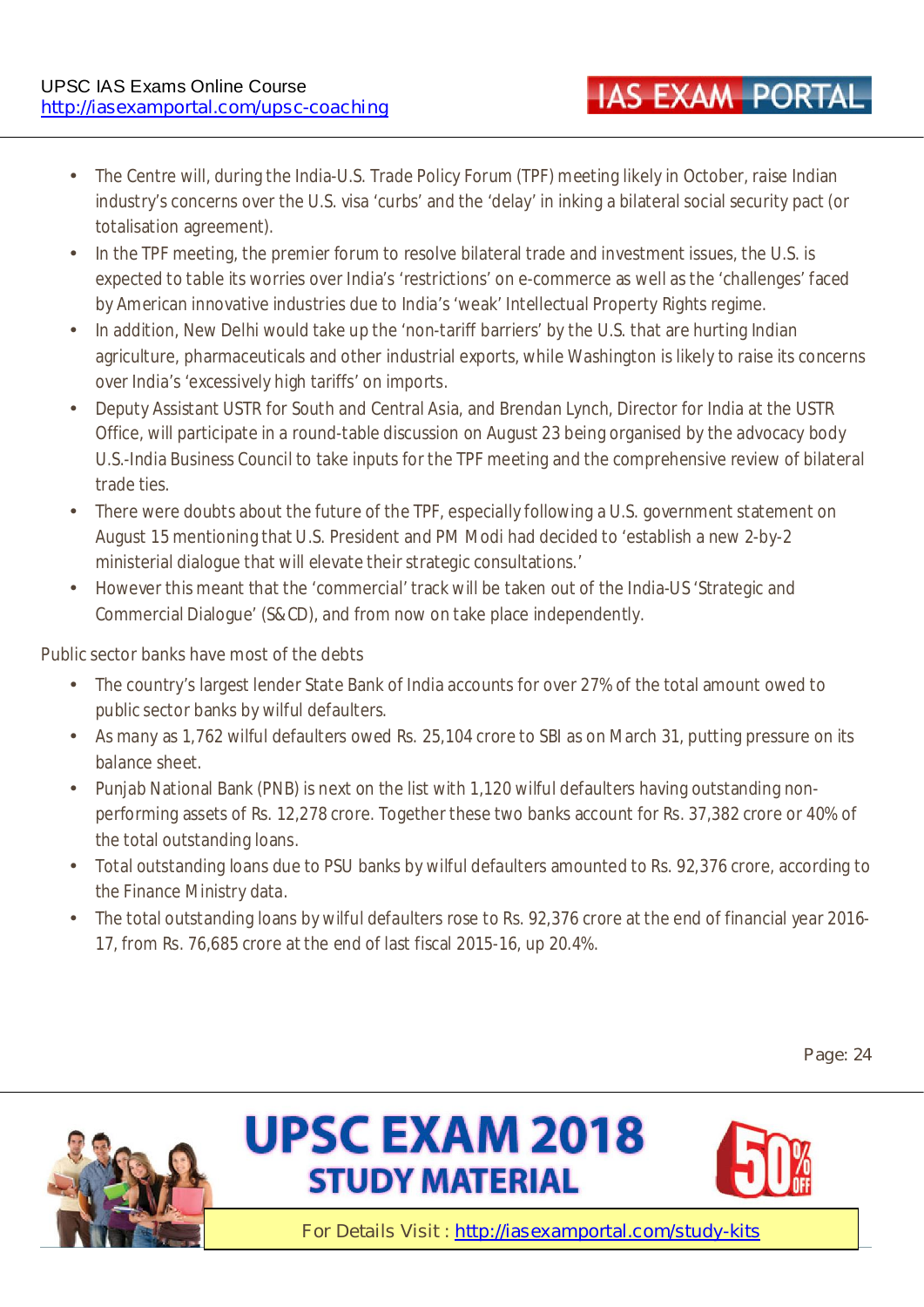- The Centre will, during the India-U.S. Trade Policy Forum (TPF) meeting likely in October, raise Indian industry's concerns over the U.S. visa 'curbs' and the 'delay' in inking a bilateral social security pact (or totalisation agreement).
- In the TPF meeting, the premier forum to resolve bilateral trade and investment issues, the U.S. is expected to table its worries over India's 'restrictions' on e-commerce as well as the 'challenges' faced by American innovative industries due to India's 'weak' Intellectual Property Rights regime.
- In addition, New Delhi would take up the 'non-tariff barriers' by the U.S. that are hurting Indian agriculture, pharmaceuticals and other industrial exports, while Washington is likely to raise its concerns over India's 'excessively high tariffs' on imports.
- Deputy Assistant USTR for South and Central Asia, and Brendan Lynch, Director for India at the USTR Office, will participate in a round-table discussion on August 23 being organised by the advocacy body U.S.-India Business Council to take inputs for the TPF meeting and the comprehensive review of bilateral trade ties.
- There were doubts about the future of the TPF, especially following a U.S. government statement on August 15 mentioning that U.S. President and PM Modi had decided to 'establish a new 2-by-2 ministerial dialogue that will elevate their strategic consultations.'
- However this meant that the 'commercial' track will be taken out of the India-US 'Strategic and Commercial Dialogue' (S&CD), and from now on take place independently.

#### **Public sector banks have most of the debts**

- The country's largest lender State Bank of India accounts for over 27% of the total amount owed to public sector banks by wilful defaulters.
- As many as 1,762 wilful defaulters owed Rs. 25,104 crore to SBI as on March 31, putting pressure on its balance sheet.
- Punjab National Bank (PNB) is next on the list with 1,120 wilful defaulters having outstanding nonperforming assets of Rs. 12,278 crore. Together these two banks account for Rs. 37,382 crore or 40% of the total outstanding loans.
- Total outstanding loans due to PSU banks by wilful defaulters amounted to Rs. 92,376 crore, according to the Finance Ministry data.
- The total outstanding loans by wilful defaulters rose to Rs. 92,376 crore at the end of financial year 2016- 17, from Rs. 76,685 crore at the end of last fiscal 2015-16, up 20.4%.

**Page: 24** 







**IAS EXAM PORTAL**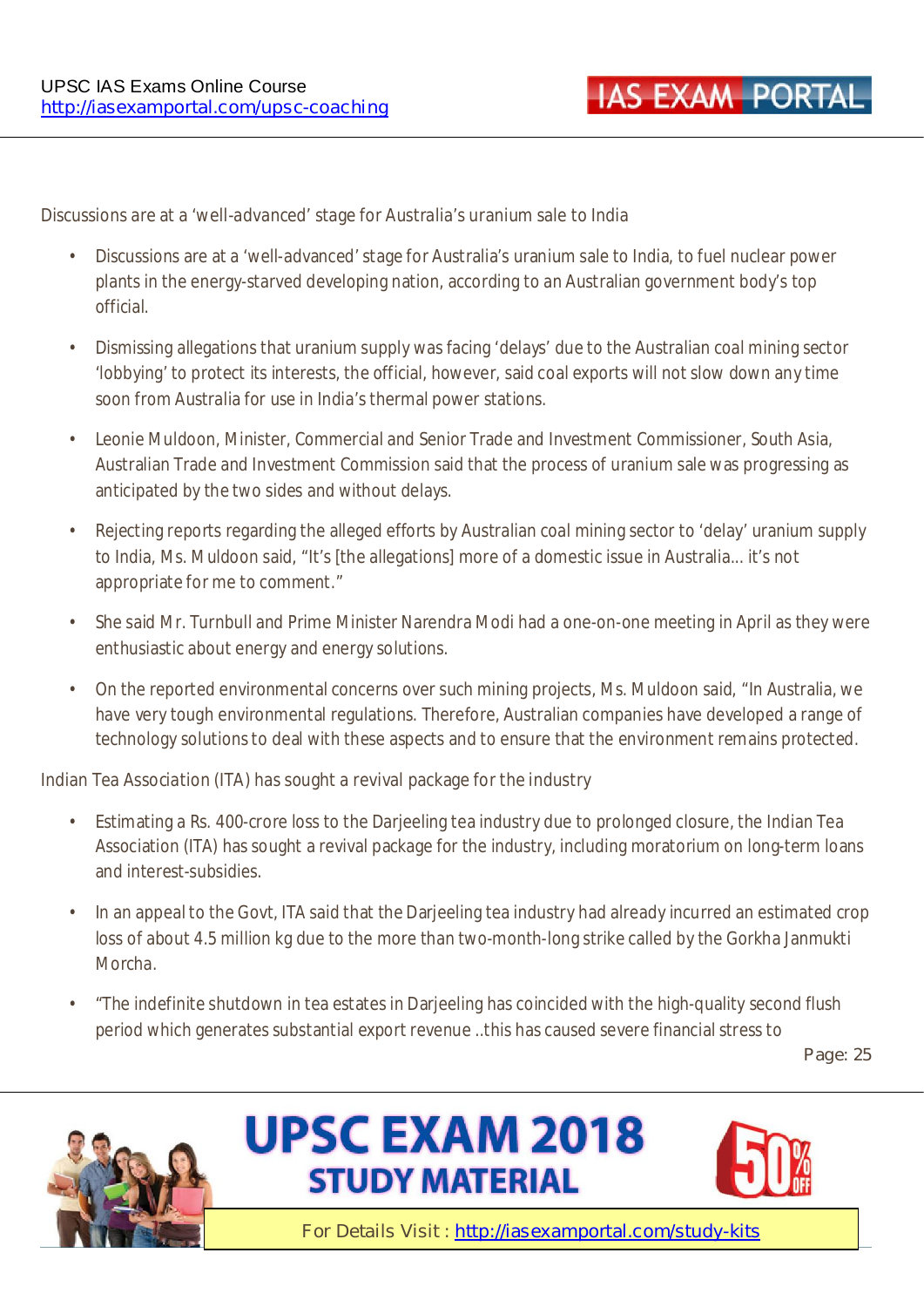#### **Discussions are at a 'well-advanced' stage for Australia's uranium sale to India**

- Discussions are at a 'well-advanced' stage for Australia's uranium sale to India, to fuel nuclear power plants in the energy-starved developing nation, according to an Australian government body's top official.
- Dismissing allegations that uranium supply was facing 'delays' due to the Australian coal mining sector 'lobbying' to protect its interests, the official, however, said coal exports will not slow down any time soon from Australia for use in India's thermal power stations.
- Leonie Muldoon, Minister, Commercial and Senior Trade and Investment Commissioner, South Asia, Australian Trade and Investment Commission said that the process of uranium sale was progressing as anticipated by the two sides and without delays.
- Rejecting reports regarding the alleged efforts by Australian coal mining sector to 'delay' uranium supply to India, Ms. Muldoon said, "It's [the allegations] more of a domestic issue in Australia... it's not appropriate for me to comment."
- She said Mr. Turnbull and Prime Minister Narendra Modi had a one-on-one meeting in April as they were enthusiastic about energy and energy solutions.
- On the reported environmental concerns over such mining projects, Ms. Muldoon said, "In Australia, we have very tough environmental regulations. Therefore, Australian companies have developed a range of technology solutions to deal with these aspects and to ensure that the environment remains protected.

#### **Indian Tea Association (ITA) has sought a revival package for the industry**

- Estimating a Rs. 400-crore loss to the Darjeeling tea industry due to prolonged closure, the Indian Tea Association (ITA) has sought a revival package for the industry, including moratorium on long-term loans and interest-subsidies.
- In an appeal to the Govt, ITA said that the Darjeeling tea industry had already incurred an estimated crop loss of about 4.5 million kg due to the more than two-month-long strike called by the Gorkha Janmukti Morcha.
- "The indefinite shutdown in tea estates in Darjeeling has coincided with the high-quality second flush period which generates substantial export revenue ..this has caused severe financial stress to

**Page: 25** 





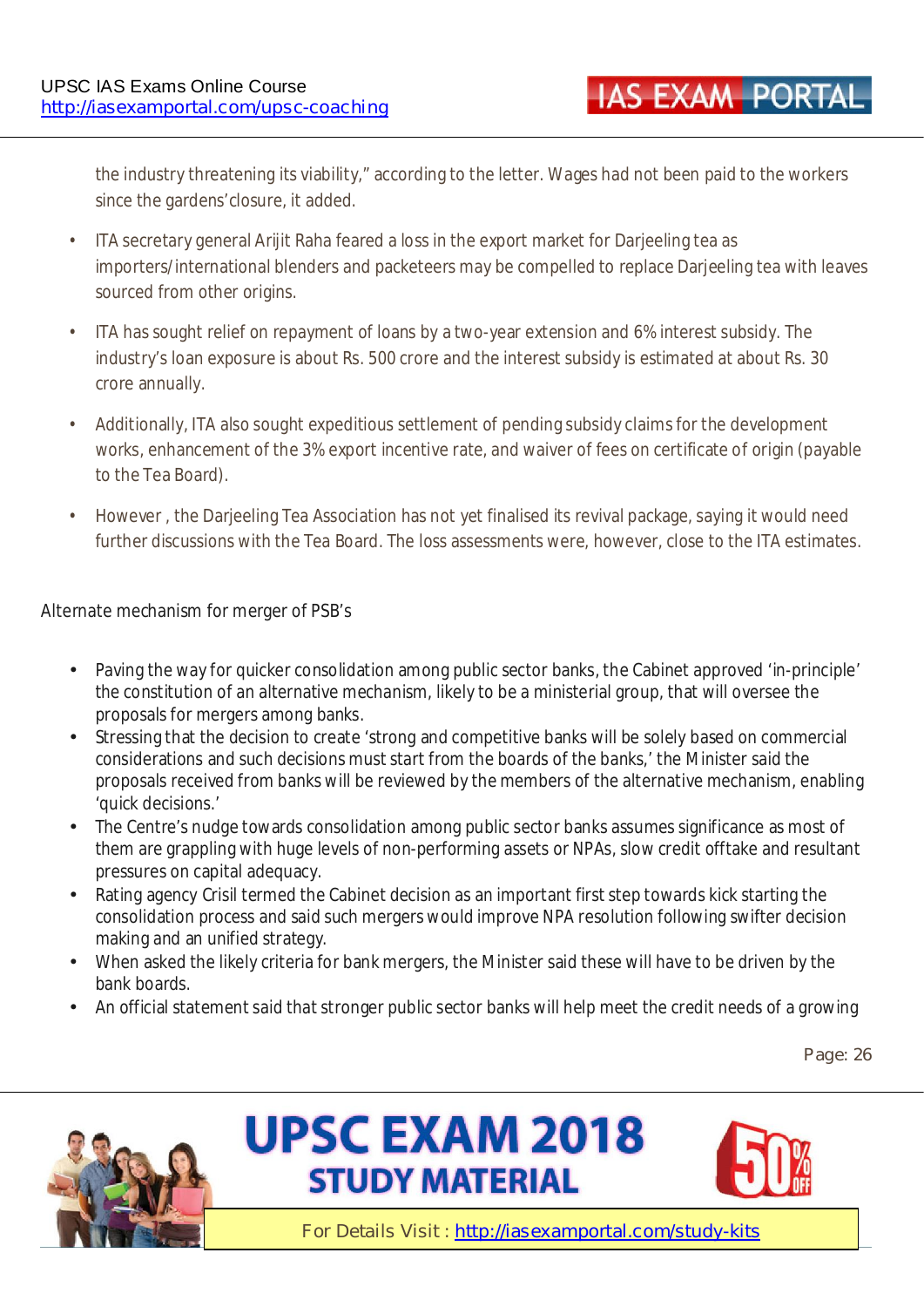the industry threatening its viability," according to the letter. Wages had not been paid to the workers since the gardens'closure, it added.

- ITA secretary general Arijit Raha feared a loss in the export market for Darjeeling tea as importers/international blenders and packeteers may be compelled to replace Darieeling tea with leaves sourced from other origins.
- ITA has sought relief on repayment of loans by a two-year extension and 6% interest subsidy. The industry's loan exposure is about Rs. 500 crore and the interest subsidy is estimated at about Rs. 30 crore annually.
- Additionally, ITA also sought expeditious settlement of pending subsidy claims for the development works, enhancement of the 3% export incentive rate, and waiver of fees on certificate of origin (payable to the Tea Board).
- However , the Darjeeling Tea Association has not yet finalised its revival package, saying it would need further discussions with the Tea Board. The loss assessments were, however, close to the ITA estimates.

#### **Alternate mechanism for merger of PSB's**

- Paving the way for quicker consolidation among public sector banks, the Cabinet approved 'in-principle' the constitution of an alternative mechanism, likely to be a ministerial group, that will oversee the proposals for mergers among banks.
- Stressing that the decision to create 'strong and competitive banks will be solely based on commercial considerations and such decisions must start from the boards of the banks,' the Minister said the proposals received from banks will be reviewed by the members of the alternative mechanism, enabling 'quick decisions.'
- The Centre's nudge towards consolidation among public sector banks assumes significance as most of them are grappling with huge levels of non-performing assets or NPAs, slow credit offtake and resultant pressures on capital adequacy.
- Rating agency Crisil termed the Cabinet decision as an important first step towards kick starting the consolidation process and said such mergers would improve NPA resolution following swifter decision making and an unified strategy.
- When asked the likely criteria for bank mergers, the Minister said these will have to be driven by the bank boards.
- An official statement said that stronger public sector banks will help meet the credit needs of a growing

**Page: 26** 





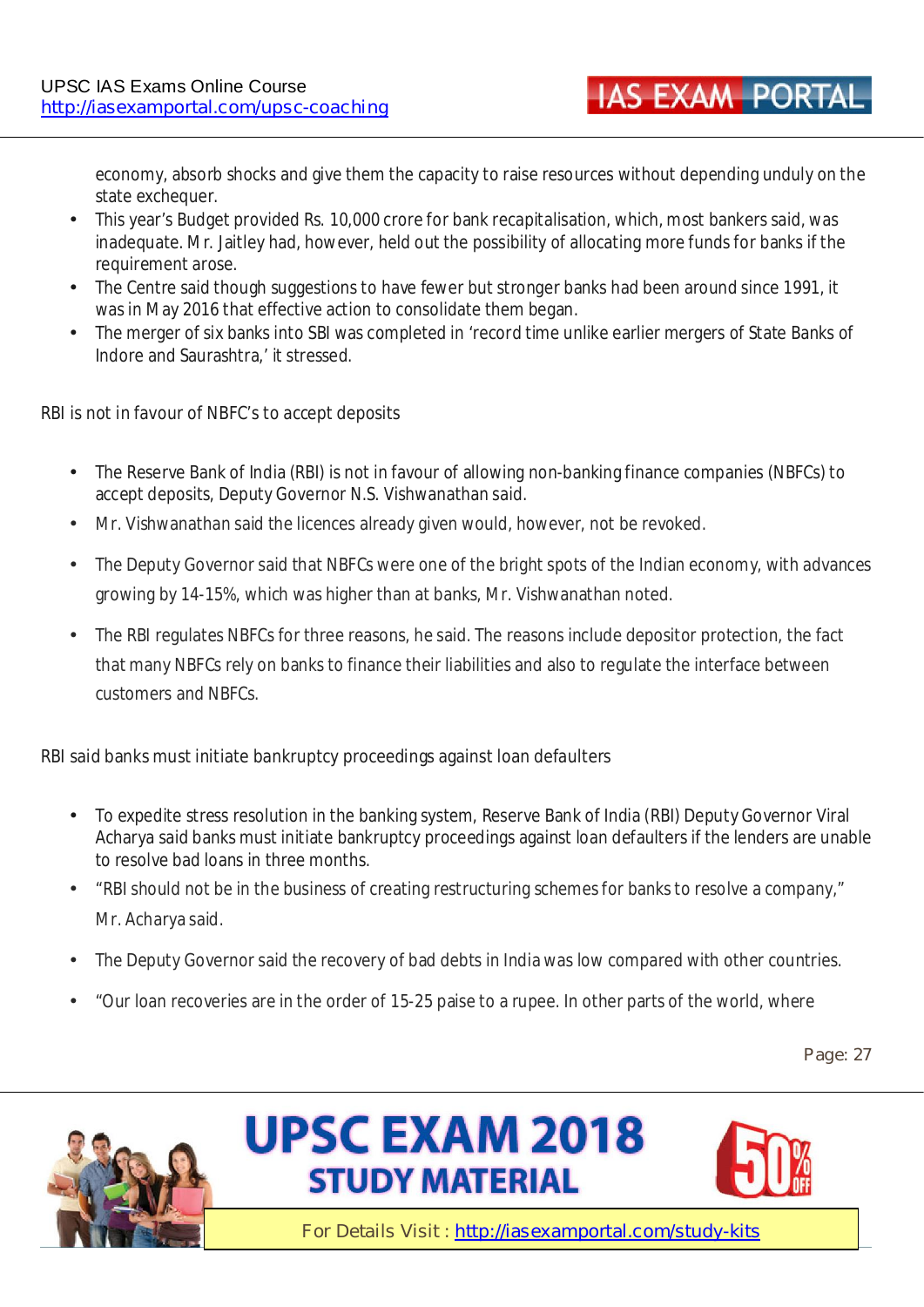economy, absorb shocks and give them the capacity to raise resources without depending unduly on the state exchequer.

**IAS EXAM PORTA** 

- This year's Budget provided Rs. 10,000 crore for bank recapitalisation, which, most bankers said, was inadequate. Mr. Jaitley had, however, held out the possibility of allocating more funds for banks if the requirement arose.
- The Centre said though suggestions to have fewer but stronger banks had been around since 1991, it was in May 2016 that effective action to consolidate them began.
- The merger of six banks into SBI was completed in 'record time unlike earlier mergers of State Banks of Indore and Saurashtra,' it stressed.

#### **RBI is not in favour of NBFC's to accept deposits**

- The Reserve Bank of India (RBI) is not in favour of allowing non-banking finance companies (NBFCs) to accept deposits, Deputy Governor N.S. Vishwanathan said.
- Mr. Vishwanathan said the licences already given would, however, not be revoked.
- The Deputy Governor said that NBFCs were one of the bright spots of the Indian economy, with advances growing by 14-15%, which was higher than at banks, Mr. Vishwanathan noted.
- The RBI regulates NBFCs for three reasons, he said. The reasons include depositor protection, the fact that many NBFCs rely on banks to finance their liabilities and also to regulate the interface between customers and NBFCs.

#### **RBI said banks must initiate bankruptcy proceedings against loan defaulters**

- To expedite stress resolution in the banking system, Reserve Bank of India (RBI) Deputy Governor Viral Acharya said banks must initiate bankruptcy proceedings against loan defaulters if the lenders are unable to resolve bad loans in three months.
- "RBI should not be in the business of creating restructuring schemes for banks to resolve a company," Mr. Acharya said.
- The Deputy Governor said the recovery of bad debts in India was low compared with other countries.
- "Our loan recoveries are in the order of 15-25 paise to a rupee. In other parts of the world, where

**Page: 27** 





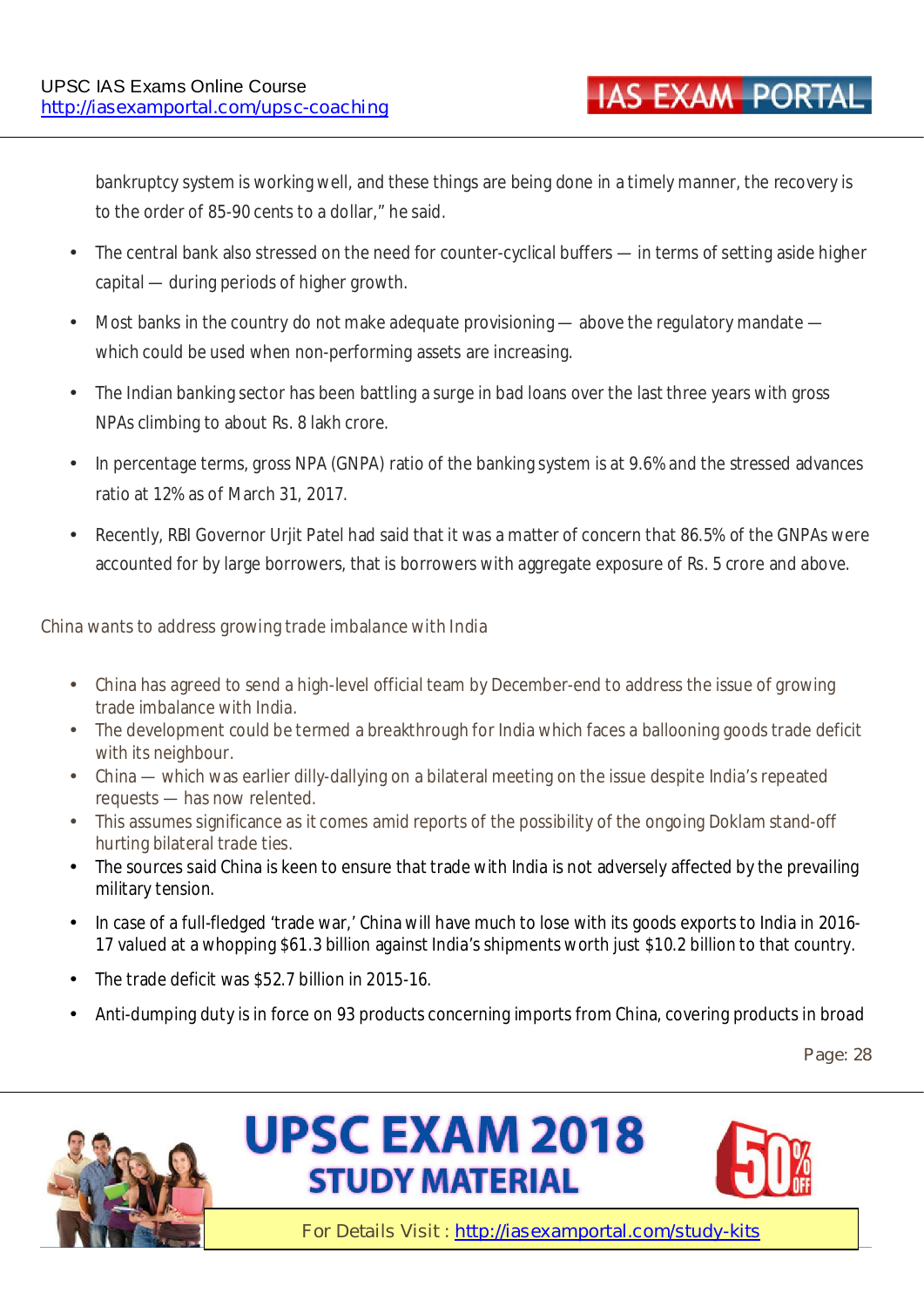bankruptcy system is working well, and these things are being done in a timely manner, the recovery is to the order of 85-90 cents to a dollar," he said.

- The central bank also stressed on the need for counter-cyclical buffers in terms of setting aside higher capital — during periods of higher growth.
- Most banks in the country do not make adequate provisioning above the regulatory mandate which could be used when non-performing assets are increasing.
- The Indian banking sector has been battling a surge in bad loans over the last three years with gross NPAs climbing to about Rs. 8 lakh crore.
- In percentage terms, gross NPA (GNPA) ratio of the banking system is at 9.6% and the stressed advances ratio at 12% as of March 31, 2017.
- Recently, RBI Governor Urjit Patel had said that it was a matter of concern that 86.5% of the GNPAs were accounted for by large borrowers, that is borrowers with aggregate exposure of Rs. 5 crore and above.

#### **China wants to address growing trade imbalance with India**

- China has agreed to send a high-level official team by December-end to address the issue of growing trade imbalance with India.
- The development could be termed a breakthrough for India which faces a ballooning goods trade deficit with its neighbour.
- China which was earlier dilly-dallying on a bilateral meeting on the issue despite India's repeated requests — has now relented.
- This assumes significance as it comes amid reports of the possibility of the ongoing Doklam stand-off hurting bilateral trade ties.
- The sources said China is keen to ensure that trade with India is not adversely affected by the prevailing military tension.
- In case of a full-fledged 'trade war,' China will have much to lose with its goods exports to India in 2016- 17 valued at a whopping \$61.3 billion against India's shipments worth just \$10.2 billion to that country.
- The trade deficit was \$52.7 billion in 2015-16.
- Anti-dumping duty is in force on 93 products concerning imports from China, covering products in broad

**Page: 28** 





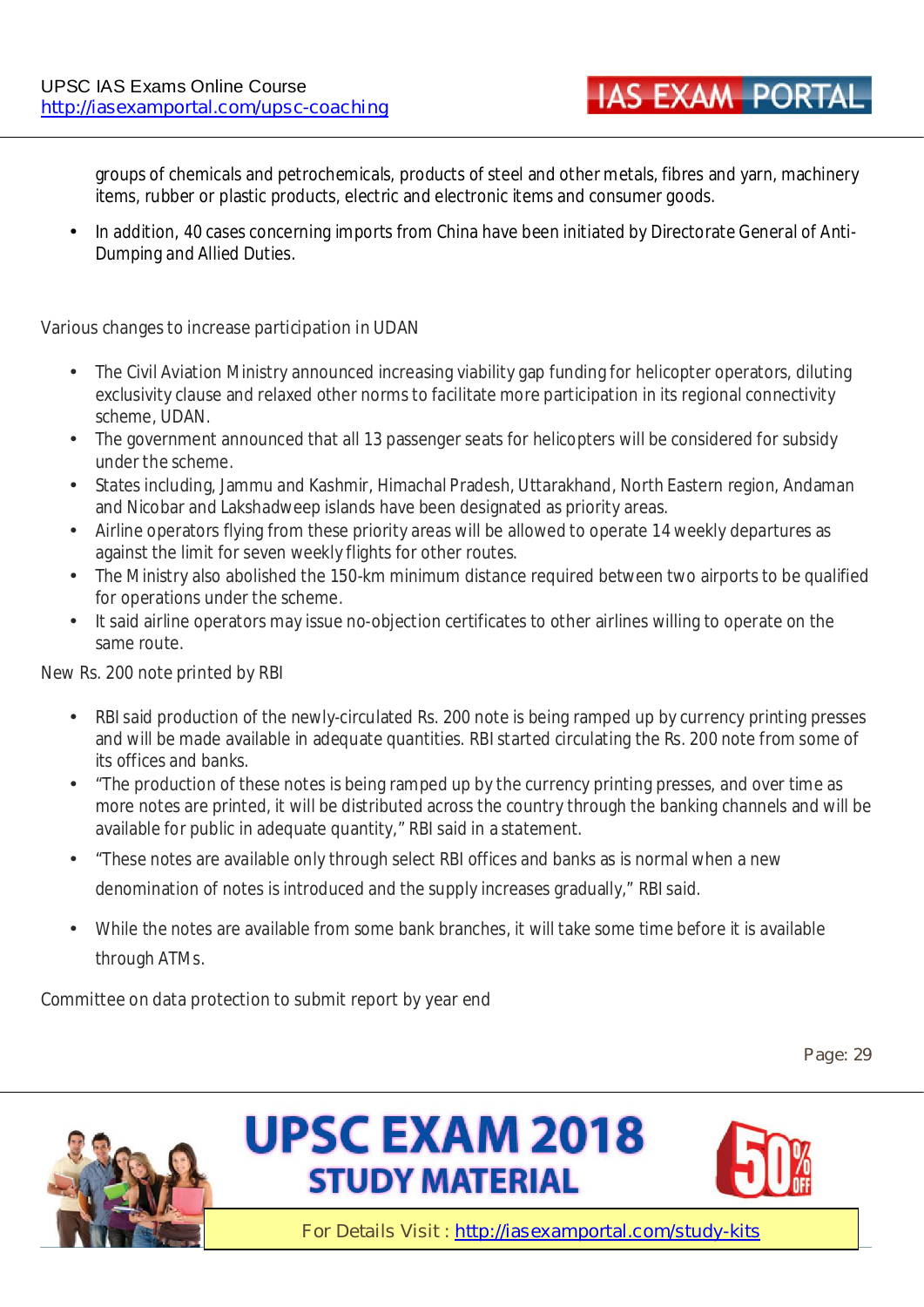**IAS EXAM PORTA** 

groups of chemicals and petrochemicals, products of steel and other metals, fibres and yarn, machinery items, rubber or plastic products, electric and electronic items and consumer goods.

• In addition, 40 cases concerning imports from China have been initiated by Directorate General of Anti-Dumping and Allied Duties.

#### **Various changes to increase participation in UDAN**

- The Civil Aviation Ministry announced increasing viability gap funding for helicopter operators, diluting exclusivity clause and relaxed other norms to facilitate more participation in its regional connectivity scheme, UDAN.
- The government announced that all 13 passenger seats for helicopters will be considered for subsidy under the scheme.
- States including, Jammu and Kashmir, Himachal Pradesh, Uttarakhand, North Eastern region, Andaman and Nicobar and Lakshadweep islands have been designated as priority areas.
- Airline operators flying from these priority areas will be allowed to operate 14 weekly departures as against the limit for seven weekly flights for other routes.
- The Ministry also abolished the 150-km minimum distance required between two airports to be qualified for operations under the scheme.
- It said airline operators may issue no-objection certificates to other airlines willing to operate on the same route.

#### **New Rs. 200 note printed by RBI**

- RBI said production of the newly-circulated Rs. 200 note is being ramped up by currency printing presses and will be made available in adequate quantities. RBI started circulating the Rs. 200 note from some of its offices and banks.
- "The production of these notes is being ramped up by the currency printing presses, and over time as more notes are printed, it will be distributed across the country through the banking channels and will be available for public in adequate quantity," RBI said in a statement.
- "These notes are available only through select RBI offices and banks as is normal when a new denomination of notes is introduced and the supply increases gradually," RBI said.
- While the notes are available from some bank branches, it will take some time before it is available through ATMs.

#### **Committee on data protection to submit report by year end**

**Page: 29** 





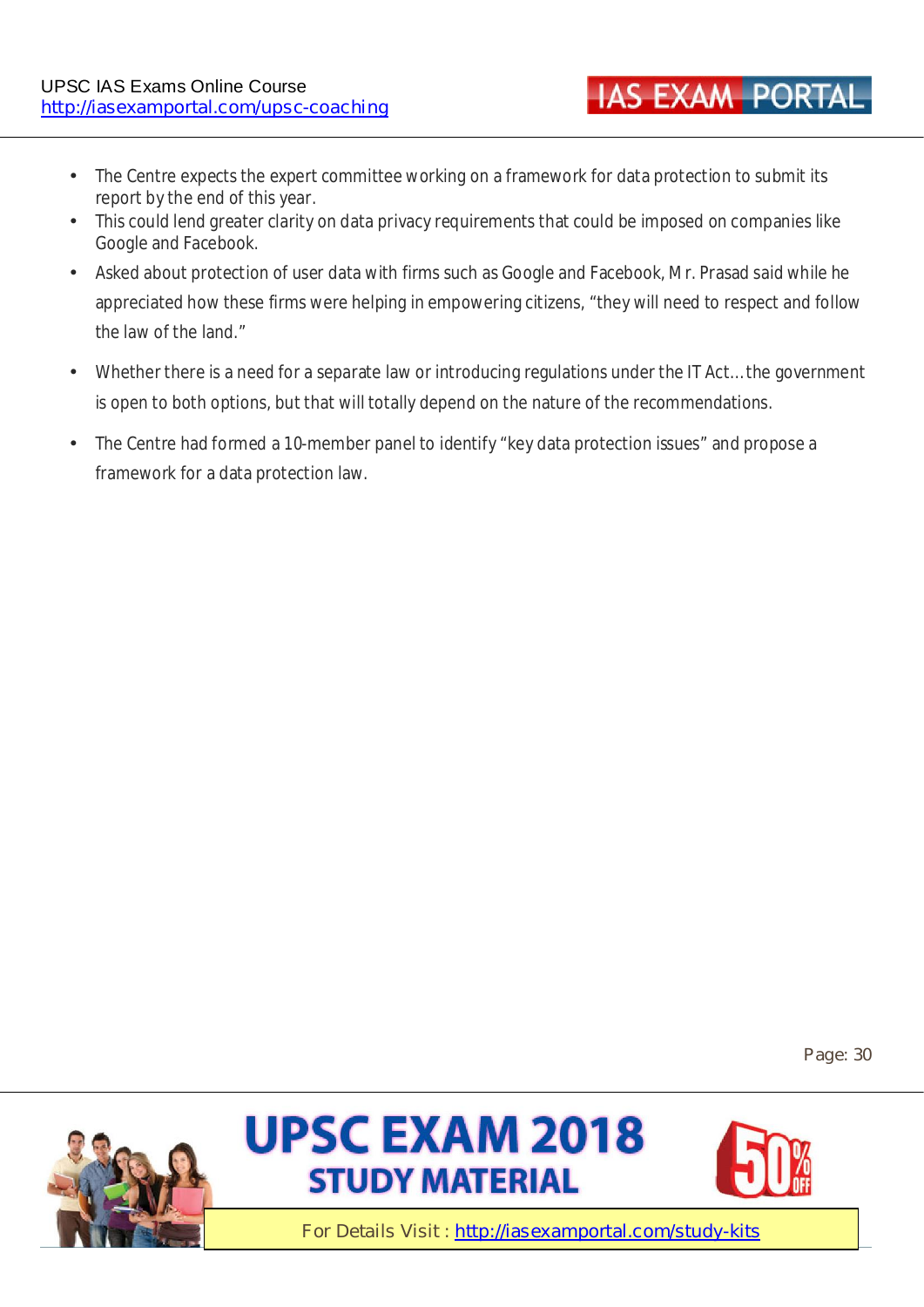- The Centre expects the expert committee working on a framework for data protection to submit its report by the end of this year.
- This could lend greater clarity on data privacy requirements that could be imposed on companies like Google and Facebook.
- Asked about protection of user data with firms such as Google and Facebook, Mr. Prasad said while he appreciated how these firms were helping in empowering citizens, "they will need to respect and follow the law of the land."
- Whether there is a need for a separate law or introducing regulations under the IT Act… the government is open to both options, but that will totally depend on the nature of the recommendations.
- The Centre had formed a 10-member panel to identify "key data protection issues" and propose a framework for a data protection law.

**Page: 30** 







**IAS EXAM PORTAL**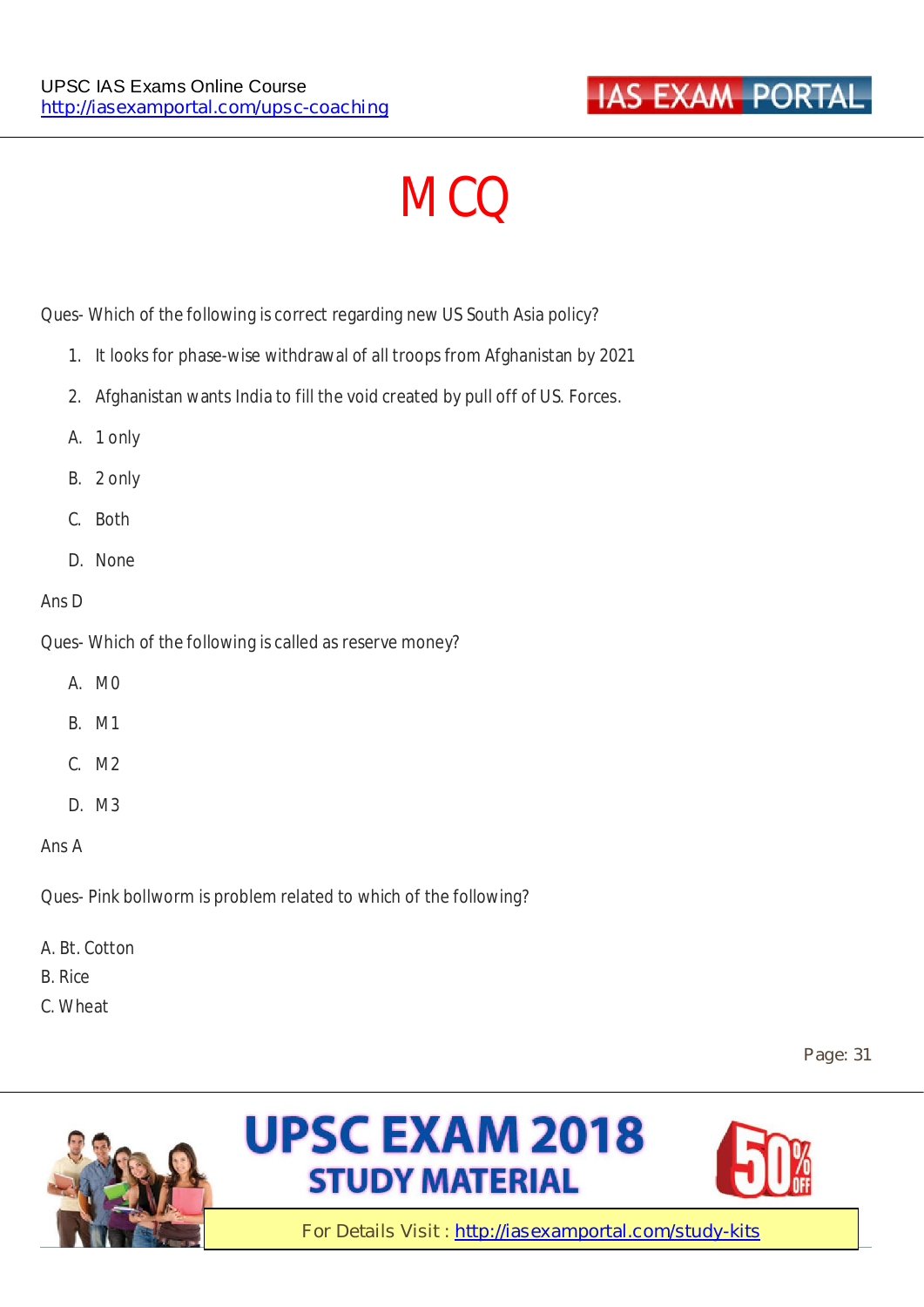

# **MCQ**

Ques- Which of the following is correct regarding new US South Asia policy?

- 1. It looks for phase-wise withdrawal of all troops from Afghanistan by 2021
- 2. Afghanistan wants India to fill the void created by pull off of US. Forces.
- A. 1 only
- B. 2 only
- C. Both
- D. None

#### Ans D

Ques- Which of the following is called as reserve money?

- A. M0
- B. M1
- C. M2
- D. M3
- Ans A

Ques- Pink bollworm is problem related to which of the following?

- A. Bt. Cotton
- B. Rice
- C. Wheat

**Page: 31** 





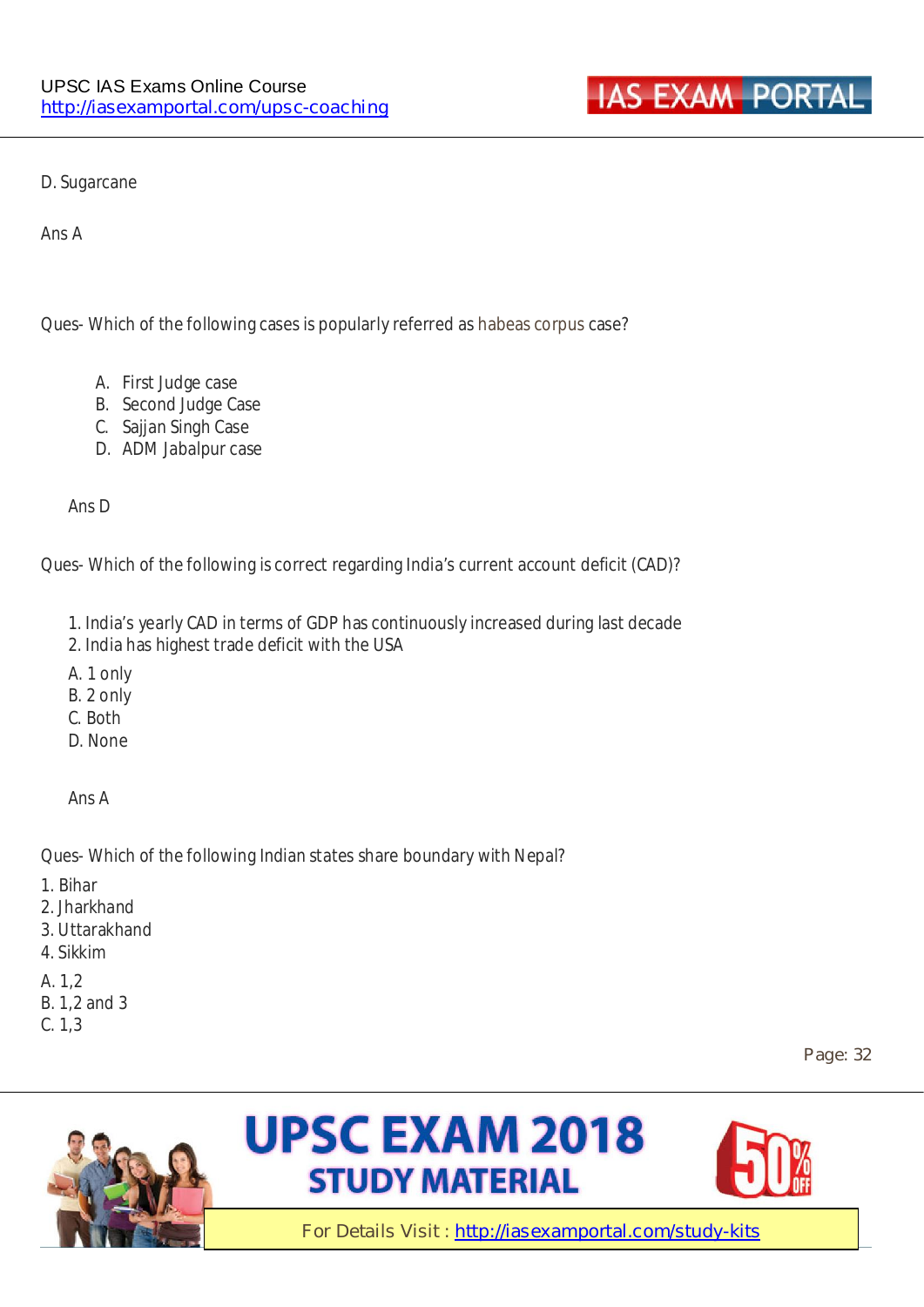

D. Sugarcane

Ans A

Ques- Which of the following cases is popularly referred as habeas corpus case?

- A. First Judge case
- B. Second Judge Case
- C. Sajjan Singh Case
- D. ADM Jabalpur case

Ans D

Ques- Which of the following is correct regarding India's current account deficit (CAD)?

- 1. India's yearly CAD in terms of GDP has continuously increased during last decade
- 2. India has highest trade deficit with the USA
- A. 1 only
- B. 2 only
- C. Both
- D. None

Ans A

Ques- Which of the following Indian states share boundary with Nepal?

- 1. Bihar
- 2. Jharkhand
- 3. Uttarakhand
- 4. Sikkim
- A. 1,2
- B. 1,2 and 3
- C. 1,3

**Page: 32** 





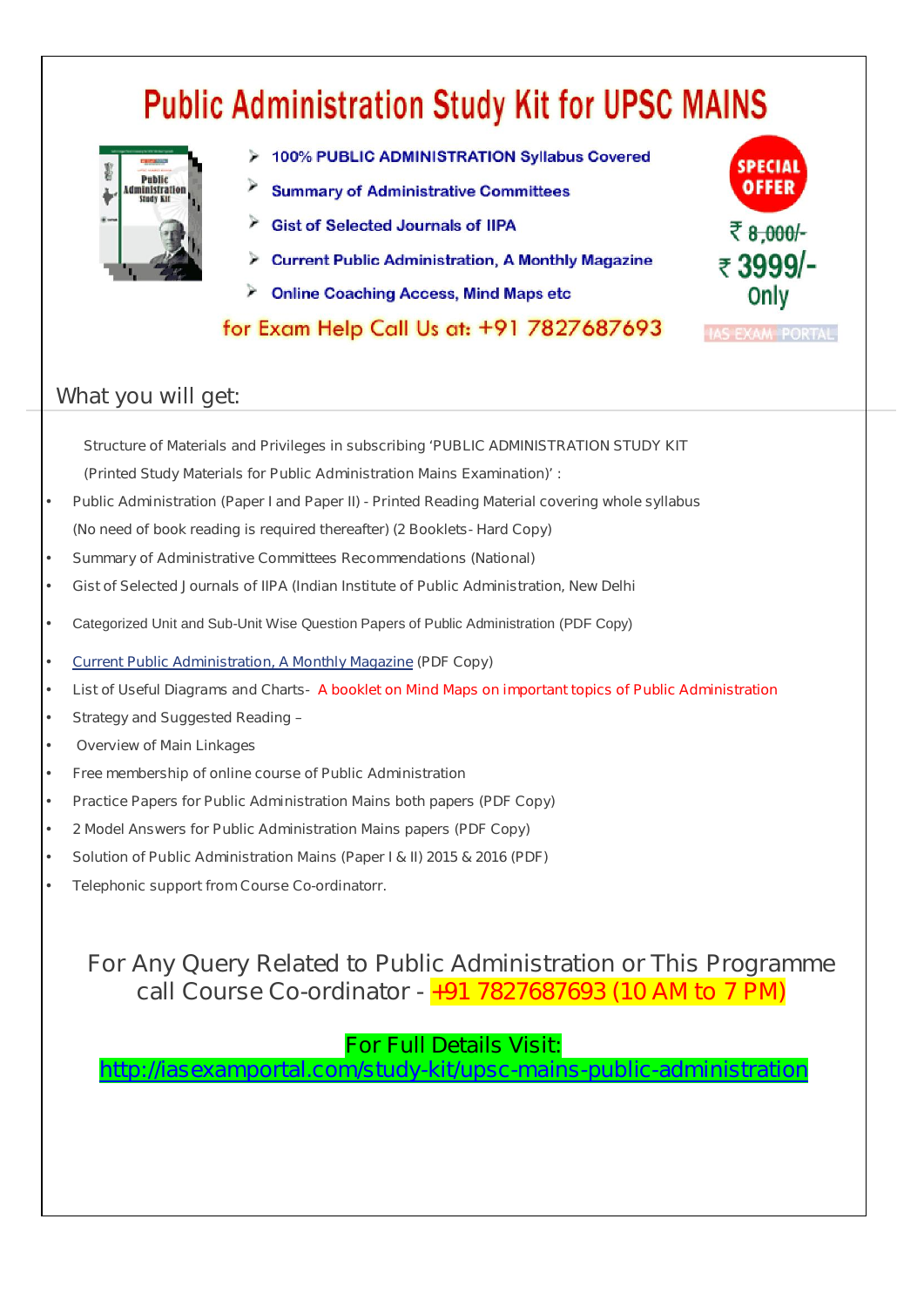# **Public Administration Study Kit for UPSC MAINS**



- > 100% PUBLIC ADMINISTRATION Syllabus Covered
- **Summary of Administrative Committees**
- Gist of Selected Journals of IIPA
- Current Public Administration, A Monthly Magazine
- **Online Coaching Access, Mind Maps etc**

for Exam Help Call Us at: +91 7827687693



#### **What you will get:**

**Structure of Materials and Privileges in subscribing 'PUBLIC ADMINISTRATION STUDY KIT** 

**(Printed Study Materials for Public Administration Mains Examination)' :**

- **Public Administration (Paper I and Paper II) Printed Reading Material covering whole syllabus (No need of book reading is required thereafter) (2 Booklets- Hard Copy)**
- **Summary of Administrative Committees Recommendations (National)**
- **Gist of Selected Journals of IIPA (Indian Institute of Public Administration, New Delhi**
- Categorized Unit and Sub-Unit Wise Question Papers of Public Administration (PDF Copy)
- **Current Public Administration, A Monthly Magazine (PDF Copy)**
- **List of Useful Diagrams and Charts- A booklet on Mind Maps on important topics of Public Administration**
- **Strategy and Suggested Reading –**
- • **Overview of Main Linkages**
- **Free membership of online course of Public Administration**
- **Practice Papers for Public Administration Mains both papers (PDF Copy)**
- **2 Model Answers for Public Administration Mains papers (PDF Copy)**
- **Solution of Public Administration Mains (Paper I & II) 2015 & 2016 (PDF)**
- **Telephonic support from Course Co-ordinatorr.**

#### **For Any Query Related to Public Administration or This Programme call Course Co-ordinator - +91 7827687693 (10 AM to 7 PM)**

#### **For Full Details Visit:**

**http://iasexamportal.com/study-kit/upsc-mains-public-administration**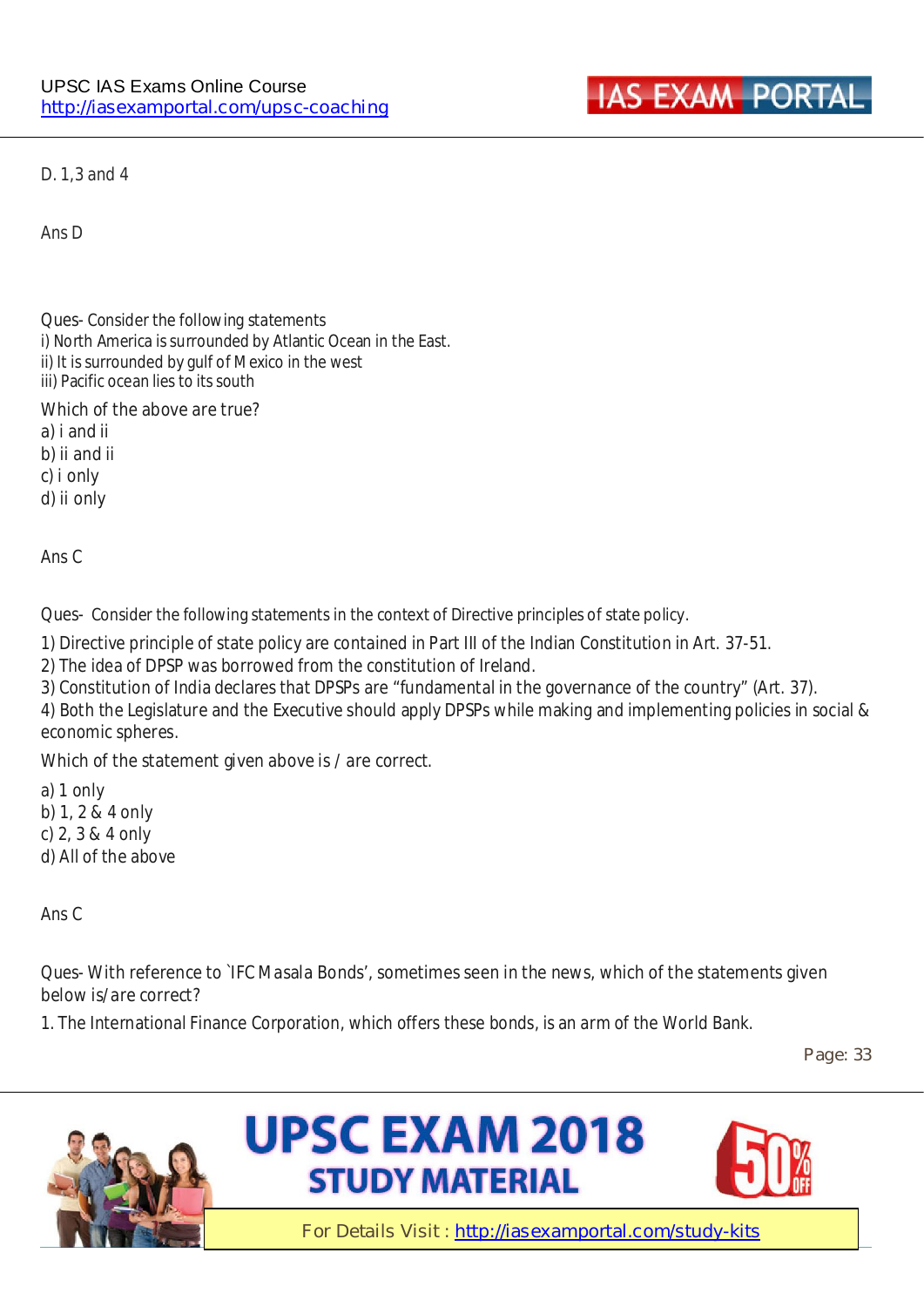

D. 1,3 and 4

Ans D

Ques- **Consider the following statements**  i) North America is surrounded by Atlantic Ocean in the East. ii) It is surrounded by gulf of Mexico in the west iii) Pacific ocean lies to its south

**Which of the above are true? a) i and ii b) ii and ii** 

**c) i only d) ii only**

Ans C

#### Ques- **Consider the following statements in the context of Directive principles of state policy.**

1) Directive principle of state policy are contained in Part III of the Indian Constitution in Art. 37-51.

2) The idea of DPSP was borrowed from the constitution of Ireland.

3) Constitution of India declares that DPSPs are "fundamental in the governance of the country" (Art. 37).

4) Both the Legislature and the Executive should apply DPSPs while making and implementing policies in social & economic spheres.

#### **Which of the statement given above is / are correct.**

a) 1 only b) 1, 2 & 4 only c) 2, 3 & 4 only d) All of the above

Ans C

#### Ques- **With reference to `IFC Masala Bonds', sometimes seen in the news, which of the statements given below is/are correct?**

1. The International Finance Corporation, which offers these bonds, is an arm of the World Bank.

**Page: 33** 





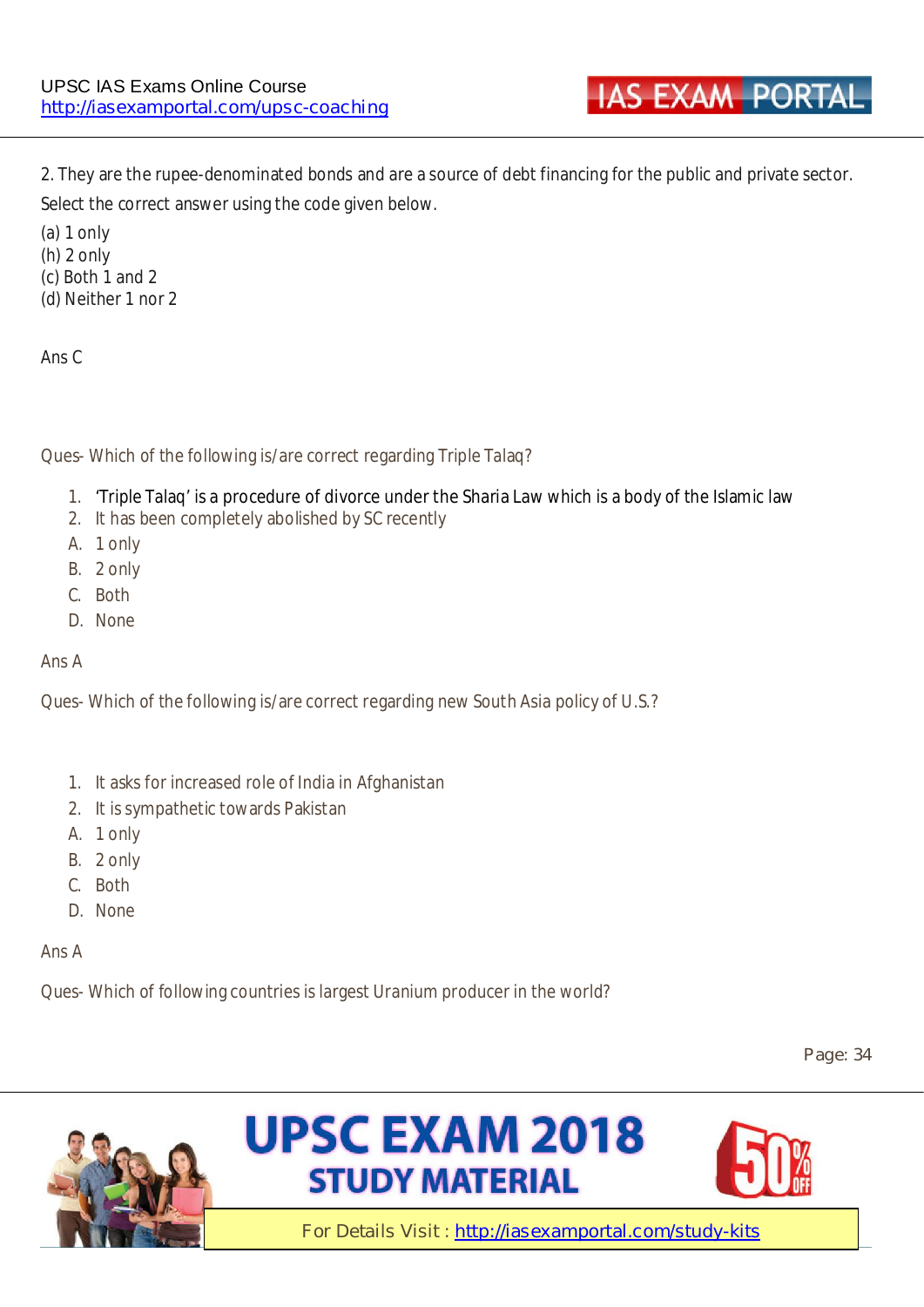2. They are the rupee-denominated bonds and are a source of debt financing for the public and private sector. Select the correct answer using the code given below.

(a) 1 only (h) 2 only (c) Both 1 and 2 (d) Neither 1 nor 2

Ans C

**Ques-** Which of the following is/are correct regarding Triple Talaq?

- 1. 'Triple Talaq' is **a procedure of divorce under the Sharia Law** which is a body of the Islamic law
- 2. It has been completely abolished by SC recently
- A. 1 only
- B. 2 only
- C. Both
- D. None

Ans A

Ques- Which of the following is/are correct regarding new South Asia policy of U.S.?

- 1. It asks for increased role of India in Afghanistan
- 2. It is sympathetic towards Pakistan
- A. 1 only
- B. 2 only
- C. Both
- D. None

Ans A

Ques- Which of following countries is largest Uranium producer in the world?

**Page: 34** 





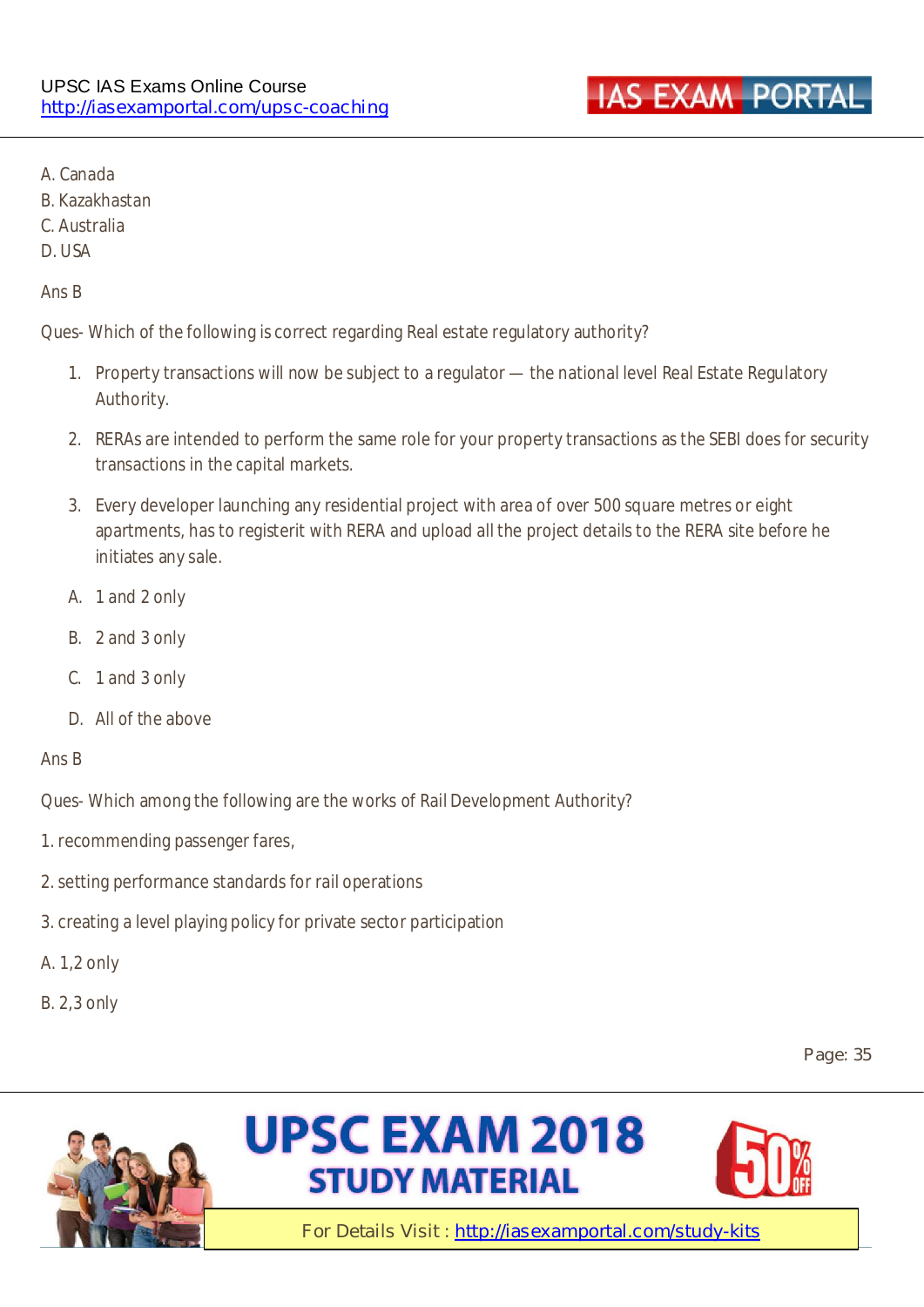

- A. Canada
- B. Kazakhastan
- C. Australia
- D. USA

#### Ans B

Ques- Which of the following is correct regarding Real estate regulatory authority?

- 1. Property transactions will now be subject to a regulator the national level Real Estate Regulatory Authority.
- 2. RERAs are intended to perform the same role for your property transactions as the SEBI does for security transactions in the capital markets.
- 3. Every developer launching any residential project with area of over 500 square metres or eight apartments, has to registerit with RERA and upload all the project details to the RERA site before he initiates any sale.
- A. 1 and 2 only
- B. 2 and 3 only
- C. 1 and 3 only
- D. All of the above

#### Ans B

Ques- Which among the following are the works of Rail Development Authority?

- 1. recommending passenger fares,
- 2. setting performance standards for rail operations
- 3. creating a level playing policy for private sector participation
- A. 1,2 only
- B. 2,3 only

**Page: 35** 





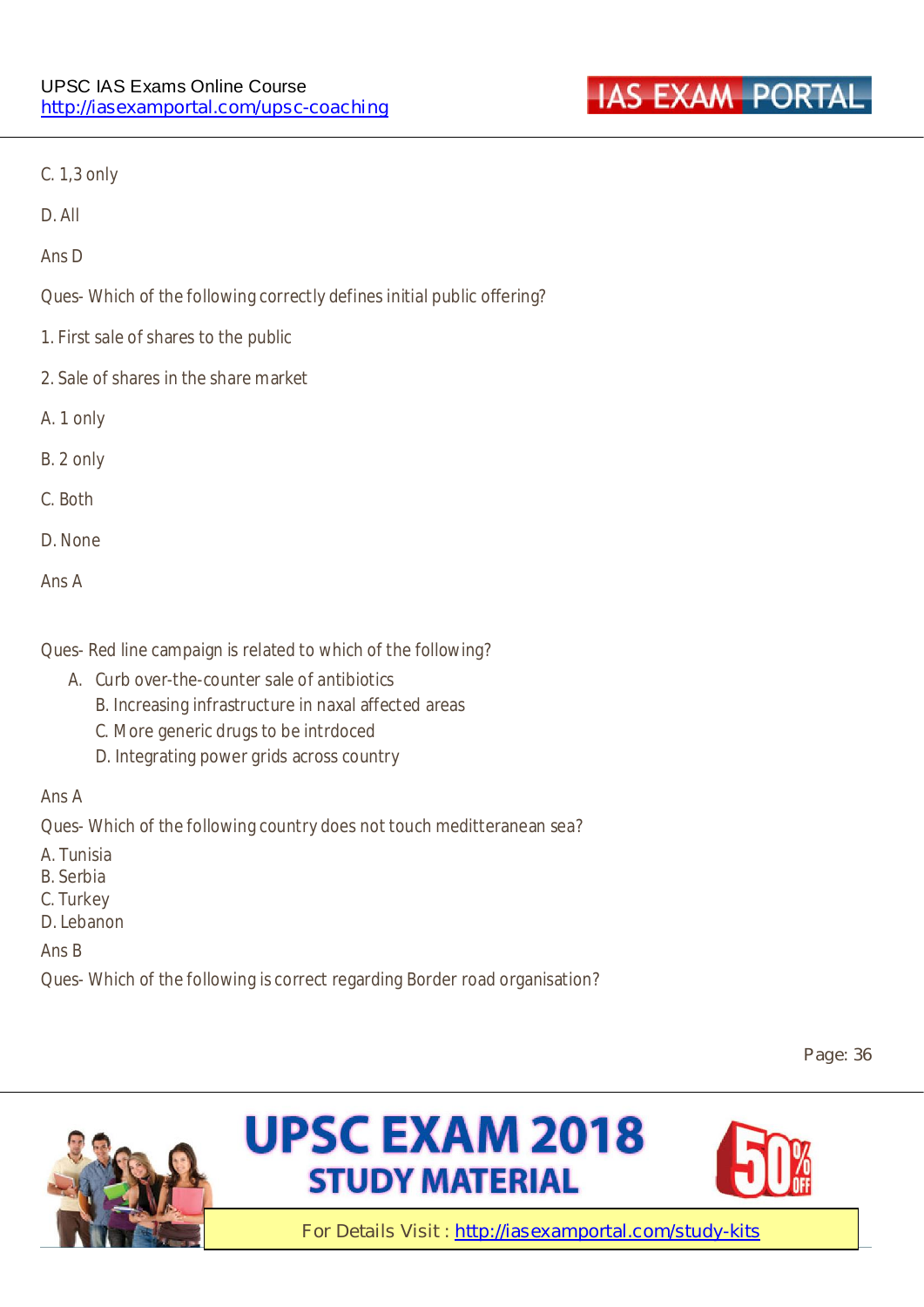

C. 1,3 only

D. All

Ans D

Ques- Which of the following correctly defines initial public offering?

- 1. First sale of shares to the public
- 2. Sale of shares in the share market
- A. 1 only
- B. 2 only
- C. Both
- D. None
- Ans A

Ques- Red line campaign is related to which of the following?

- A. Curb over-the-counter sale of antibiotics
	- B. Increasing infrastructure in naxal affected areas
	- C. More generic drugs to be intrdoced
	- D. Integrating power grids across country

Ans A

Ques- Which of the following country does not touch meditteranean sea?

A. Tunisia

- B. Serbia
- C. Turkey
- D. Lebanon

#### Ans B

Ques- Which of the following is correct regarding Border road organisation?

**Page: 36** 



# **UPSC EXAM 2018 STUDY MATERIAL**

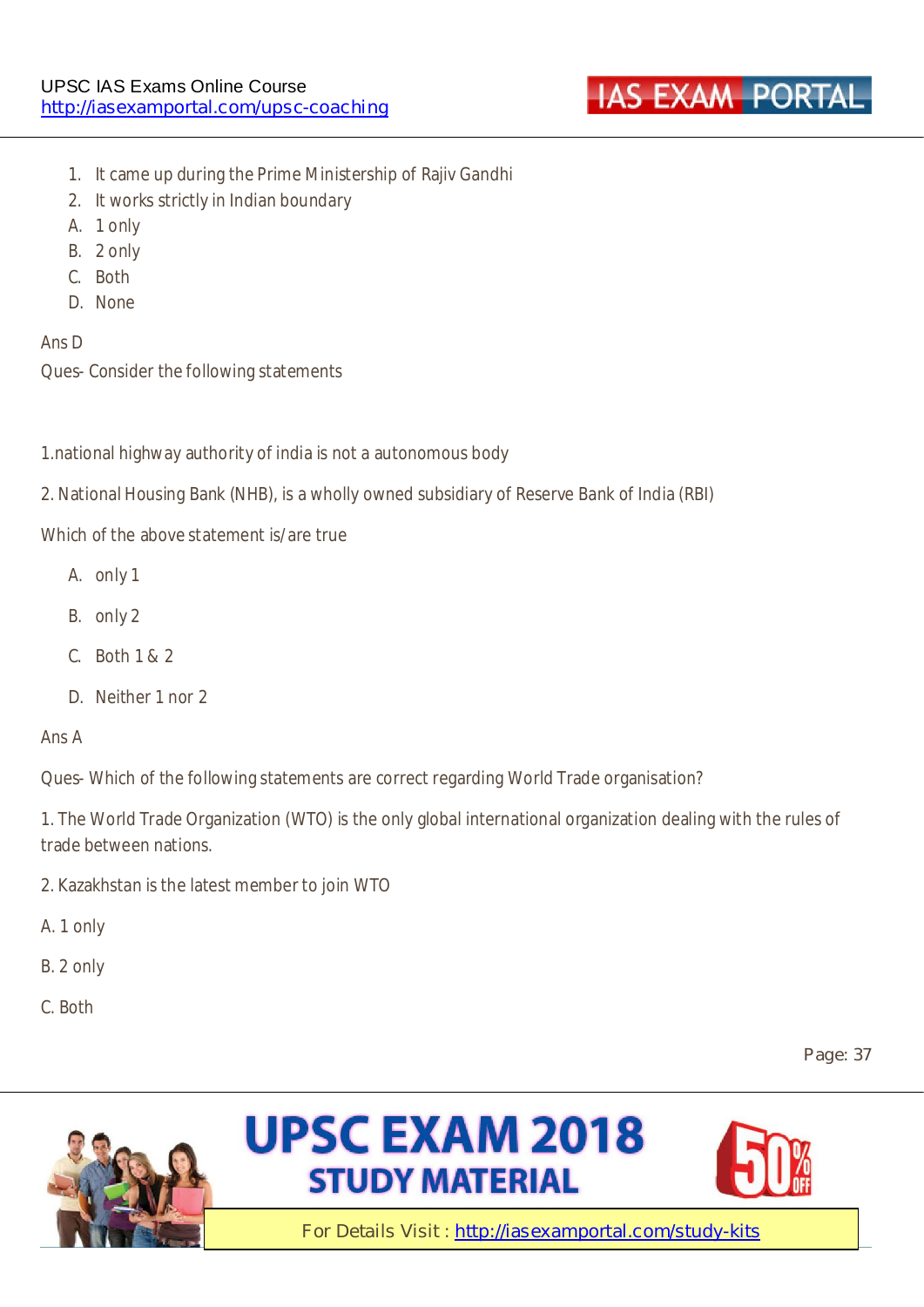

- 1. It came up during the Prime Ministership of Rajiv Gandhi
- 2. It works strictly in Indian boundary
- A. 1 only
- B. 2 only
- C. Both
- D. None

Ans D

**Ques-** Consider the following statements

1.national highway authority of india is not a autonomous body

2. National Housing Bank (NHB), is a wholly owned subsidiary of Reserve Bank of India (RBI)

Which of the above statement is/are true

- A. only 1
- B. only 2
- **C.** Both 1 & 2
- **D.** Neither 1 nor 2

#### Ans A

**Ques-** Which of the following statements are correct regarding World Trade organisation?

1. The World Trade Organization (WTO) is the only global international organization dealing with the rules of trade between nations.

- 2. Kazakhstan is the latest member to join WTO
- A. 1 only
- B. 2 only
- C. Both

**Page: 37** 

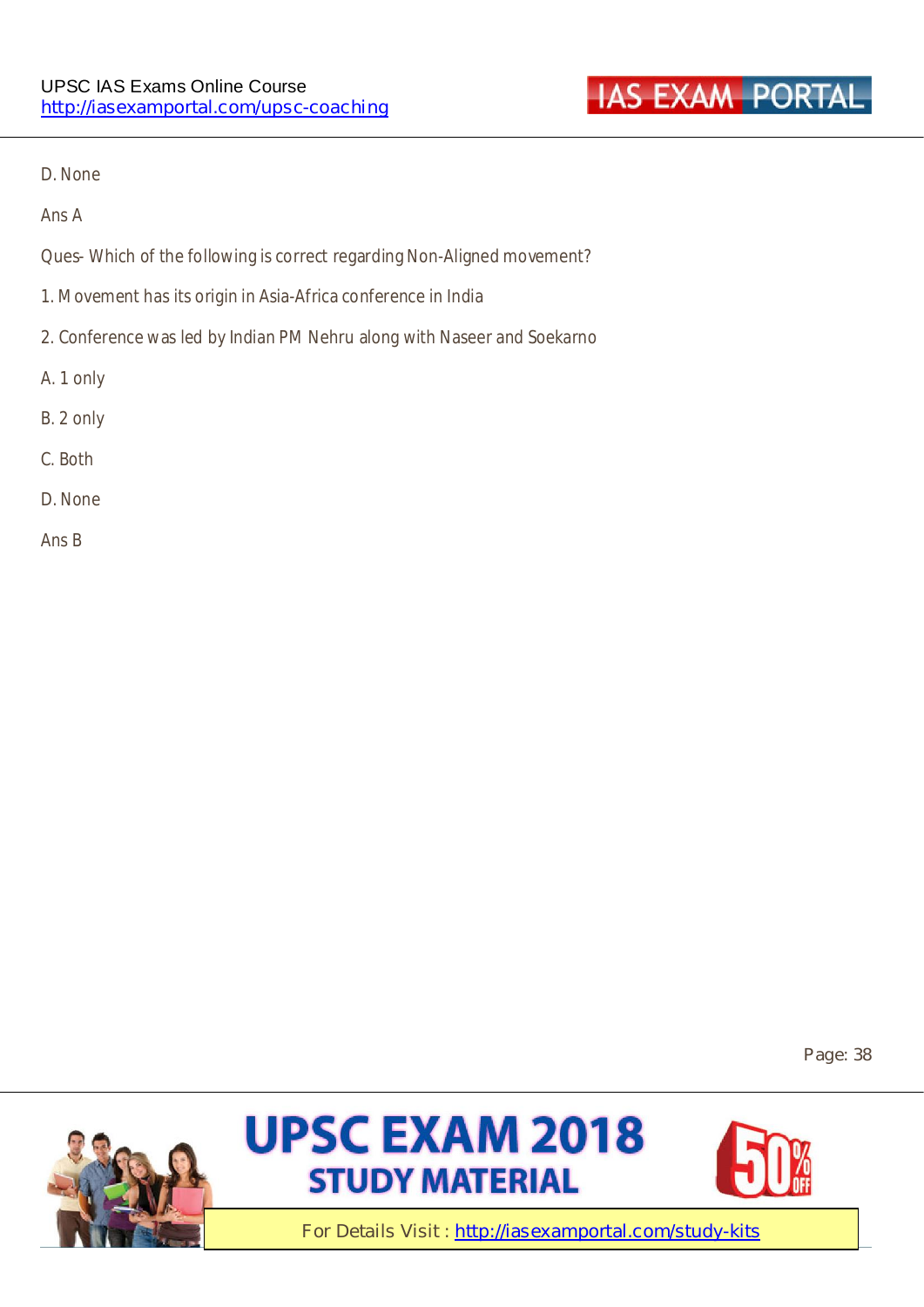

D. None

Ans A

**Ques-** Which of the following is correct regarding Non-Aligned movement?

- 1. Movement has its origin in Asia-Africa conference in India
- 2. Conference was led by Indian PM Nehru along with Naseer and Soekarno
- A. 1 only
- B. 2 only
- C. Both
- D. None

Ans B

**Page: 38** 





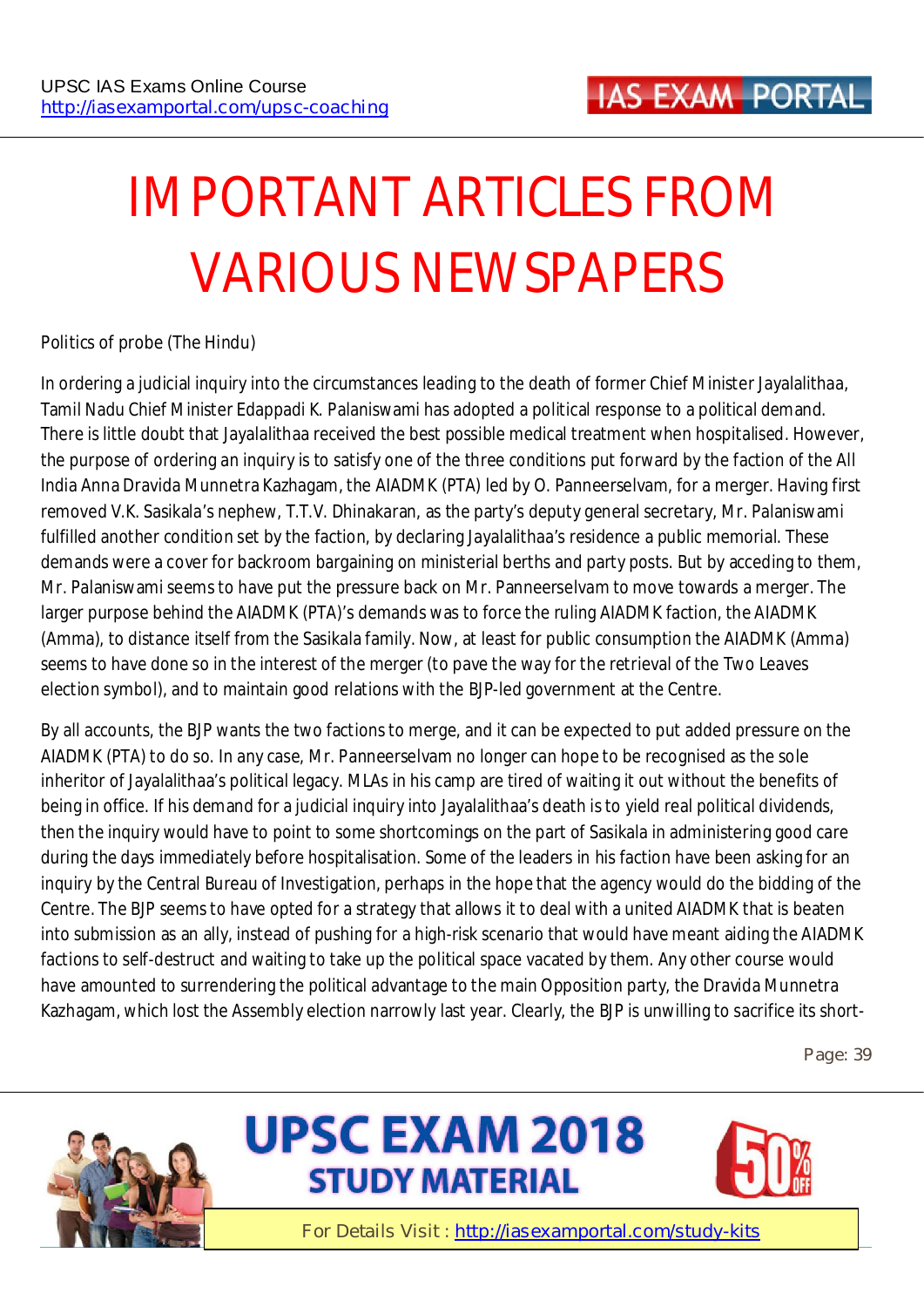# **IMPORTANT ARTICLES FROM VARIOUS NEWSPAPERS**

#### **Politics of probe (The Hindu)**

In ordering a judicial inquiry into the circumstances leading to the death of former Chief Minister Jayalalithaa, Tamil Nadu Chief Minister Edappadi K. Palaniswami has adopted a political response to a political demand. There is little doubt that Jayalalithaa received the best possible medical treatment when hospitalised. However, the purpose of ordering an inquiry is to satisfy one of the three conditions put forward by the faction of the All India Anna Dravida Munnetra Kazhagam, the AIADMK (PTA) led by O. Panneerselvam, for a merger. Having first removed V.K. Sasikala's nephew, T.T.V. Dhinakaran, as the party's deputy general secretary, Mr. Palaniswami fulfilled another condition set by the faction, by declaring Jayalalithaa's residence a public memorial. These demands were a cover for backroom bargaining on ministerial berths and party posts. But by acceding to them, Mr. Palaniswami seems to have put the pressure back on Mr. Panneerselvam to move towards a merger. The larger purpose behind the AIADMK (PTA)'s demands was to force the ruling AIADMK faction, the AIADMK (Amma), to distance itself from the Sasikala family. Now, at least for public consumption the AIADMK (Amma) seems to have done so in the interest of the merger (to pave the way for the retrieval of the Two Leaves election symbol), and to maintain good relations with the BJP-led government at the Centre.

By all accounts, the BJP wants the two factions to merge, and it can be expected to put added pressure on the AIADMK (PTA) to do so. In any case, Mr. Panneerselvam no longer can hope to be recognised as the sole inheritor of Jayalalithaa's political legacy. MLAs in his camp are tired of waiting it out without the benefits of being in office. If his demand for a judicial inquiry into Jayalalithaa's death is to yield real political dividends, then the inquiry would have to point to some shortcomings on the part of Sasikala in administering good care during the days immediately before hospitalisation. Some of the leaders in his faction have been asking for an inquiry by the Central Bureau of Investigation, perhaps in the hope that the agency would do the bidding of the Centre. The BJP seems to have opted for a strategy that allows it to deal with a united AIADMK that is beaten into submission as an ally, instead of pushing for a high-risk scenario that would have meant aiding the AIADMK factions to self-destruct and waiting to take up the political space vacated by them. Any other course would have amounted to surrendering the political advantage to the main Opposition party, the Dravida Munnetra Kazhagam, which lost the Assembly election narrowly last year. Clearly, the BJP is unwilling to sacrifice its short-

**Page: 39** 





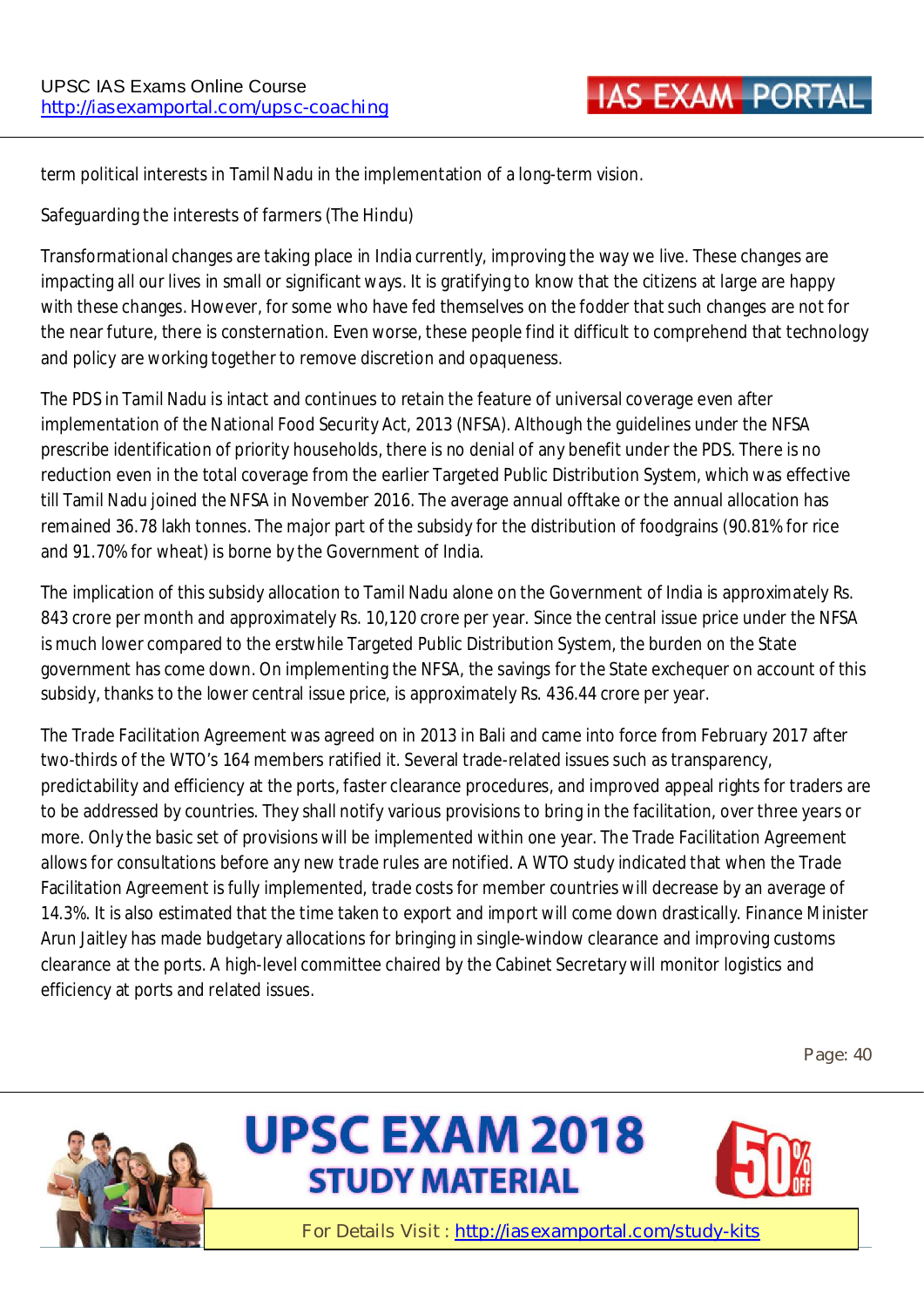term political interests in Tamil Nadu in the implementation of a long-term vision.

#### **Safeguarding the interests of farmers (The Hindu)**

Transformational changes are taking place in India currently, improving the way we live. These changes are impacting all our lives in small or significant ways. It is gratifying to know that the citizens at large are happy with these changes. However, for some who have fed themselves on the fodder that such changes are not for the near future, there is consternation. Even worse, these people find it difficult to comprehend that technology and policy are working together to remove discretion and opaqueness.

The PDS in Tamil Nadu is intact and continues to retain the feature of universal coverage even after implementation of the National Food Security Act, 2013 (NFSA). Although the guidelines under the NFSA prescribe identification of priority households, there is no denial of any benefit under the PDS. There is no reduction even in the total coverage from the earlier Targeted Public Distribution System, which was effective till Tamil Nadu joined the NFSA in November 2016. The average annual offtake or the annual allocation has remained 36.78 lakh tonnes. The major part of the subsidy for the distribution of foodgrains (90.81% for rice and 91.70% for wheat) is borne by the Government of India.

The implication of this subsidy allocation to Tamil Nadu alone on the Government of India is approximately Rs. 843 crore per month and approximately Rs. 10,120 crore per year. Since the central issue price under the NFSA is much lower compared to the erstwhile Targeted Public Distribution System, the burden on the State government has come down. On implementing the NFSA, the savings for the State exchequer on account of this subsidy, thanks to the lower central issue price, is approximately Rs. 436.44 crore per year.

The Trade Facilitation Agreement was agreed on in 2013 in Bali and came into force from February 2017 after two-thirds of the WTO's 164 members ratified it. Several trade-related issues such as transparency, predictability and efficiency at the ports, faster clearance procedures, and improved appeal rights for traders are to be addressed by countries. They shall notify various provisions to bring in the facilitation, over three years or more. Only the basic set of provisions will be implemented within one year. The Trade Facilitation Agreement allows for consultations before any new trade rules are notified. A WTO study indicated that when the Trade Facilitation Agreement is fully implemented, trade costs for member countries will decrease by an average of 14.3%. It is also estimated that the time taken to export and import will come down drastically. Finance Minister Arun Jaitley has made budgetary allocations for bringing in single-window clearance and improving customs clearance at the ports. A high-level committee chaired by the Cabinet Secretary will monitor logistics and efficiency at ports and related issues.

**Page: 40** 



# **UPSC EXAM 2018 STUDY MATERIAL**

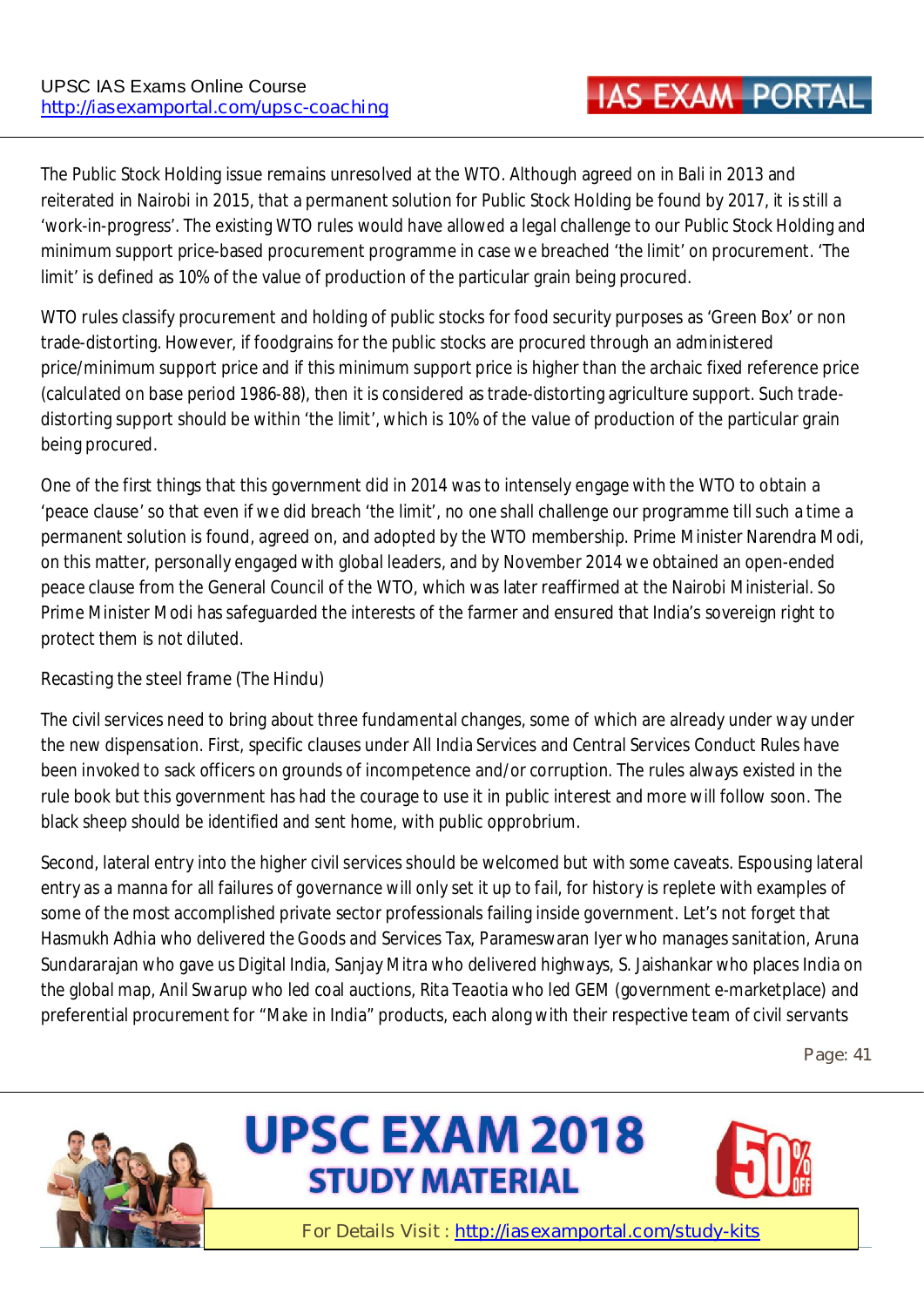The Public Stock Holding issue remains unresolved at the WTO. Although agreed on in Bali in 2013 and reiterated in Nairobi in 2015, that a permanent solution for Public Stock Holding be found by 2017, it is still a 'work-in-progress'. The existing WTO rules would have allowed a legal challenge to our Public Stock Holding and minimum support price-based procurement programme in case we breached 'the limit' on procurement. 'The limit' is defined as 10% of the value of production of the particular grain being procured.

WTO rules classify procurement and holding of public stocks for food security purposes as 'Green Box' or non trade-distorting. However, if foodgrains for the public stocks are procured through an administered price/minimum support price and if this minimum support price is higher than the archaic fixed reference price (calculated on base period 1986-88), then it is considered as trade-distorting agriculture support. Such tradedistorting support should be within 'the limit', which is 10% of the value of production of the particular grain being procured.

One of the first things that this government did in 2014 was to intensely engage with the WTO to obtain a 'peace clause' so that even if we did breach 'the limit', no one shall challenge our programme till such a time a permanent solution is found, agreed on, and adopted by the WTO membership. Prime Minister Narendra Modi, on this matter, personally engaged with global leaders, and by November 2014 we obtained an open-ended peace clause from the General Council of the WTO, which was later reaffirmed at the Nairobi Ministerial. So Prime Minister Modi has safeguarded the interests of the farmer and ensured that India's sovereign right to protect them is not diluted.

#### **Recasting the steel frame (The Hindu)**

The civil services need to bring about three fundamental changes, some of which are already under way under the new dispensation. First, specific clauses under All India Services and Central Services Conduct Rules have been invoked to sack officers on grounds of incompetence and/or corruption. The rules always existed in the rule book but this government has had the courage to use it in public interest and more will follow soon. The black sheep should be identified and sent home, with public opprobrium.

Second, lateral entry into the higher civil services should be welcomed but with some caveats. Espousing lateral entry as a manna for all failures of governance will only set it up to fail, for history is replete with examples of some of the most accomplished private sector professionals failing inside government. Let's not forget that Hasmukh Adhia who delivered the Goods and Services Tax, Parameswaran Iyer who manages sanitation, Aruna Sundararajan who gave us Digital India, Sanjay Mitra who delivered highways, S. Jaishankar who places India on the global map, Anil Swarup who led coal auctions, Rita Teaotia who led GEM (government e-marketplace) and preferential procurement for "Make in India" products, each along with their respective team of civil servants

**Page: 41** 





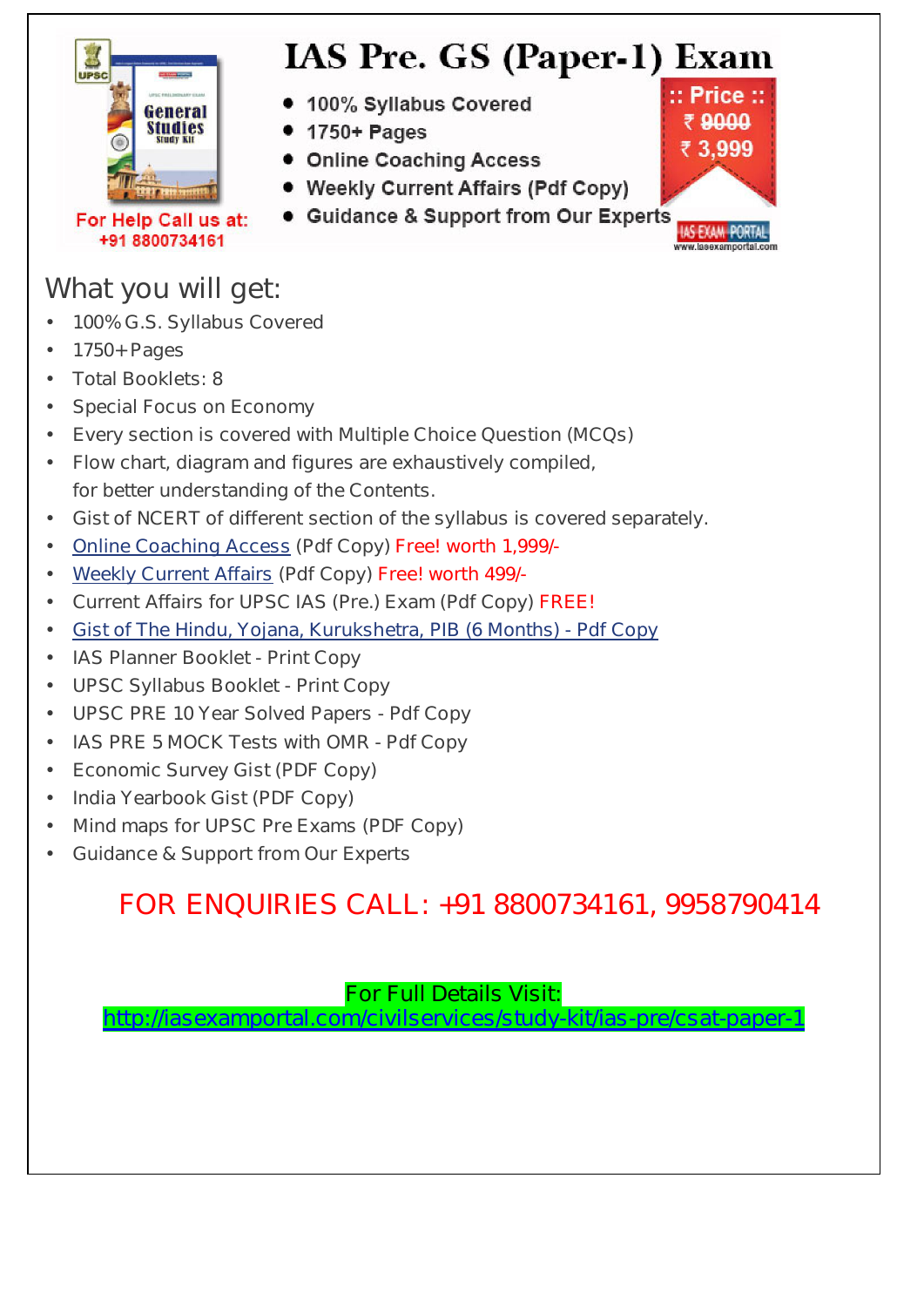

# **IAS Pre. GS (Paper-1) Exam**

- 100% Syllabus Covered
- 1750+ Pages
- Online Coaching Access
- Weekly Current Affairs (Pdf Copy)
- Guidance & Support from Our Experts

For Help Call us at: +91 8800734161

### **What you will get:**

- **100% G.S. Syllabus Covered**
- **1750+ Pages**
- **Total Booklets: 8**
- **Special Focus on Economy**
- **Every section is covered with Multiple Choice Question (MCQs)**
- **Flow chart, diagram and figures are exhaustively compiled, for better understanding of the Contents.**
- **Gist of NCERT of different section of the syllabus is covered separately.**
- **Online Coaching Access (Pdf Copy) Free! worth 1,999/-**
- **Weekly Current Affairs (Pdf Copy) Free! worth 499/-**
- **Current Affairs for UPSC IAS (Pre.) Exam (Pdf Copy) FREE!**
- **Gist of The Hindu, Yojana, Kurukshetra, PIB (6 Months) Pdf Copy**
- **IAS Planner Booklet Print Copy**
- **UPSC Syllabus Booklet Print Copy**
- **UPSC PRE 10 Year Solved Papers Pdf Copy**
- **IAS PRE 5 MOCK Tests with OMR Pdf Copy**
- **Economic Survey Gist (PDF Copy)**
- **India Yearbook Gist (PDF Copy)**
- **Mind maps for UPSC Pre Exams (PDF Copy)**
- **Guidance & Support from Our Experts**

### **FOR ENQUIRIES CALL: +91 8800734161, 9958790414**

#### **For Full Details Visit:**

**http://iasexamportal.com/civilservices/study-kit/ias-pre/csat-paper-1**

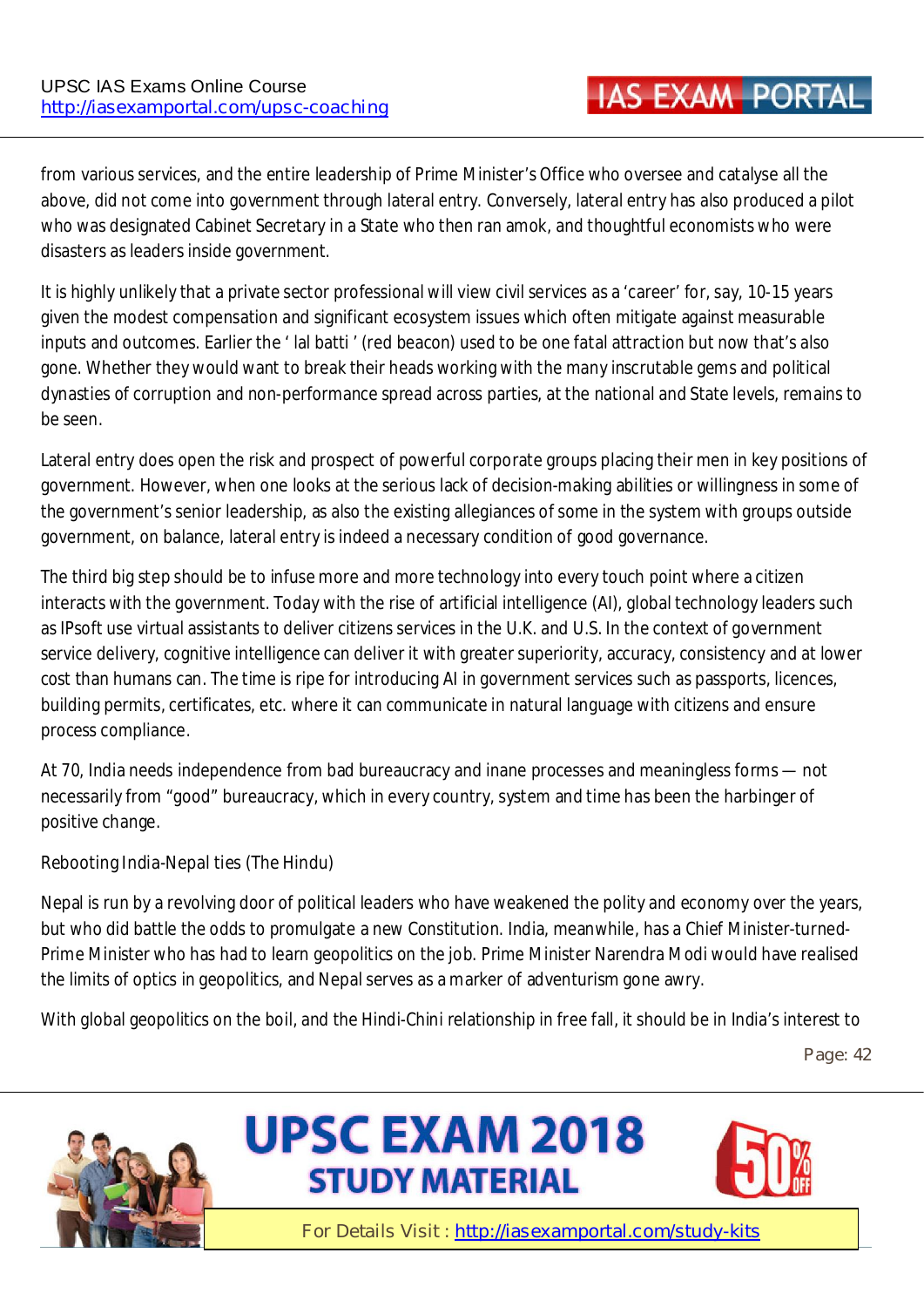from various services, and the entire leadership of Prime Minister's Office who oversee and catalyse all the above, did not come into government through lateral entry. Conversely, lateral entry has also produced a pilot who was designated Cabinet Secretary in a State who then ran amok, and thoughtful economists who were disasters as leaders inside government.

It is highly unlikely that a private sector professional will view civil services as a 'career' for, say, 10-15 years given the modest compensation and significant ecosystem issues which often mitigate against measurable inputs and outcomes. Earlier the ' lal batti ' (red beacon) used to be one fatal attraction but now that's also gone. Whether they would want to break their heads working with the many inscrutable gems and political dynasties of corruption and non-performance spread across parties, at the national and State levels, remains to be seen.

Lateral entry does open the risk and prospect of powerful corporate groups placing their men in key positions of government. However, when one looks at the serious lack of decision-making abilities or willingness in some of the government's senior leadership, as also the existing allegiances of some in the system with groups outside government, on balance, lateral entry is indeed a necessary condition of good governance.

The third big step should be to infuse more and more technology into every touch point where a citizen interacts with the government. Today with the rise of artificial intelligence (AI), global technology leaders such as IPsoft use virtual assistants to deliver citizens services in the U.K. and U.S. In the context of government service delivery, cognitive intelligence can deliver it with greater superiority, accuracy, consistency and at lower cost than humans can. The time is ripe for introducing AI in government services such as passports, licences, building permits, certificates, etc. where it can communicate in natural language with citizens and ensure process compliance.

At 70, India needs independence from bad bureaucracy and inane processes and meaningless forms — not necessarily from "good" bureaucracy, which in every country, system and time has been the harbinger of positive change.

#### **Rebooting India-Nepal ties (The Hindu)**

Nepal is run by a revolving door of political leaders who have weakened the polity and economy over the years, but who did battle the odds to promulgate a new Constitution. India, meanwhile, has a Chief Minister-turned-Prime Minister who has had to learn geopolitics on the job. Prime Minister Narendra Modi would have realised the limits of optics in geopolitics, and Nepal serves as a marker of adventurism gone awry.

With global geopolitics on the boil, and the Hindi-Chini relationship in free fall, it should be in India's interest to

**Page: 42** 





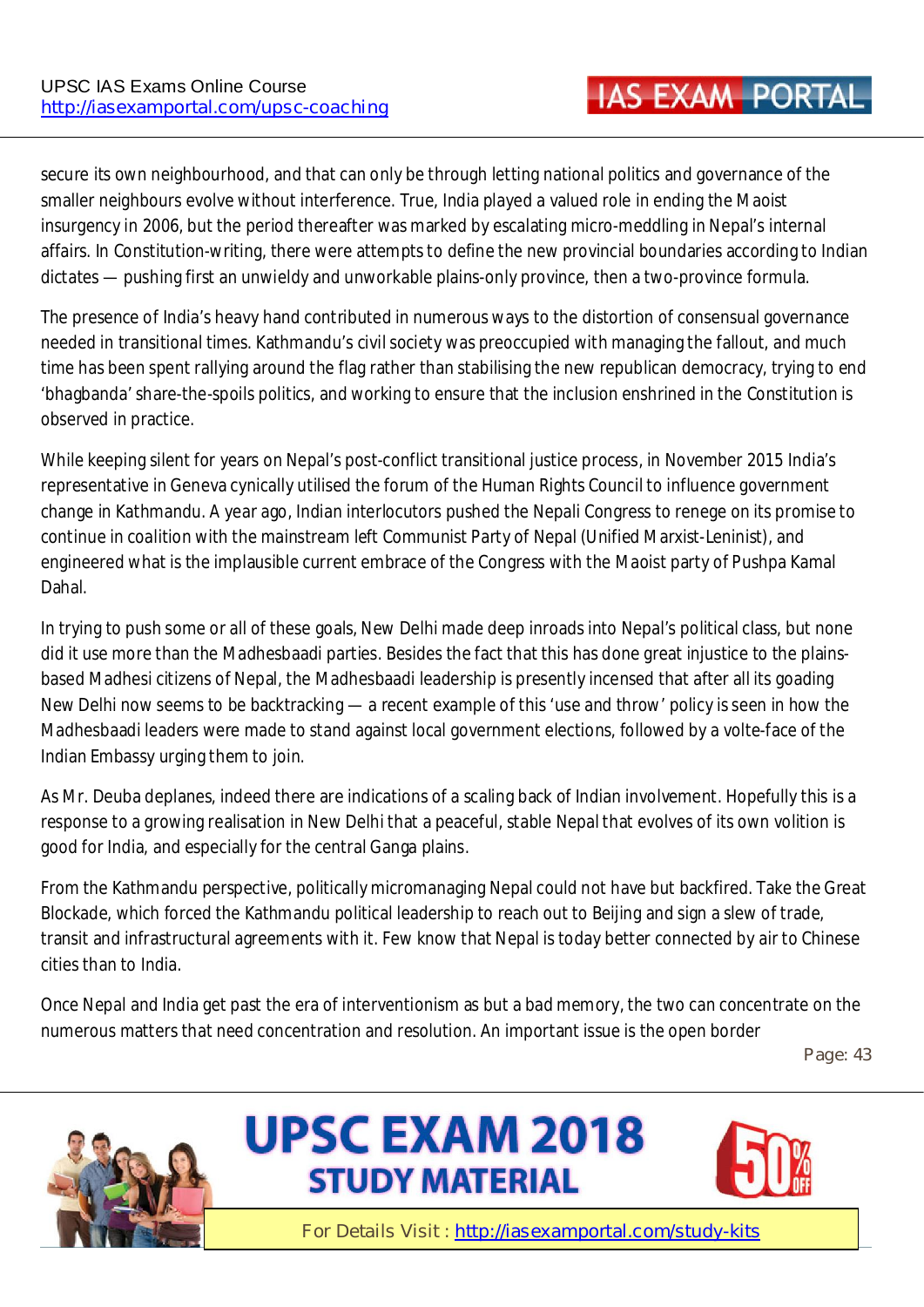secure its own neighbourhood, and that can only be through letting national politics and governance of the smaller neighbours evolve without interference. True, India played a valued role in ending the Maoist insurgency in 2006, but the period thereafter was marked by escalating micro-meddling in Nepal's internal affairs. In Constitution-writing, there were attempts to define the new provincial boundaries according to Indian dictates — pushing first an unwieldy and unworkable plains-only province, then a two-province formula.

The presence of India's heavy hand contributed in numerous ways to the distortion of consensual governance needed in transitional times. Kathmandu's civil society was preoccupied with managing the fallout, and much time has been spent rallying around the flag rather than stabilising the new republican democracy, trying to end 'bhagbanda' share-the-spoils politics, and working to ensure that the inclusion enshrined in the Constitution is observed in practice.

While keeping silent for years on Nepal's post-conflict transitional justice process, in November 2015 India's representative in Geneva cynically utilised the forum of the Human Rights Council to influence government change in Kathmandu. A year ago, Indian interlocutors pushed the Nepali Congress to renege on its promise to continue in coalition with the mainstream left Communist Party of Nepal (Unified Marxist-Leninist), and engineered what is the implausible current embrace of the Congress with the Maoist party of Pushpa Kamal Dahal.

In trying to push some or all of these goals, New Delhi made deep inroads into Nepal's political class, but none did it use more than the Madhesbaadi parties. Besides the fact that this has done great injustice to the plainsbased Madhesi citizens of Nepal, the Madhesbaadi leadership is presently incensed that after all its goading New Delhi now seems to be backtracking — a recent example of this 'use and throw' policy is seen in how the Madhesbaadi leaders were made to stand against local government elections, followed by a volte-face of the Indian Embassy urging them to join.

As Mr. Deuba deplanes, indeed there are indications of a scaling back of Indian involvement. Hopefully this is a response to a growing realisation in New Delhi that a peaceful, stable Nepal that evolves of its own volition is good for India, and especially for the central Ganga plains.

From the Kathmandu perspective, politically micromanaging Nepal could not have but backfired. Take the Great Blockade, which forced the Kathmandu political leadership to reach out to Beijing and sign a slew of trade, transit and infrastructural agreements with it. Few know that Nepal is today better connected by air to Chinese cities than to India.

Once Nepal and India get past the era of interventionism as but a bad memory, the two can concentrate on the numerous matters that need concentration and resolution. An important issue is the open border

**Page: 43** 





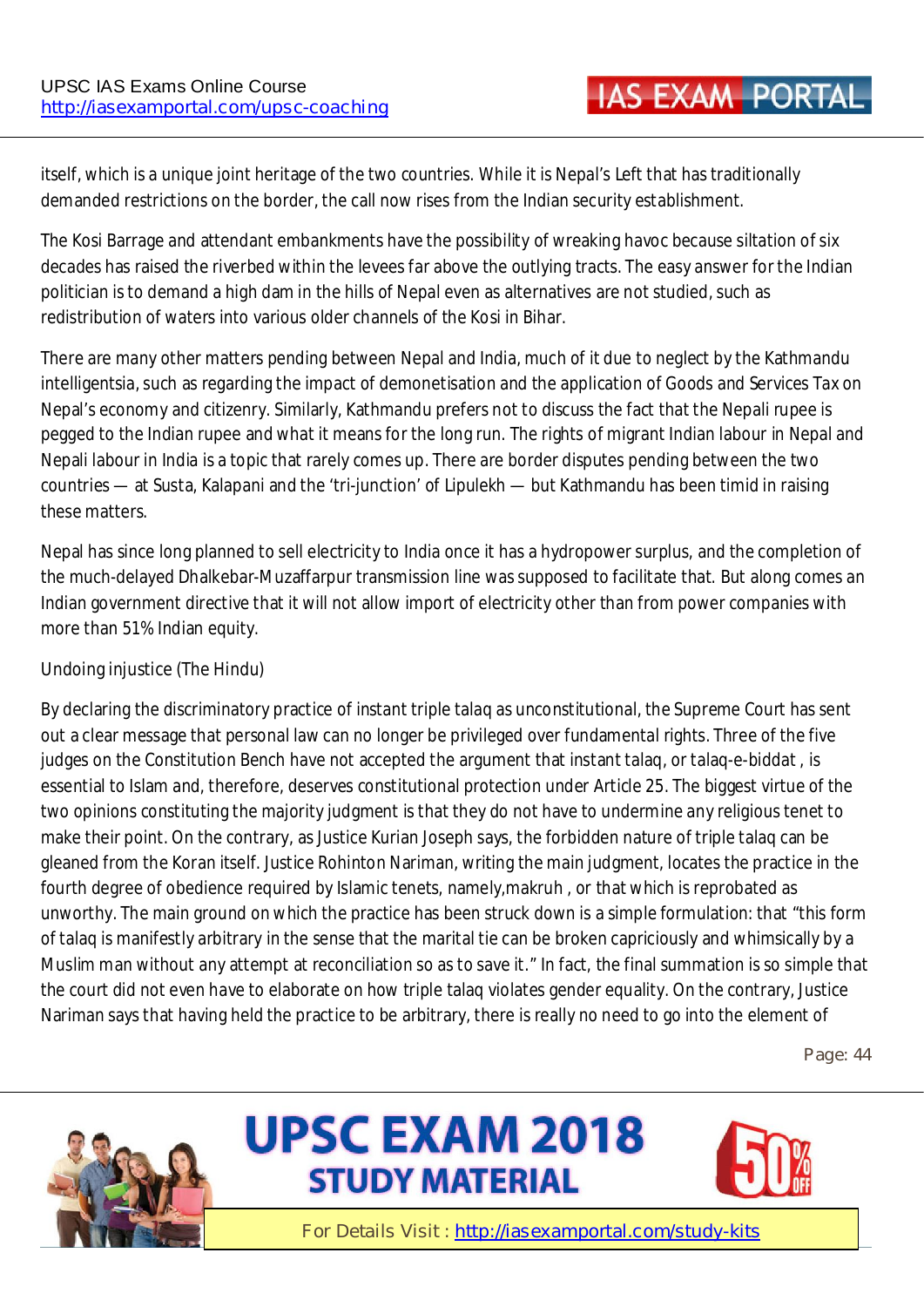itself, which is a unique joint heritage of the two countries. While it is Nepal's Left that has traditionally demanded restrictions on the border, the call now rises from the Indian security establishment.

The Kosi Barrage and attendant embankments have the possibility of wreaking havoc because siltation of six decades has raised the riverbed within the levees far above the outlying tracts. The easy answer for the Indian politician is to demand a high dam in the hills of Nepal even as alternatives are not studied, such as redistribution of waters into various older channels of the Kosi in Bihar.

There are many other matters pending between Nepal and India, much of it due to neglect by the Kathmandu intelligentsia, such as regarding the impact of demonetisation and the application of Goods and Services Tax on Nepal's economy and citizenry. Similarly, Kathmandu prefers not to discuss the fact that the Nepali rupee is pegged to the Indian rupee and what it means for the long run. The rights of migrant Indian labour in Nepal and Nepali labour in India is a topic that rarely comes up. There are border disputes pending between the two countries — at Susta, Kalapani and the 'tri-junction' of Lipulekh — but Kathmandu has been timid in raising these matters.

Nepal has since long planned to sell electricity to India once it has a hydropower surplus, and the completion of the much-delayed Dhalkebar-Muzaffarpur transmission line was supposed to facilitate that. But along comes an Indian government directive that it will not allow import of electricity other than from power companies with more than 51% Indian equity.

#### **Undoing injustice (The Hindu)**

By declaring the discriminatory practice of instant triple talaq as unconstitutional, the Supreme Court has sent out a clear message that personal law can no longer be privileged over fundamental rights. Three of the five judges on the Constitution Bench have not accepted the argument that instant talaq, or talaq-e-biddat , is essential to Islam and, therefore, deserves constitutional protection under Article 25. The biggest virtue of the two opinions constituting the majority judgment is that they do not have to undermine any religious tenet to make their point. On the contrary, as Justice Kurian Joseph says, the forbidden nature of triple talaq can be gleaned from the Koran itself. Justice Rohinton Nariman, writing the main judgment, locates the practice in the fourth degree of obedience required by Islamic tenets, namely,makruh , or that which is reprobated as unworthy. The main ground on which the practice has been struck down is a simple formulation: that "this form of talaq is manifestly arbitrary in the sense that the marital tie can be broken capriciously and whimsically by a Muslim man without any attempt at reconciliation so as to save it." In fact, the final summation is so simple that the court did not even have to elaborate on how triple talaq violates gender equality. On the contrary, Justice Nariman says that having held the practice to be arbitrary, there is really no need to go into the element of

**Page: 44** 





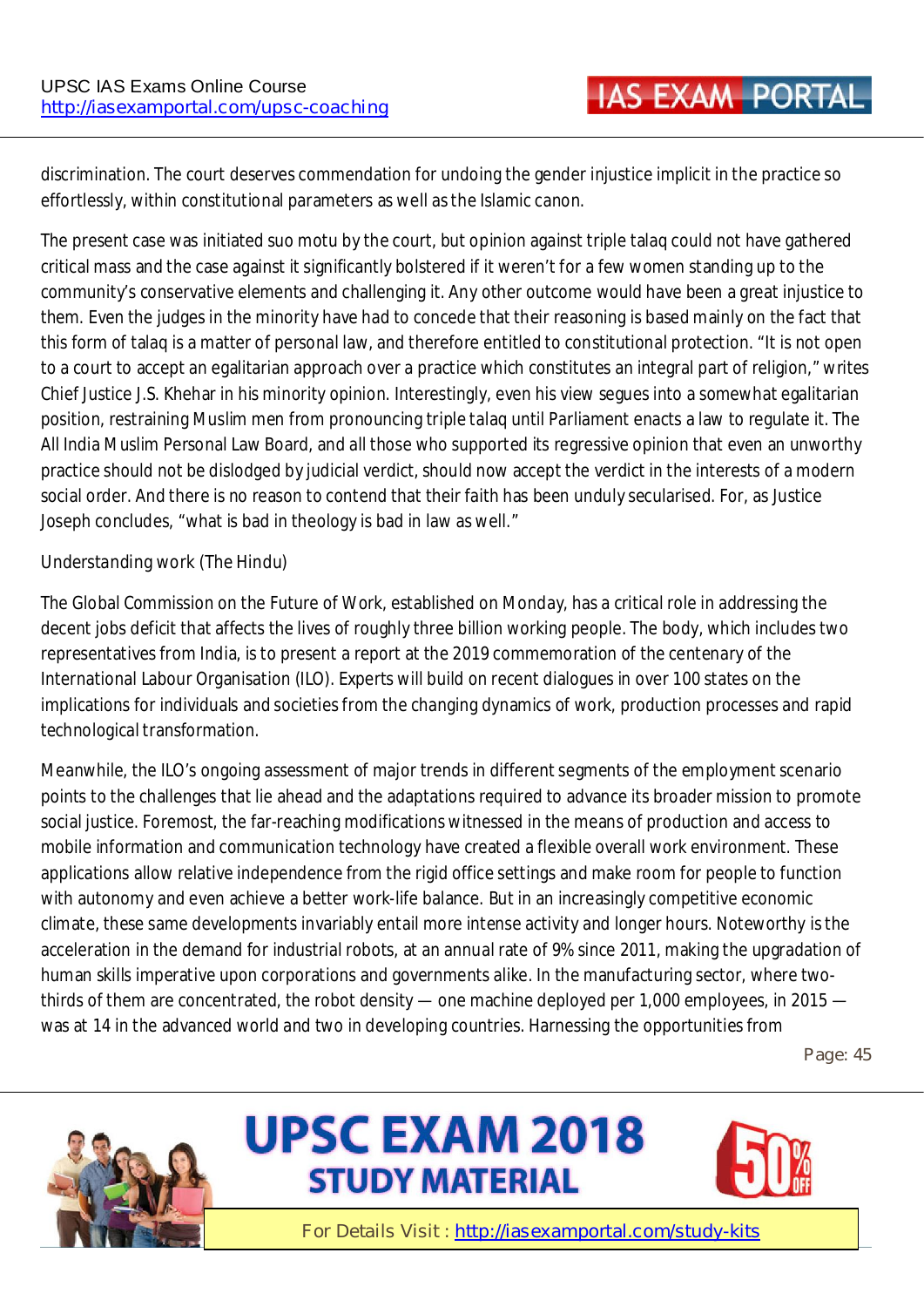discrimination. The court deserves commendation for undoing the gender injustice implicit in the practice so effortlessly, within constitutional parameters as well as the Islamic canon.

The present case was initiated suo motu by the court, but opinion against triple talaq could not have gathered critical mass and the case against it significantly bolstered if it weren't for a few women standing up to the community's conservative elements and challenging it. Any other outcome would have been a great injustice to them. Even the judges in the minority have had to concede that their reasoning is based mainly on the fact that this form of talaq is a matter of personal law, and therefore entitled to constitutional protection. "It is not open to a court to accept an egalitarian approach over a practice which constitutes an integral part of religion," writes Chief Justice J.S. Khehar in his minority opinion. Interestingly, even his view segues into a somewhat egalitarian position, restraining Muslim men from pronouncing triple talaq until Parliament enacts a law to regulate it. The All India Muslim Personal Law Board, and all those who supported its regressive opinion that even an unworthy practice should not be dislodged by judicial verdict, should now accept the verdict in the interests of a modern social order. And there is no reason to contend that their faith has been unduly secularised. For, as Justice Joseph concludes, "what is bad in theology is bad in law as well."

#### **Understanding work (The Hindu)**

The Global Commission on the Future of Work, established on Monday, has a critical role in addressing the decent jobs deficit that affects the lives of roughly three billion working people. The body, which includes two representatives from India, is to present a report at the 2019 commemoration of the centenary of the International Labour Organisation (ILO). Experts will build on recent dialogues in over 100 states on the implications for individuals and societies from the changing dynamics of work, production processes and rapid technological transformation.

Meanwhile, the ILO's ongoing assessment of major trends in different segments of the employment scenario points to the challenges that lie ahead and the adaptations required to advance its broader mission to promote social justice. Foremost, the far-reaching modifications witnessed in the means of production and access to mobile information and communication technology have created a flexible overall work environment. These applications allow relative independence from the rigid office settings and make room for people to function with autonomy and even achieve a better work-life balance. But in an increasingly competitive economic climate, these same developments invariably entail more intense activity and longer hours. Noteworthy is the acceleration in the demand for industrial robots, at an annual rate of 9% since 2011, making the upgradation of human skills imperative upon corporations and governments alike. In the manufacturing sector, where twothirds of them are concentrated, the robot density — one machine deployed per 1,000 employees, in 2015 was at 14 in the advanced world and two in developing countries. Harnessing the opportunities from

**Page: 45** 





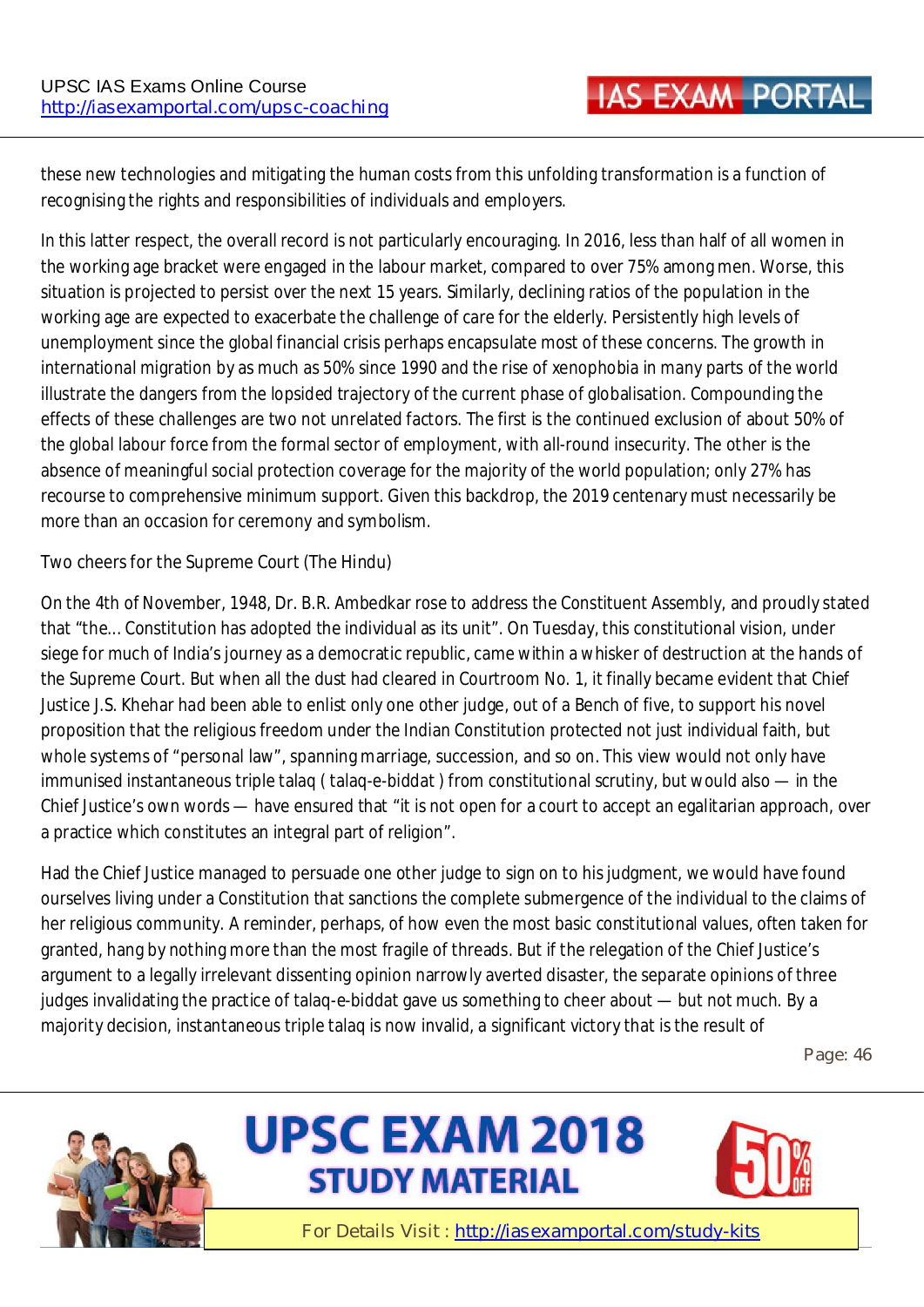these new technologies and mitigating the human costs from this unfolding transformation is a function of recognising the rights and responsibilities of individuals and employers.

In this latter respect, the overall record is not particularly encouraging. In 2016, less than half of all women in the working age bracket were engaged in the labour market, compared to over 75% among men. Worse, this situation is projected to persist over the next 15 years. Similarly, declining ratios of the population in the working age are expected to exacerbate the challenge of care for the elderly. Persistently high levels of unemployment since the global financial crisis perhaps encapsulate most of these concerns. The growth in international migration by as much as 50% since 1990 and the rise of xenophobia in many parts of the world illustrate the dangers from the lopsided trajectory of the current phase of globalisation. Compounding the effects of these challenges are two not unrelated factors. The first is the continued exclusion of about 50% of the global labour force from the formal sector of employment, with all-round insecurity. The other is the absence of meaningful social protection coverage for the majority of the world population; only 27% has recourse to comprehensive minimum support. Given this backdrop, the 2019 centenary must necessarily be more than an occasion for ceremony and symbolism.

#### **Two cheers for the Supreme Court (The Hindu)**

On the 4th of November, 1948, Dr. B.R. Ambedkar rose to address the Constituent Assembly, and proudly stated that "the... Constitution has adopted the individual as its unit". On Tuesday, this constitutional vision, under siege for much of India's journey as a democratic republic, came within a whisker of destruction at the hands of the Supreme Court. But when all the dust had cleared in Courtroom No. 1, it finally became evident that Chief Justice J.S. Khehar had been able to enlist only one other judge, out of a Bench of five, to support his novel proposition that the religious freedom under the Indian Constitution protected not just individual faith, but whole systems of "personal law", spanning marriage, succession, and so on. This view would not only have immunised instantaneous triple talaq ( talaq-e-biddat ) from constitutional scrutiny, but would also — in the Chief Justice's own words — have ensured that "it is not open for a court to accept an egalitarian approach, over a practice which constitutes an integral part of religion".

Had the Chief Justice managed to persuade one other judge to sign on to his judgment, we would have found ourselves living under a Constitution that sanctions the complete submergence of the individual to the claims of her religious community. A reminder, perhaps, of how even the most basic constitutional values, often taken for granted, hang by nothing more than the most fragile of threads. But if the relegation of the Chief Justice's argument to a legally irrelevant dissenting opinion narrowly averted disaster, the separate opinions of three judges invalidating the practice of talaq-e-biddat gave us something to cheer about — but not much. By a majority decision, instantaneous triple talaq is now invalid, a significant victory that is the result of

**Page: 46** 





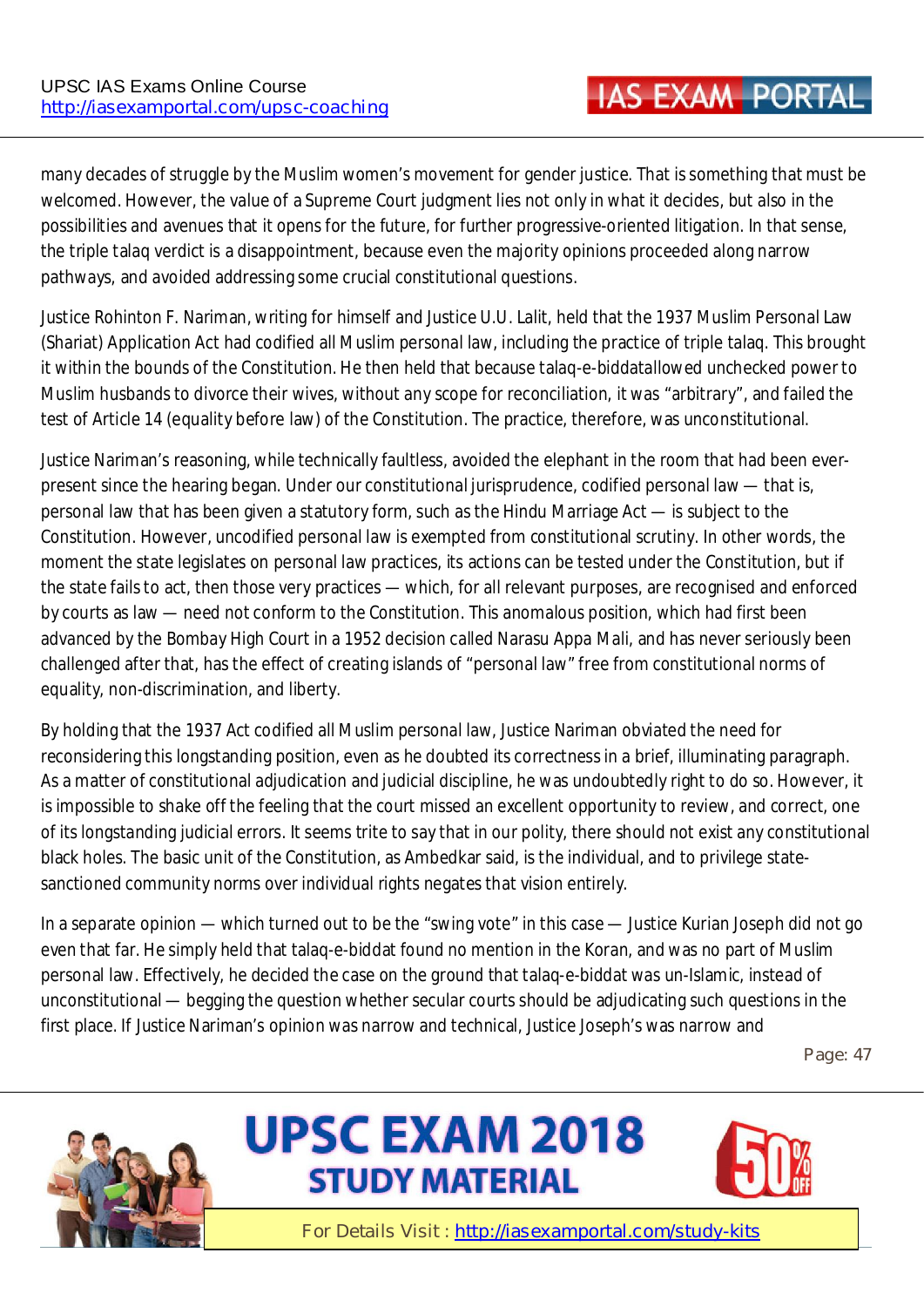many decades of struggle by the Muslim women's movement for gender justice. That is something that must be welcomed. However, the value of a Supreme Court judgment lies not only in what it decides, but also in the possibilities and avenues that it opens for the future, for further progressive-oriented litigation. In that sense, the triple talaq verdict is a disappointment, because even the majority opinions proceeded along narrow pathways, and avoided addressing some crucial constitutional questions.

Justice Rohinton F. Nariman, writing for himself and Justice U.U. Lalit, held that the 1937 Muslim Personal Law (Shariat) Application Act had codified all Muslim personal law, including the practice of triple talaq. This brought it within the bounds of the Constitution. He then held that because talaq-e-biddatallowed unchecked power to Muslim husbands to divorce their wives, without any scope for reconciliation, it was "arbitrary", and failed the test of Article 14 (equality before law) of the Constitution. The practice, therefore, was unconstitutional.

Justice Nariman's reasoning, while technically faultless, avoided the elephant in the room that had been everpresent since the hearing began. Under our constitutional jurisprudence, codified personal law — that is, personal law that has been given a statutory form, such as the Hindu Marriage Act — is subject to the Constitution. However, uncodified personal law is exempted from constitutional scrutiny. In other words, the moment the state legislates on personal law practices, its actions can be tested under the Constitution, but if the state fails to act, then those very practices — which, for all relevant purposes, are recognised and enforced by courts as law — need not conform to the Constitution. This anomalous position, which had first been advanced by the Bombay High Court in a 1952 decision called Narasu Appa Mali, and has never seriously been challenged after that, has the effect of creating islands of "personal law" free from constitutional norms of equality, non-discrimination, and liberty.

By holding that the 1937 Act codified all Muslim personal law, Justice Nariman obviated the need for reconsidering this longstanding position, even as he doubted its correctness in a brief, illuminating paragraph. As a matter of constitutional adjudication and judicial discipline, he was undoubtedly right to do so. However, it is impossible to shake off the feeling that the court missed an excellent opportunity to review, and correct, one of its longstanding judicial errors. It seems trite to say that in our polity, there should not exist any constitutional black holes. The basic unit of the Constitution, as Ambedkar said, is the individual, and to privilege statesanctioned community norms over individual rights negates that vision entirely.

In a separate opinion — which turned out to be the "swing vote" in this case — Justice Kurian Joseph did not go even that far. He simply held that talaq-e-biddat found no mention in the Koran, and was no part of Muslim personal law. Effectively, he decided the case on the ground that talaq-e-biddat was un-Islamic, instead of unconstitutional — begging the question whether secular courts should be adjudicating such questions in the first place. If Justice Nariman's opinion was narrow and technical, Justice Joseph's was narrow and

**Page: 47** 





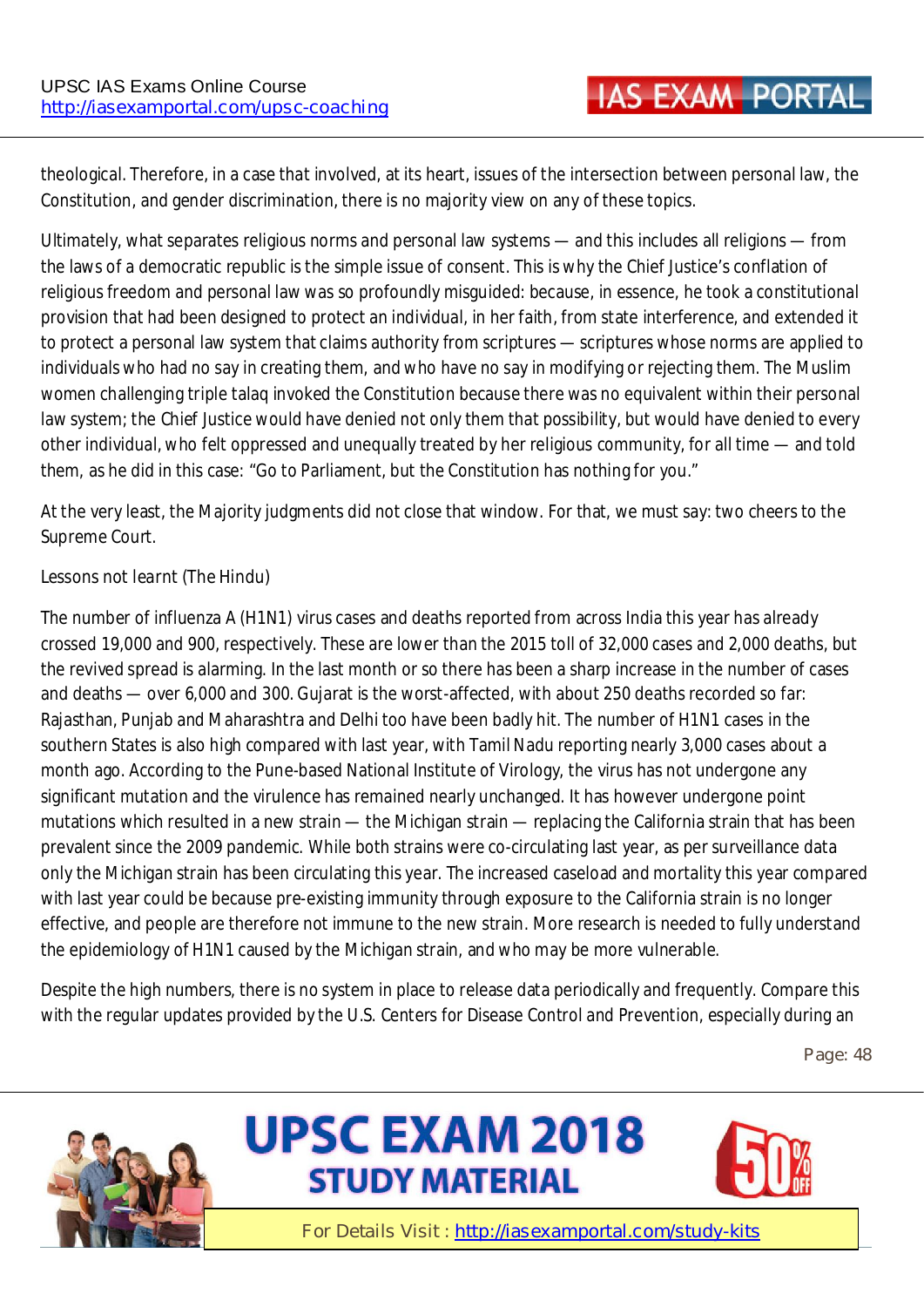theological. Therefore, in a case that involved, at its heart, issues of the intersection between personal law, the Constitution, and gender discrimination, there is no majority view on any of these topics.

Ultimately, what separates religious norms and personal law systems — and this includes all religions — from the laws of a democratic republic is the simple issue of consent. This is why the Chief Justice's conflation of religious freedom and personal law was so profoundly misguided: because, in essence, he took a constitutional provision that had been designed to protect an individual, in her faith, from state interference, and extended it to protect a personal law system that claims authority from scriptures — scriptures whose norms are applied to individuals who had no say in creating them, and who have no say in modifying or rejecting them. The Muslim women challenging triple talaq invoked the Constitution because there was no equivalent within their personal law system; the Chief Justice would have denied not only them that possibility, but would have denied to every other individual, who felt oppressed and unequally treated by her religious community, for all time — and told them, as he did in this case: "Go to Parliament, but the Constitution has nothing for you."

At the very least, the Majority judgments did not close that window. For that, we must say: two cheers to the Supreme Court.

#### **Lessons not learnt (The Hindu)**

The number of influenza A (H1N1) virus cases and deaths reported from across India this year has already crossed 19,000 and 900, respectively. These are lower than the 2015 toll of 32,000 cases and 2,000 deaths, but the revived spread is alarming. In the last month or so there has been a sharp increase in the number of cases and deaths — over 6,000 and 300. Gujarat is the worst-affected, with about 250 deaths recorded so far: Rajasthan, Punjab and Maharashtra and Delhi too have been badly hit. The number of H1N1 cases in the southern States is also high compared with last year, with Tamil Nadu reporting nearly 3,000 cases about a month ago. According to the Pune-based National Institute of Virology, the virus has not undergone any significant mutation and the virulence has remained nearly unchanged. It has however undergone point mutations which resulted in a new strain — the Michigan strain — replacing the California strain that has been prevalent since the 2009 pandemic. While both strains were co-circulating last year, as per surveillance data only the Michigan strain has been circulating this year. The increased caseload and mortality this year compared with last year could be because pre-existing immunity through exposure to the California strain is no longer effective, and people are therefore not immune to the new strain. More research is needed to fully understand the epidemiology of H1N1 caused by the Michigan strain, and who may be more vulnerable.

Despite the high numbers, there is no system in place to release data periodically and frequently. Compare this with the regular updates provided by the U.S. Centers for Disease Control and Prevention, especially during an

**Page: 48** 





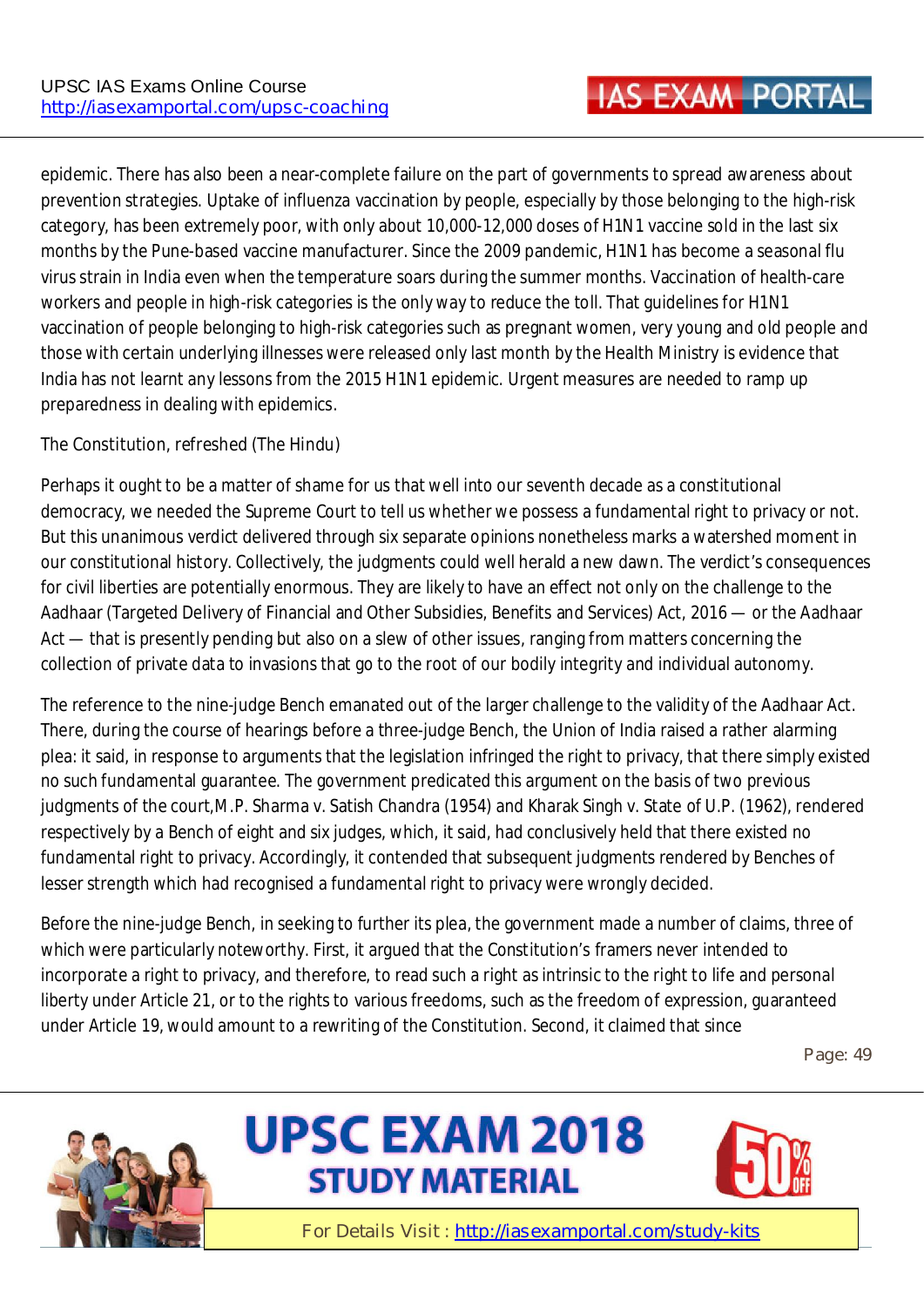epidemic. There has also been a near-complete failure on the part of governments to spread awareness about prevention strategies. Uptake of influenza vaccination by people, especially by those belonging to the high-risk category, has been extremely poor, with only about 10,000-12,000 doses of H1N1 vaccine sold in the last six months by the Pune-based vaccine manufacturer. Since the 2009 pandemic, H1N1 has become a seasonal flu virus strain in India even when the temperature soars during the summer months. Vaccination of health-care workers and people in high-risk categories is the only way to reduce the toll. That guidelines for H1N1 vaccination of people belonging to high-risk categories such as pregnant women, very young and old people and those with certain underlying illnesses were released only last month by the Health Ministry is evidence that India has not learnt any lessons from the 2015 H1N1 epidemic. Urgent measures are needed to ramp up preparedness in dealing with epidemics.

#### **The Constitution, refreshed (The Hindu)**

Perhaps it ought to be a matter of shame for us that well into our seventh decade as a constitutional democracy, we needed the Supreme Court to tell us whether we possess a fundamental right to privacy or not. But this unanimous verdict delivered through six separate opinions nonetheless marks a watershed moment in our constitutional history. Collectively, the judgments could well herald a new dawn. The verdict's consequences for civil liberties are potentially enormous. They are likely to have an effect not only on the challenge to the Aadhaar (Targeted Delivery of Financial and Other Subsidies, Benefits and Services) Act, 2016 — or the Aadhaar Act — that is presently pending but also on a slew of other issues, ranging from matters concerning the collection of private data to invasions that go to the root of our bodily integrity and individual autonomy.

The reference to the nine-judge Bench emanated out of the larger challenge to the validity of the Aadhaar Act. There, during the course of hearings before a three-judge Bench, the Union of India raised a rather alarming plea: it said, in response to arguments that the legislation infringed the right to privacy, that there simply existed no such fundamental guarantee. The government predicated this argument on the basis of two previous judgments of the court,M.P. Sharma v. Satish Chandra (1954) and Kharak Singh v. State of U.P. (1962), rendered respectively by a Bench of eight and six judges, which, it said, had conclusively held that there existed no fundamental right to privacy. Accordingly, it contended that subsequent judgments rendered by Benches of lesser strength which had recognised a fundamental right to privacy were wrongly decided.

Before the nine-judge Bench, in seeking to further its plea, the government made a number of claims, three of which were particularly noteworthy. First, it argued that the Constitution's framers never intended to incorporate a right to privacy, and therefore, to read such a right as intrinsic to the right to life and personal liberty under Article 21, or to the rights to various freedoms, such as the freedom of expression, guaranteed under Article 19, would amount to a rewriting of the Constitution. Second, it claimed that since

**Page: 49** 





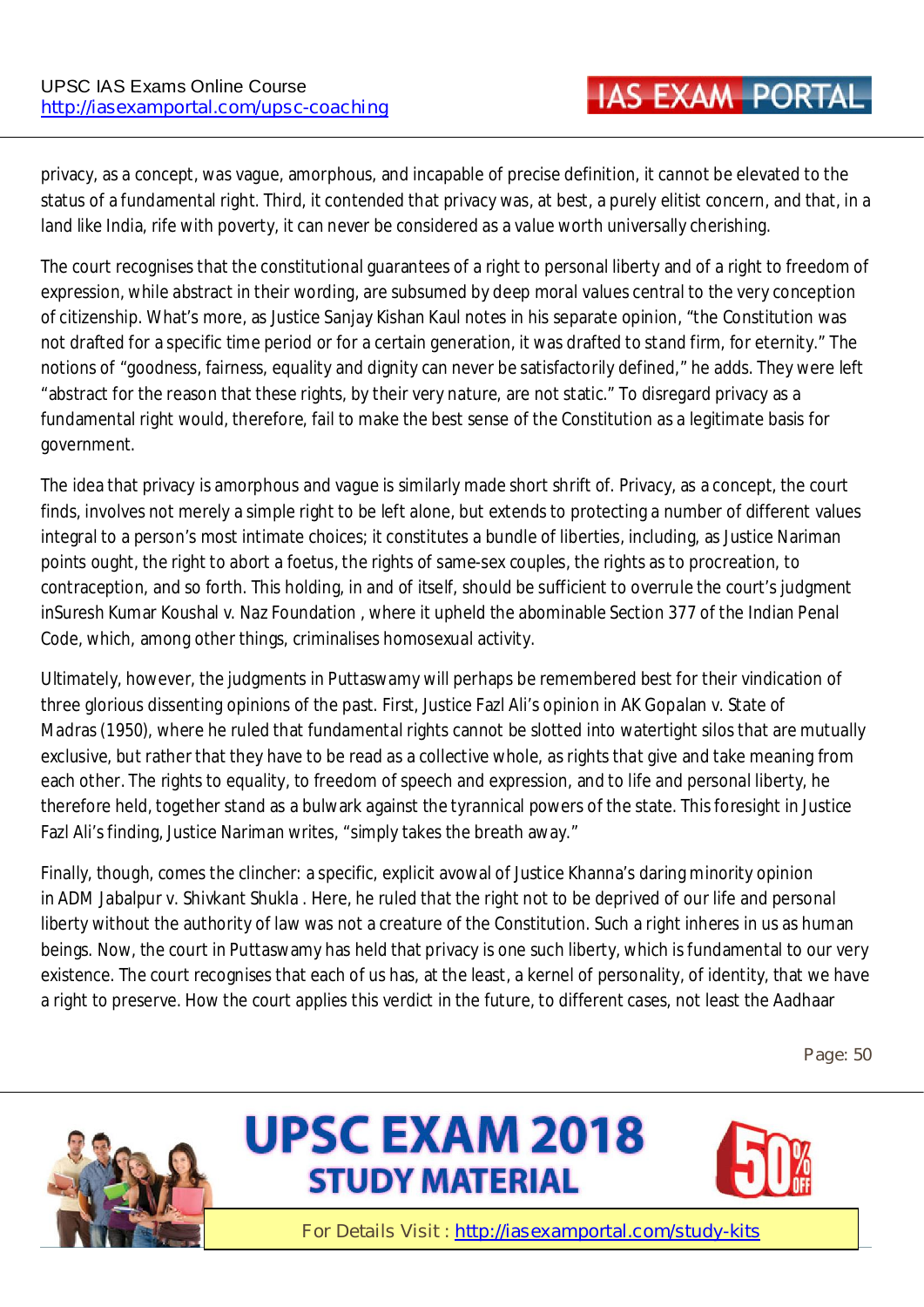privacy, as a concept, was vague, amorphous, and incapable of precise definition, it cannot be elevated to the status of a fundamental right. Third, it contended that privacy was, at best, a purely elitist concern, and that, in a land like India, rife with poverty, it can never be considered as a value worth universally cherishing.

The court recognises that the constitutional guarantees of a right to personal liberty and of a right to freedom of expression, while abstract in their wording, are subsumed by deep moral values central to the very conception of citizenship. What's more, as Justice Sanjay Kishan Kaul notes in his separate opinion, "the Constitution was not drafted for a specific time period or for a certain generation, it was drafted to stand firm, for eternity." The notions of "goodness, fairness, equality and dignity can never be satisfactorily defined," he adds. They were left "abstract for the reason that these rights, by their very nature, are not static." To disregard privacy as a fundamental right would, therefore, fail to make the best sense of the Constitution as a legitimate basis for government.

The idea that privacy is amorphous and vague is similarly made short shrift of. Privacy, as a concept, the court finds, involves not merely a simple right to be left alone, but extends to protecting a number of different values integral to a person's most intimate choices; it constitutes a bundle of liberties, including, as Justice Nariman points ought, the right to abort a foetus, the rights of same-sex couples, the rights as to procreation, to contraception, and so forth. This holding, in and of itself, should be sufficient to overrule the court's judgment inSuresh Kumar Koushal v. Naz Foundation , where it upheld the abominable Section 377 of the Indian Penal Code, which, among other things, criminalises homosexual activity.

Ultimately, however, the judgments in Puttaswamy will perhaps be remembered best for their vindication of three glorious dissenting opinions of the past. First, Justice Fazl Ali's opinion in AK Gopalan v. State of Madras (1950), where he ruled that fundamental rights cannot be slotted into watertight silos that are mutually exclusive, but rather that they have to be read as a collective whole, as rights that give and take meaning from each other. The rights to equality, to freedom of speech and expression, and to life and personal liberty, he therefore held, together stand as a bulwark against the tyrannical powers of the state. This foresight in Justice Fazl Ali's finding, Justice Nariman writes, "simply takes the breath away."

Finally, though, comes the clincher: a specific, explicit avowal of Justice Khanna's daring minority opinion in ADM Jabalpur v. Shivkant Shukla . Here, he ruled that the right not to be deprived of our life and personal liberty without the authority of law was not a creature of the Constitution. Such a right inheres in us as human beings. Now, the court in Puttaswamy has held that privacy is one such liberty, which is fundamental to our very existence. The court recognises that each of us has, at the least, a kernel of personality, of identity, that we have a right to preserve. How the court applies this verdict in the future, to different cases, not least the Aadhaar

**Page: 50** 





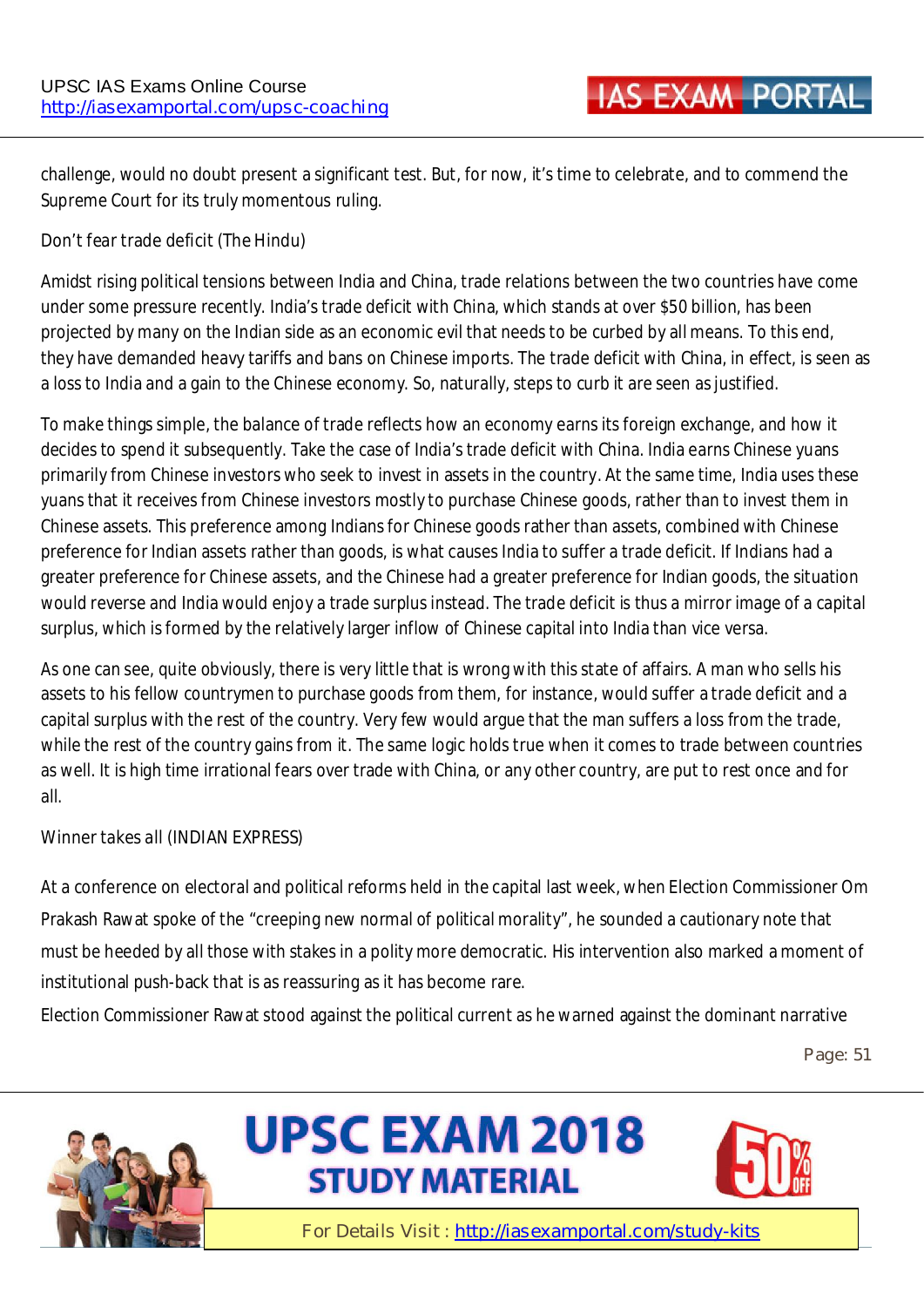challenge, would no doubt present a significant test. But, for now, it's time to celebrate, and to commend the Supreme Court for its truly momentous ruling.

#### **Don't fear trade deficit (The Hindu)**

Amidst rising political tensions between India and China, trade relations between the two countries have come under some pressure recently. India's trade deficit with China, which stands at over \$50 billion, has been projected by many on the Indian side as an economic evil that needs to be curbed by all means. To this end, they have demanded heavy tariffs and bans on Chinese imports. The trade deficit with China, in effect, is seen as a loss to India and a gain to the Chinese economy. So, naturally, steps to curb it are seen as justified.

To make things simple, the balance of trade reflects how an economy earns its foreign exchange, and how it decides to spend it subsequently. Take the case of India's trade deficit with China. India earns Chinese yuans primarily from Chinese investors who seek to invest in assets in the country. At the same time, India uses these yuans that it receives from Chinese investors mostly to purchase Chinese goods, rather than to invest them in Chinese assets. This preference among Indians for Chinese goods rather than assets, combined with Chinese preference for Indian assets rather than goods, is what causes India to suffer a trade deficit. If Indians had a greater preference for Chinese assets, and the Chinese had a greater preference for Indian goods, the situation would reverse and India would enjoy a trade surplus instead. The trade deficit is thus a mirror image of a capital surplus, which is formed by the relatively larger inflow of Chinese capital into India than vice versa.

As one can see, quite obviously, there is very little that is wrong with this state of affairs. A man who sells his assets to his fellow countrymen to purchase goods from them, for instance, would suffer a trade deficit and a capital surplus with the rest of the country. Very few would argue that the man suffers a loss from the trade, while the rest of the country gains from it. The same logic holds true when it comes to trade between countries as well. It is high time irrational fears over trade with China, or any other country, are put to rest once and for all.

#### **Winner takes all (INDIAN EXPRESS)**

At a conference on electoral and political reforms held in the capital last week, when Election Commissioner Om Prakash Rawat spoke of the "creeping new normal of political morality", he sounded a cautionary note that must be heeded by all those with stakes in a polity more democratic. His intervention also marked a moment of institutional push-back that is as reassuring as it has become rare.

Election Commissioner Rawat stood against the political current as he warned against the dominant narrative

**Page: 51** 





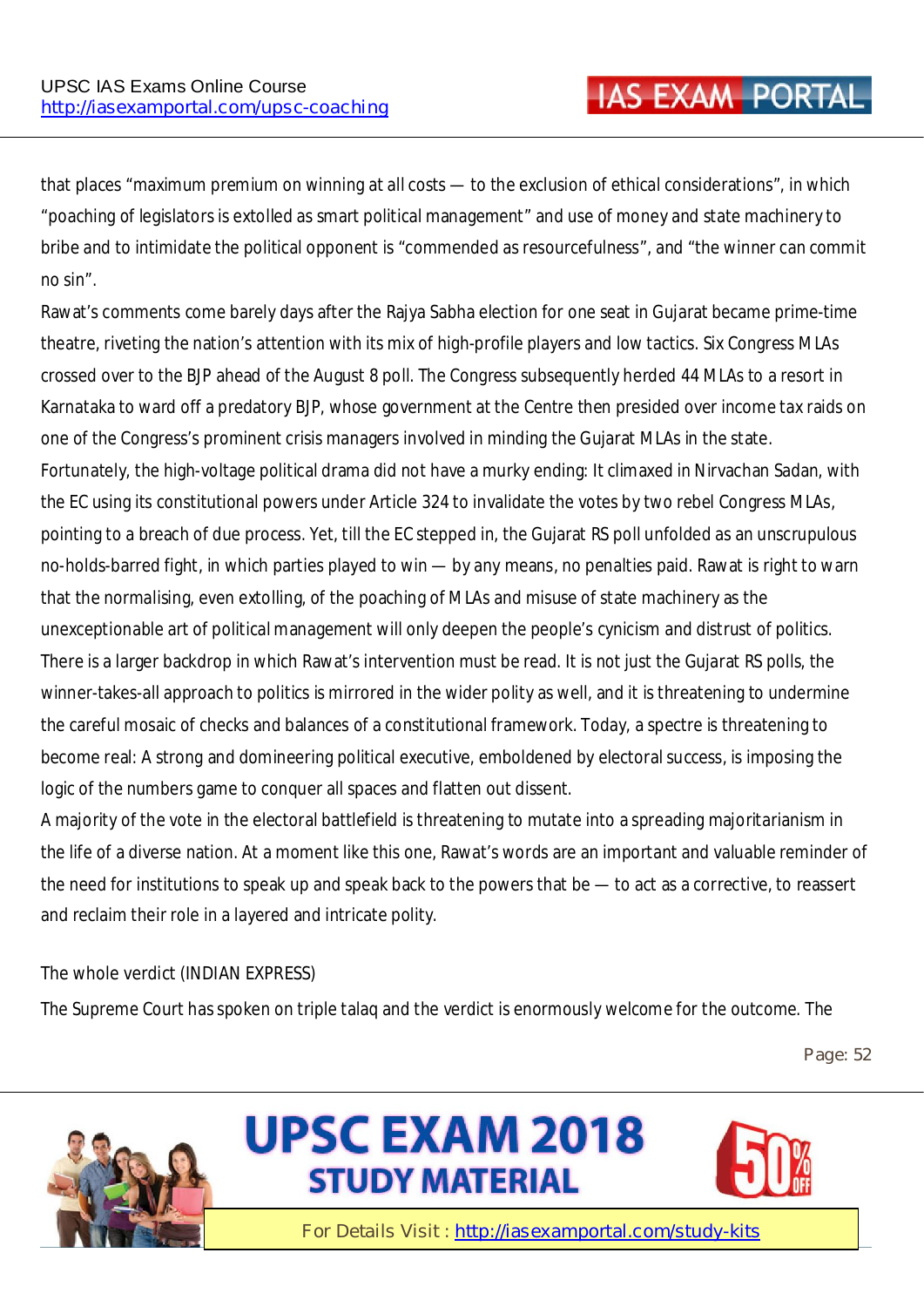that places "maximum premium on winning at all costs — to the exclusion of ethical considerations", in which "poaching of legislators is extolled as smart political management" and use of money and state machinery to bribe and to intimidate the political opponent is "commended as resourcefulness", and "the winner can commit no sin".

Rawat's comments come barely days after the Rajya Sabha election for one seat in Gujarat became prime-time theatre, riveting the nation's attention with its mix of high-profile players and low tactics. Six Congress MLAs crossed over to the BJP ahead of the August 8 poll. The Congress subsequently herded 44 MLAs to a resort in Karnataka to ward off a predatory BJP, whose government at the Centre then presided over income tax raids on one of the Congress's prominent crisis managers involved in minding the Gujarat MLAs in the state. Fortunately, the high-voltage political drama did not have a murky ending: It climaxed in Nirvachan Sadan, with the EC using its constitutional powers under Article 324 to invalidate the votes by two rebel Congress MLAs, pointing to a breach of due process. Yet, till the EC stepped in, the Gujarat RS poll unfolded as an unscrupulous no-holds-barred fight, in which parties played to win — by any means, no penalties paid. Rawat is right to warn that the normalising, even extolling, of the poaching of MLAs and misuse of state machinery as the unexceptionable art of political management will only deepen the people's cynicism and distrust of politics. There is a larger backdrop in which Rawat's intervention must be read. It is not just the Gujarat RS polls, the winner-takes-all approach to politics is mirrored in the wider polity as well, and it is threatening to undermine the careful mosaic of checks and balances of a constitutional framework. Today, a spectre is threatening to become real: A strong and domineering political executive, emboldened by electoral success, is imposing the logic of the numbers game to conquer all spaces and flatten out dissent.

A majority of the vote in the electoral battlefield is threatening to mutate into a spreading majoritarianism in the life of a diverse nation. At a moment like this one, Rawat's words are an important and valuable reminder of the need for institutions to speak up and speak back to the powers that be — to act as a corrective, to reassert and reclaim their role in a layered and intricate polity.

#### **The whole verdict (INDIAN EXPRESS)**

The Supreme Court has spoken on triple talaq and the verdict is enormously welcome for the outcome. The

**Page: 52** 





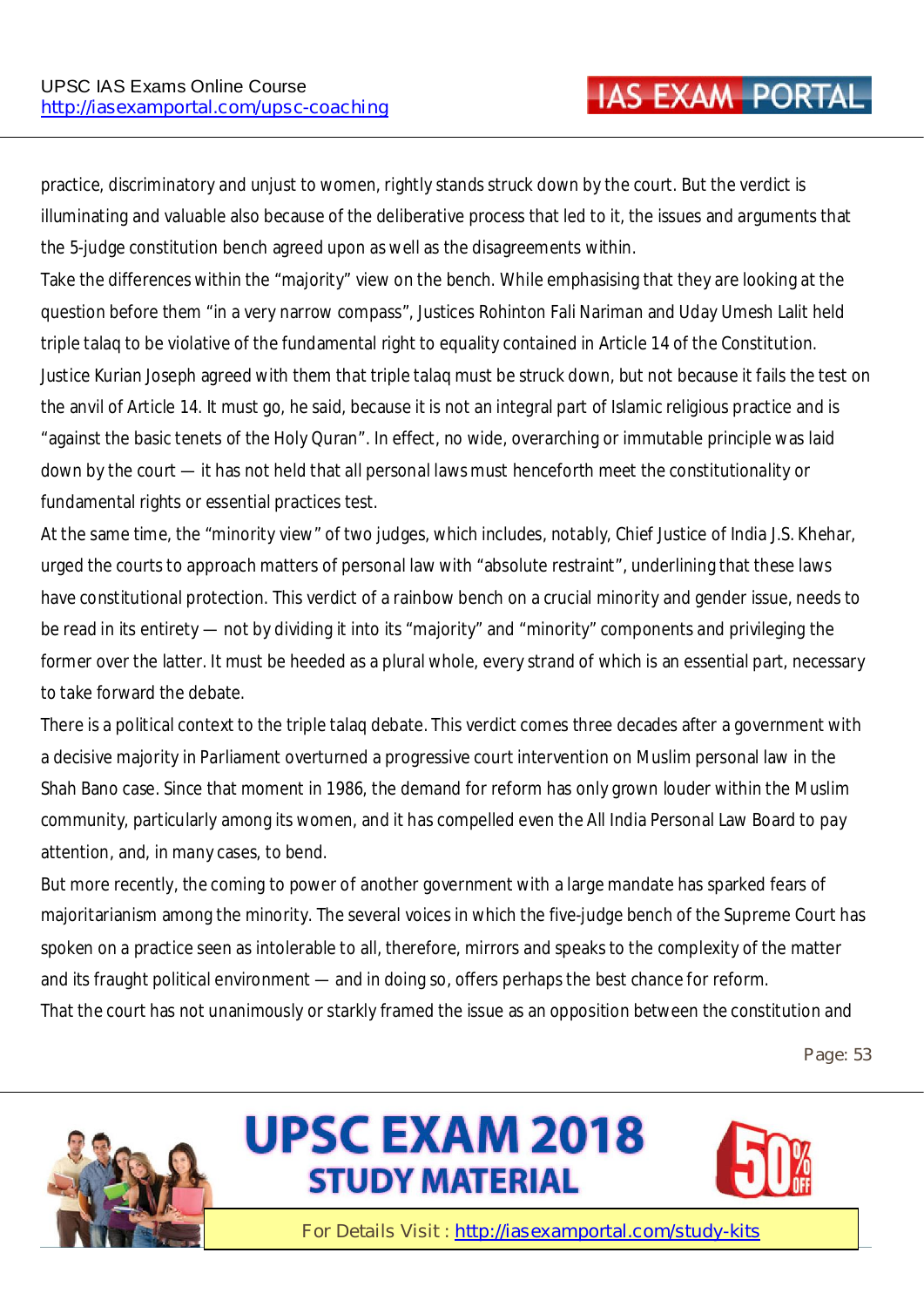practice, discriminatory and unjust to women, rightly stands struck down by the court. But the verdict is illuminating and valuable also because of the deliberative process that led to it, the issues and arguments that the 5-judge constitution bench agreed upon as well as the disagreements within.

Take the differences within the "majority" view on the bench. While emphasising that they are looking at the question before them "in a very narrow compass", Justices Rohinton Fali Nariman and Uday Umesh Lalit held triple talaq to be violative of the fundamental right to equality contained in Article 14 of the Constitution. Justice Kurian Joseph agreed with them that triple talaq must be struck down, but not because it fails the test on the anvil of Article 14. It must go, he said, because it is not an integral part of Islamic religious practice and is "against the basic tenets of the Holy Quran". In effect, no wide, overarching or immutable principle was laid down by the court — it has not held that all personal laws must henceforth meet the constitutionality or fundamental rights or essential practices test.

At the same time, the "minority view" of two judges, which includes, notably, Chief Justice of India J.S. Khehar, urged the courts to approach matters of personal law with "absolute restraint", underlining that these laws have constitutional protection. This verdict of a rainbow bench on a crucial minority and gender issue, needs to be read in its entirety — not by dividing it into its "majority" and "minority" components and privileging the former over the latter. It must be heeded as a plural whole, every strand of which is an essential part, necessary to take forward the debate.

There is a political context to the triple talaq debate. This verdict comes three decades after a government with a decisive majority in Parliament overturned a progressive court intervention on Muslim personal law in the Shah Bano case. Since that moment in 1986, the demand for reform has only grown louder within the Muslim community, particularly among its women, and it has compelled even the All India Personal Law Board to pay attention, and, in many cases, to bend.

But more recently, the coming to power of another government with a large mandate has sparked fears of majoritarianism among the minority. The several voices in which the five-judge bench of the Supreme Court has spoken on a practice seen as intolerable to all, therefore, mirrors and speaks to the complexity of the matter and its fraught political environment — and in doing so, offers perhaps the best chance for reform. That the court has not unanimously or starkly framed the issue as an opposition between the constitution and

**Page: 53** 





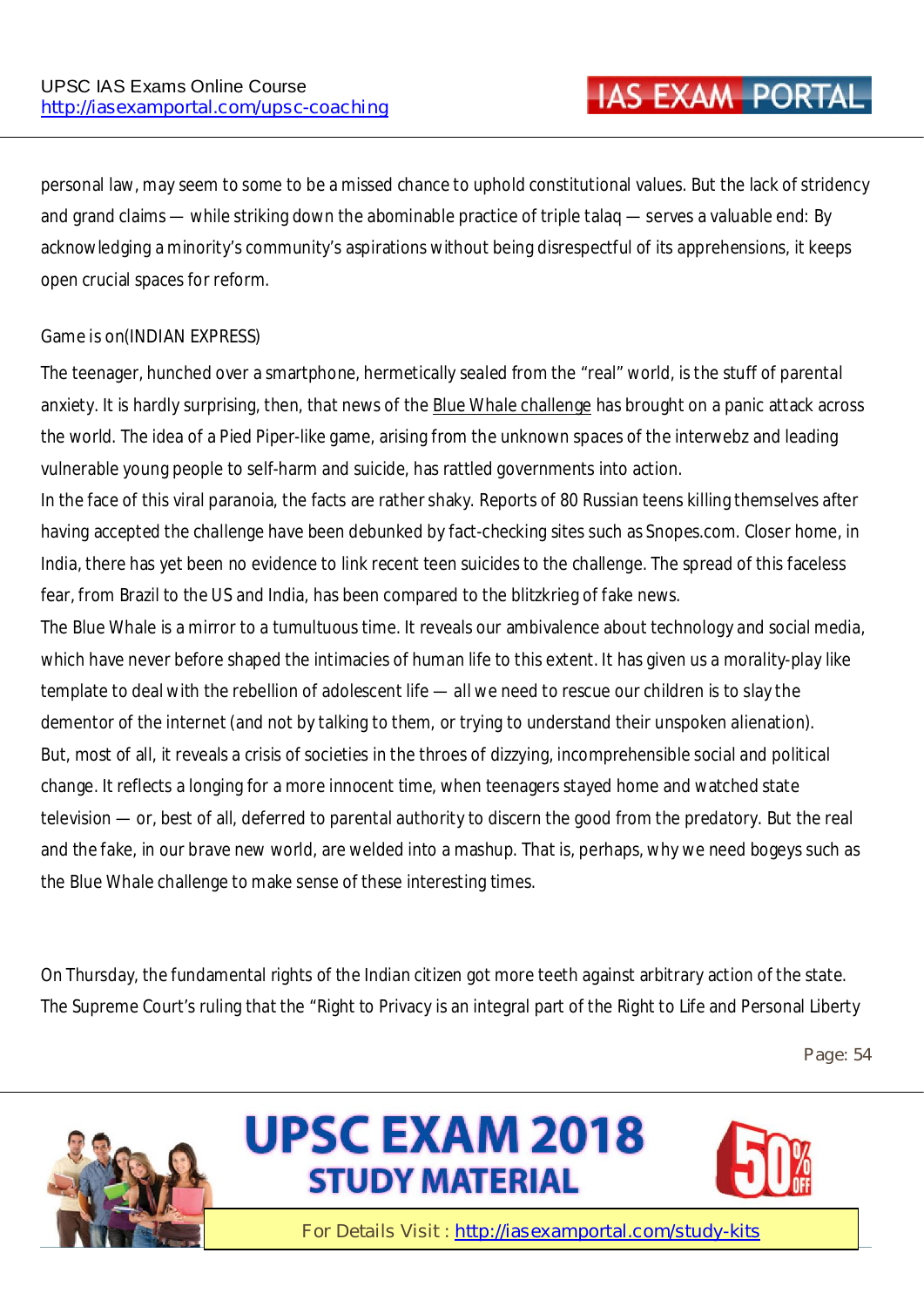personal law, may seem to some to be a missed chance to uphold constitutional values. But the lack of stridency and grand claims — while striking down the abominable practice of triple talaq — serves a valuable end: By acknowledging a minority's community's aspirations without being disrespectful of its apprehensions, it keeps open crucial spaces for reform.

#### **Game is on(INDIAN EXPRESS)**

The teenager, hunched over a smartphone, hermetically sealed from the "real" world, is the stuff of parental anxiety. It is hardly surprising, then, that news of the Blue Whale challenge has brought on a panic attack across the world. The idea of a Pied Piper-like game, arising from the unknown spaces of the interwebz and leading vulnerable young people to self-harm and suicide, has rattled governments into action.

In the face of this viral paranoia, the facts are rather shaky. Reports of 80 Russian teens killing themselves after having accepted the challenge have been debunked by fact-checking sites such as Snopes.com. Closer home, in India, there has yet been no evidence to link recent teen suicides to the challenge. The spread of this faceless fear, from Brazil to the US and India, has been compared to the blitzkrieg of fake news.

The Blue Whale is a mirror to a tumultuous time. It reveals our ambivalence about technology and social media, which have never before shaped the intimacies of human life to this extent. It has given us a morality-play like template to deal with the rebellion of adolescent life — all we need to rescue our children is to slay the dementor of the internet (and not by talking to them, or trying to understand their unspoken alienation). But, most of all, it reveals a crisis of societies in the throes of dizzying, incomprehensible social and political change. It reflects a longing for a more innocent time, when teenagers stayed home and watched state television — or, best of all, deferred to parental authority to discern the good from the predatory. But the real and the fake, in our brave new world, are welded into a mashup. That is, perhaps, why we need bogeys such as the Blue Whale challenge to make sense of these interesting times.

On Thursday, the fundamental rights of the Indian citizen got more teeth against arbitrary action of the state. The Supreme Court's ruling that the "Right to Privacy is an integral part of the Right to Life and Personal Liberty

**Page: 54** 





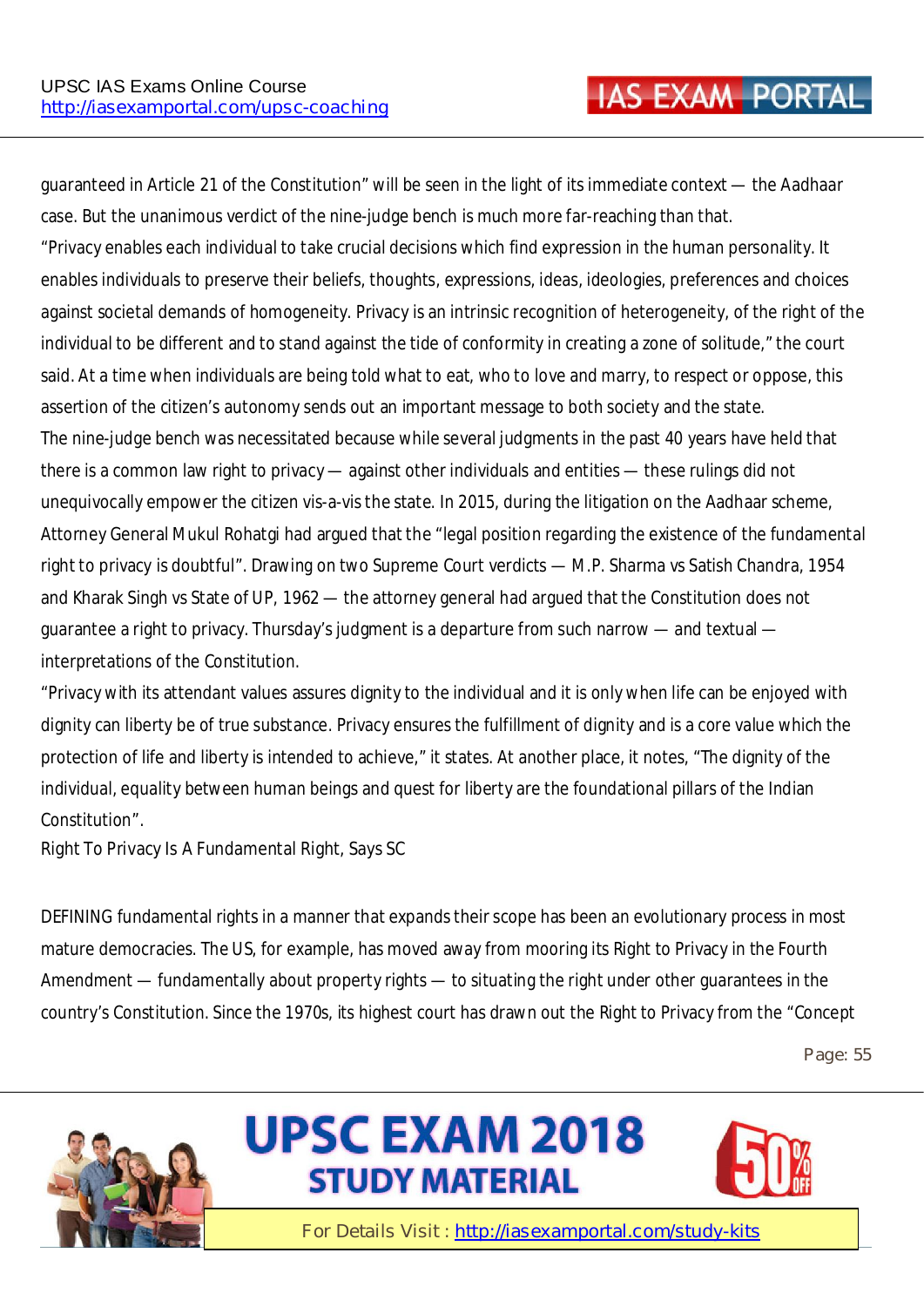guaranteed in Article 21 of the Constitution" will be seen in the light of its immediate context — the Aadhaar case. But the unanimous verdict of the nine-judge bench is much more far-reaching than that. "Privacy enables each individual to take crucial decisions which find expression in the human personality. It enables individuals to preserve their beliefs, thoughts, expressions, ideas, ideologies, preferences and choices against societal demands of homogeneity. Privacy is an intrinsic recognition of heterogeneity, of the right of the individual to be different and to stand against the tide of conformity in creating a zone of solitude," the court said. At a time when individuals are being told what to eat, who to love and marry, to respect or oppose, this assertion of the citizen's autonomy sends out an important message to both society and the state. The nine-judge bench was necessitated because while several judgments in the past 40 years have held that there is a common law right to privacy — against other individuals and entities — these rulings did not unequivocally empower the citizen vis-a-vis the state. In 2015, during the litigation on the Aadhaar scheme, Attorney General Mukul Rohatgi had argued that the "legal position regarding the existence of the fundamental right to privacy is doubtful". Drawing on two Supreme Court verdicts — M.P. Sharma vs Satish Chandra, 1954 and Kharak Singh vs State of UP, 1962 — the attorney general had argued that the Constitution does not guarantee a right to privacy. Thursday's judgment is a departure from such narrow — and textual interpretations of the Constitution.

"Privacy with its attendant values assures dignity to the individual and it is only when life can be enjoyed with dignity can liberty be of true substance. Privacy ensures the fulfillment of dignity and is a core value which the protection of life and liberty is intended to achieve," it states. At another place, it notes, "The dignity of the individual, equality between human beings and quest for liberty are the foundational pillars of the Indian Constitution".

#### **Right To Privacy Is A Fundamental Right, Says SC**

DEFINING fundamental rights in a manner that expands their scope has been an evolutionary process in most mature democracies. The US, for example, has moved away from mooring its Right to Privacy in the Fourth Amendment — fundamentally about property rights — to situating the right under other guarantees in the country's Constitution. Since the 1970s, its highest court has drawn out the Right to Privacy from the "Concept

**Page: 55** 





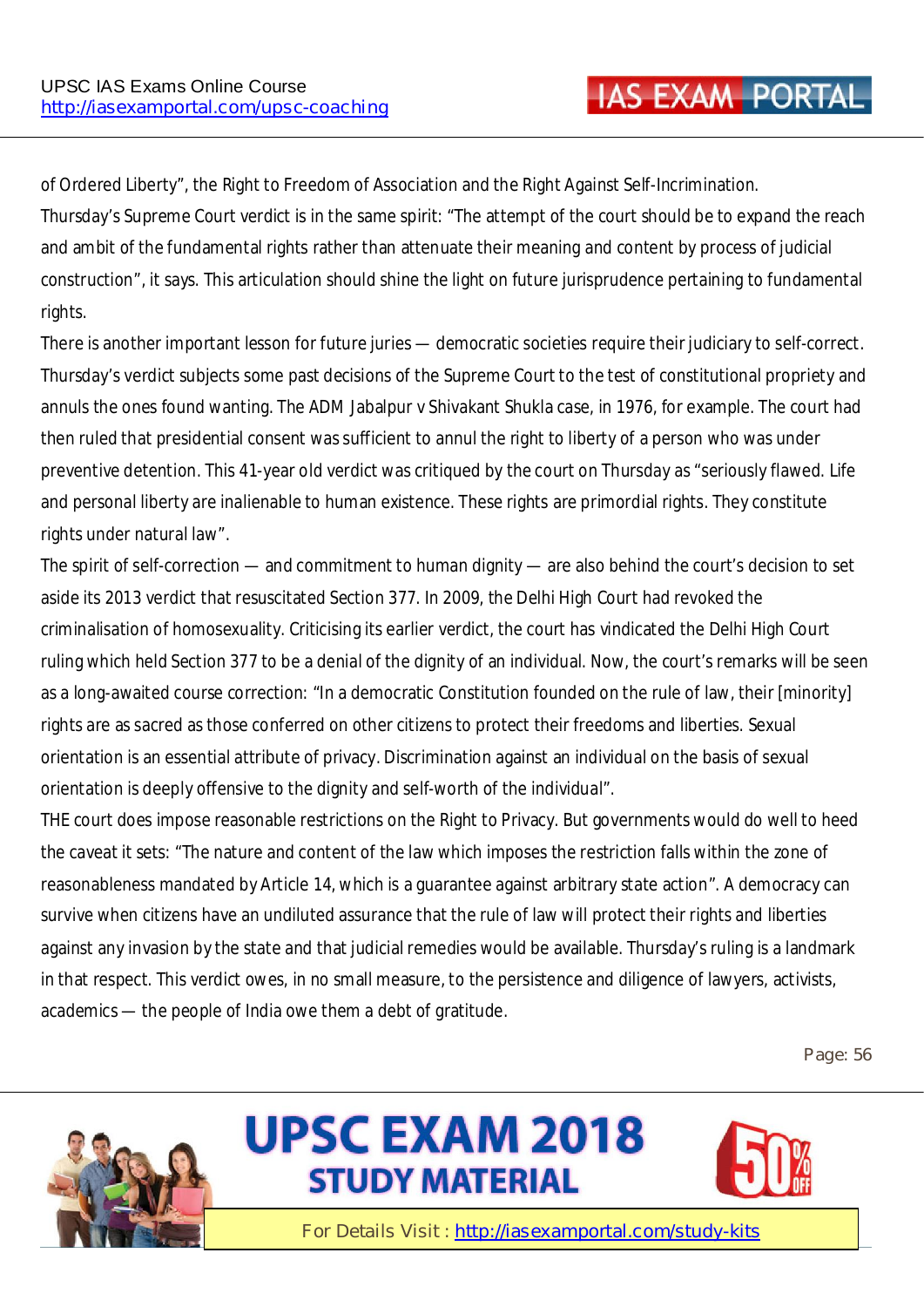of Ordered Liberty", the Right to Freedom of Association and the Right Against Self-Incrimination. Thursday's Supreme Court verdict is in the same spirit: "The attempt of the court should be to expand the reach and ambit of the fundamental rights rather than attenuate their meaning and content by process of judicial construction", it says. This articulation should shine the light on future jurisprudence pertaining to fundamental rights.

There is another important lesson for future juries — democratic societies require their judiciary to self-correct. Thursday's verdict subjects some past decisions of the Supreme Court to the test of constitutional propriety and annuls the ones found wanting. The ADM Jabalpur v Shivakant Shukla case, in 1976, for example. The court had then ruled that presidential consent was sufficient to annul the right to liberty of a person who was under preventive detention. This 41-year old verdict was critiqued by the court on Thursday as "seriously flawed. Life and personal liberty are inalienable to human existence. These rights are primordial rights. They constitute rights under natural law".

The spirit of self-correction — and commitment to human dignity — are also behind the court's decision to set aside its 2013 verdict that resuscitated Section 377. In 2009, the Delhi High Court had revoked the criminalisation of homosexuality. Criticising its earlier verdict, the court has vindicated the Delhi High Court ruling which held Section 377 to be a denial of the dignity of an individual. Now, the court's remarks will be seen as a long-awaited course correction: "In a democratic Constitution founded on the rule of law, their [minority] rights are as sacred as those conferred on other citizens to protect their freedoms and liberties. Sexual orientation is an essential attribute of privacy. Discrimination against an individual on the basis of sexual orientation is deeply offensive to the dignity and self-worth of the individual".

THE court does impose reasonable restrictions on the Right to Privacy. But governments would do well to heed the caveat it sets: "The nature and content of the law which imposes the restriction falls within the zone of reasonableness mandated by Article 14, which is a guarantee against arbitrary state action". A democracy can survive when citizens have an undiluted assurance that the rule of law will protect their rights and liberties against any invasion by the state and that judicial remedies would be available. Thursday's ruling is a landmark in that respect. This verdict owes, in no small measure, to the persistence and diligence of lawyers, activists, academics — the people of India owe them a debt of gratitude.

**Page: 56** 





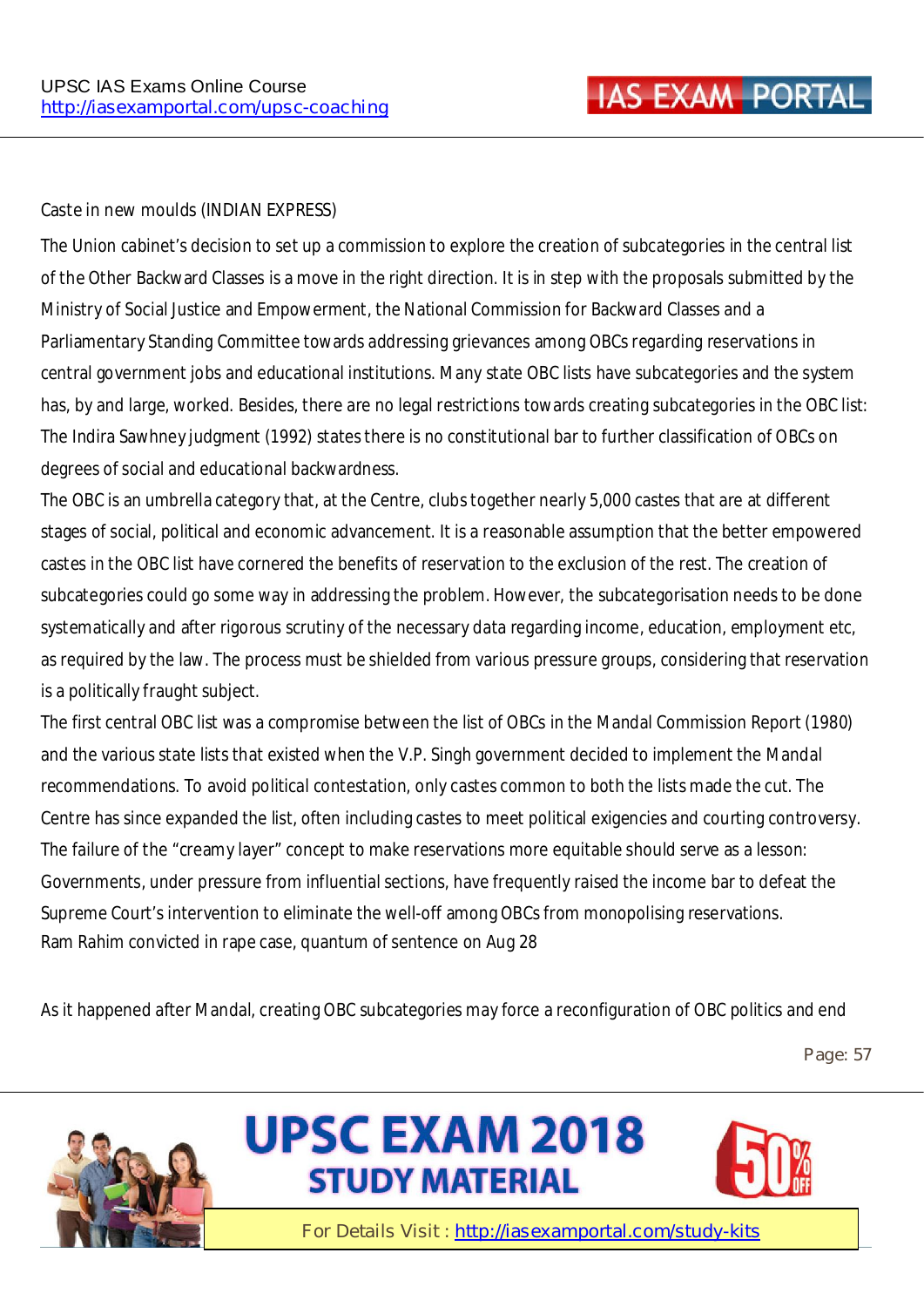#### **Caste in new moulds (INDIAN EXPRESS)**

The Union cabinet's decision to set up a commission to explore the creation of subcategories in the central list of the Other Backward Classes is a move in the right direction. It is in step with the proposals submitted by the Ministry of Social Justice and Empowerment, the National Commission for Backward Classes and a Parliamentary Standing Committee towards addressing grievances among OBCs regarding reservations in central government jobs and educational institutions. Many state OBC lists have subcategories and the system has, by and large, worked. Besides, there are no legal restrictions towards creating subcategories in the OBC list: The Indira Sawhney judgment (1992) states there is no constitutional bar to further classification of OBCs on degrees of social and educational backwardness.

The OBC is an umbrella category that, at the Centre, clubs together nearly 5,000 castes that are at different stages of social, political and economic advancement. It is a reasonable assumption that the better empowered castes in the OBC list have cornered the benefits of reservation to the exclusion of the rest. The creation of subcategories could go some way in addressing the problem. However, the subcategorisation needs to be done systematically and after rigorous scrutiny of the necessary data regarding income, education, employment etc, as required by the law. The process must be shielded from various pressure groups, considering that reservation is a politically fraught subject.

The first central OBC list was a compromise between the list of OBCs in the Mandal Commission Report (1980) and the various state lists that existed when the V.P. Singh government decided to implement the Mandal recommendations. To avoid political contestation, only castes common to both the lists made the cut. The Centre has since expanded the list, often including castes to meet political exigencies and courting controversy. The failure of the "creamy layer" concept to make reservations more equitable should serve as a lesson: Governments, under pressure from influential sections, have frequently raised the income bar to defeat the Supreme Court's intervention to eliminate the well-off among OBCs from monopolising reservations. Ram Rahim convicted in rape case, quantum of sentence on Aug 28

As it happened after Mandal, creating OBC subcategories may force a reconfiguration of OBC politics and end

**Page: 57**